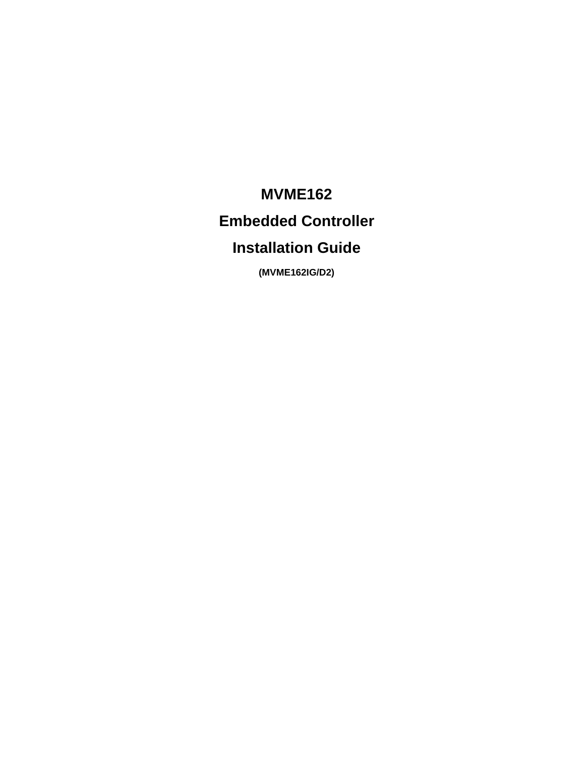# **MVME162 Embedded Controller Installation Guide**

**(MVME162IG/D2)**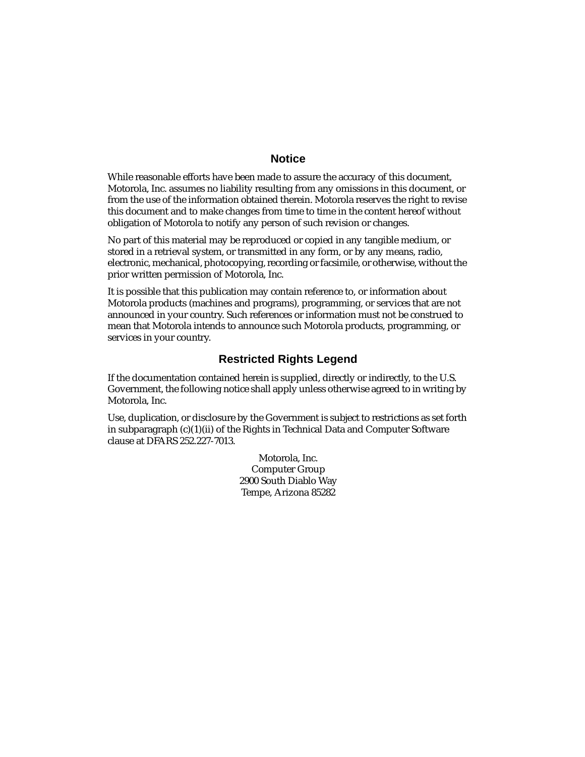#### **Notice**

While reasonable efforts have been made to assure the accuracy of this document, Motorola, Inc. assumes no liability resulting from any omissions in this document, or from the use of the information obtained therein. Motorola reserves the right to revise this document and to make changes from time to time in the content hereof without obligation of Motorola to notify any person of such revision or changes.

No part of this material may be reproduced or copied in any tangible medium, or stored in a retrieval system, or transmitted in any form, or by any means, radio, electronic, mechanical, photocopying, recording or facsimile, or otherwise, without the prior written permission of Motorola, Inc.

It is possible that this publication may contain reference to, or information about Motorola products (machines and programs), programming, or services that are not announced in your country. Such references or information must not be construed to mean that Motorola intends to announce such Motorola products, programming, or services in your country.

### **Restricted Rights Legend**

If the documentation contained herein is supplied, directly or indirectly, to the U.S. Government, the following notice shall apply unless otherwise agreed to in writing by Motorola, Inc.

Use, duplication, or disclosure by the Government is subject to restrictions as set forth in subparagraph  $(c)(1)(ii)$  of the Rights in Technical Data and Computer Software clause at DFARS 252.227-7013.

> Motorola, Inc. Computer Group 2900 South Diablo Way Tempe, Arizona 85282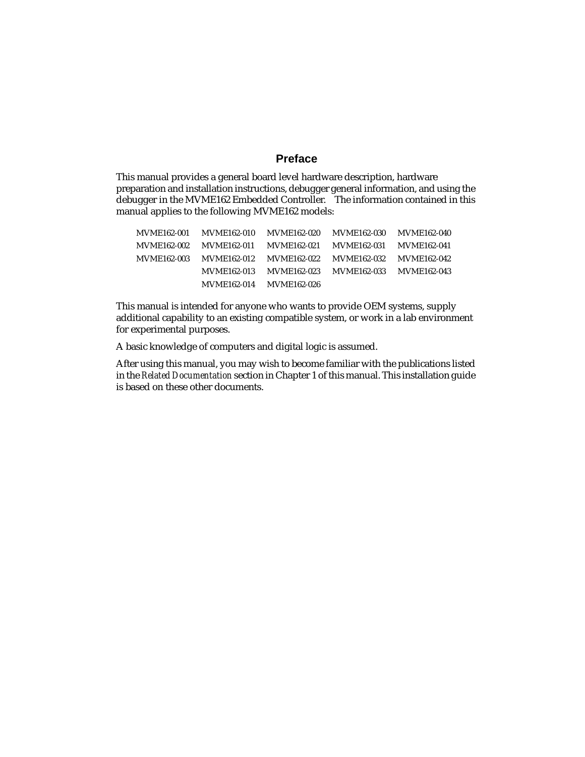#### **Preface**

This manual provides a general board level hardware description, hardware preparation and installation instructions, debugger general information, and using the debugger in the MVME162 Embedded Controller. The information contained in this manual applies to the following MVME162 models:

| <b>MVME162-001</b> | <b>MVME162-010</b> | <b>MVME162-020</b> | <b>MVME162-030</b> | <b>MVME162-040</b> |
|--------------------|--------------------|--------------------|--------------------|--------------------|
| <b>MVME162-002</b> | <b>MVME162-011</b> | <b>MVME162-021</b> | <b>MVME162-031</b> | <b>MVME162-041</b> |
| <b>MVME162-003</b> | <b>MVME162-012</b> | <b>MVME162-022</b> | <b>MVME162-032</b> | <b>MVME162-042</b> |
|                    | <b>MVME162-013</b> | <b>MVME162-023</b> | <b>MVME162-033</b> | <b>MVME162-043</b> |
|                    | <b>MVME162-014</b> | <b>MVME162-026</b> |                    |                    |

This manual is intended for anyone who wants to provide OEM systems, supply additional capability to an existing compatible system, or work in a lab environment for experimental purposes.

A basic knowledge of computers and digital logic is assumed.

After using this manual, you may wish to become familiar with the publications listed in the *Related Documentation* section in Chapter 1 of this manual. This installation guide is based on these other documents.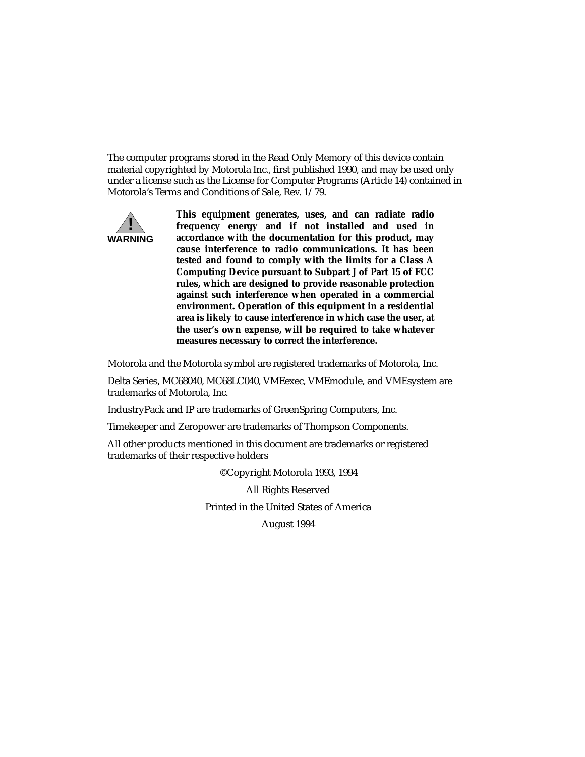The computer programs stored in the Read Only Memory of this device contain material copyrighted by Motorola Inc., first published 1990, and may be used only under a license such as the License for Computer Programs (Article 14) contained in Motorola's Terms and Conditions of Sale, Rev. 1/79.



**This equipment generates, uses, and can radiate radio frequency energy and if not installed and used in accordance with the documentation for this product, may cause interference to radio communications. It has been tested and found to comply with the limits for a Class A Computing Device pursuant to Subpart J of Part 15 of FCC rules, which are designed to provide reasonable protection against such interference when operated in a commercial environment. Operation of this equipment in a residential area is likely to cause interference in which case the user, at the user's own expense, will be required to take whatever measures necessary to correct the interference.**

Motorola and the Motorola symbol are registered trademarks of Motorola, Inc.

Delta Series, MC68040, MC68LC040, VMEexec, VMEmodule, and VMEsystem are trademarks of Motorola, Inc.

IndustryPack and IP are trademarks of GreenSpring Computers, Inc.

Timekeeper and Zeropower are trademarks of Thompson Components.

All other products mentioned in this document are trademarks or registered trademarks of their respective holders

©Copyright Motorola 1993, 1994

All Rights Reserved

Printed in the United States of America

August 1994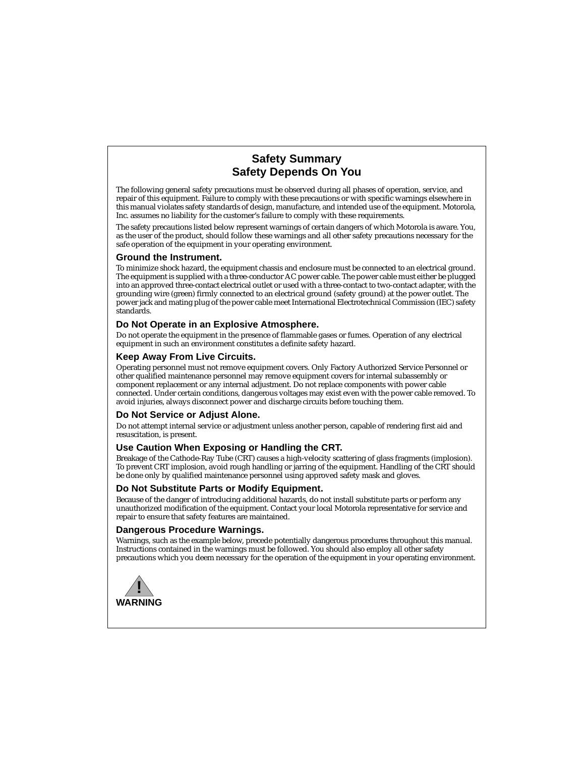### **Safety Summary Safety Depends On You**

The following general safety precautions must be observed during all phases of operation, service, and repair of this equipment. Failure to comply with these precautions or with specific warnings elsewhere in this manual violates safety standards of design, manufacture, and intended use of the equipment. Motorola, Inc. assumes no liability for the customer's failure to comply with these requirements.

The safety precautions listed below represent warnings of certain dangers of which Motorola is aware. You, as the user of the product, should follow these warnings and all other safety precautions necessary for the safe operation of the equipment in your operating environment.

#### **Ground the Instrument.**

To minimize shock hazard, the equipment chassis and enclosure must be connected to an electrical ground. The equipment is supplied with a three-conductor AC power cable. The power cable must either be plugged into an approved three-contact electrical outlet or used with a three-contact to two-contact adapter, with the grounding wire (green) firmly connected to an electrical ground (safety ground) at the power outlet. The power jack and mating plug of the power cable meet International Electrotechnical Commission (IEC) safety standards.

#### **Do Not Operate in an Explosive Atmosphere.**

Do not operate the equipment in the presence of flammable gases or fumes. Operation of any electrical equipment in such an environment constitutes a definite safety hazard.

#### **Keep Away From Live Circuits.**

Operating personnel must not remove equipment covers. Only Factory Authorized Service Personnel or other qualified maintenance personnel may remove equipment covers for internal subassembly or component replacement or any internal adjustment. Do not replace components with power cable connected. Under certain conditions, dangerous voltages may exist even with the power cable removed. To avoid injuries, always disconnect power and discharge circuits before touching them.

#### **Do Not Service or Adjust Alone.**

Do not attempt internal service or adjustment unless another person, capable of rendering first aid and resuscitation, is present.

#### **Use Caution When Exposing or Handling the CRT.**

Breakage of the Cathode-Ray Tube (CRT) causes a high-velocity scattering of glass fragments (implosion). To prevent CRT implosion, avoid rough handling or jarring of the equipment. Handling of the CRT should be done only by qualified maintenance personnel using approved safety mask and gloves.

#### **Do Not Substitute Parts or Modify Equipment.**

Because of the danger of introducing additional hazards, do not install substitute parts or perform any unauthorized modification of the equipment. Contact your local Motorola representative for service and repair to ensure that safety features are maintained.

#### **Dangerous Procedure Warnings.**

Warnings, such as the example below, precede potentially dangerous procedures throughout this manual. Instructions contained in the warnings must be followed. You should also employ all other safety precautions which you deem necessary for the operation of the equipment in your operating environment.

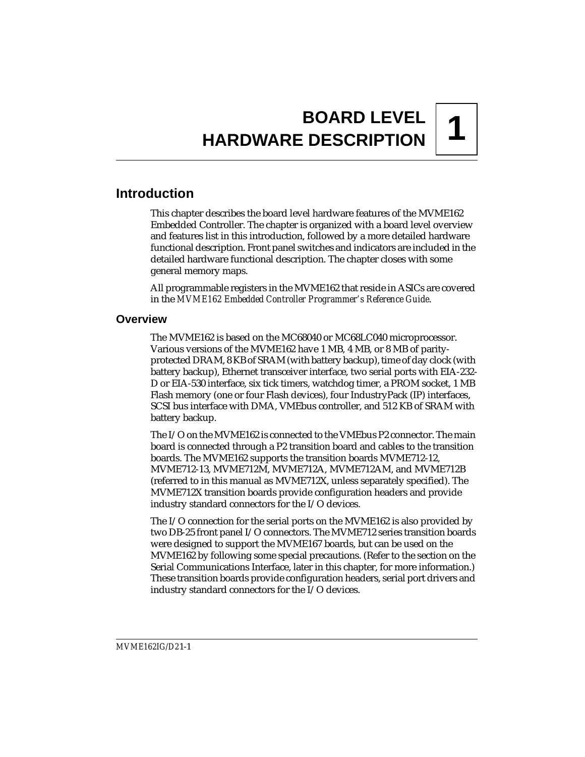# **1 BOARD LEVEL HARDWARE DESCRIPTION**

## **Introduction**

This chapter describes the board level hardware features of the MVME162 Embedded Controller. The chapter is organized with a board level overview and features list in this introduction, followed by a more detailed hardware functional description. Front panel switches and indicators are included in the detailed hardware functional description. The chapter closes with some general memory maps.

All programmable registers in the MVME162 that reside in ASICs are covered in the *MVME162 Embedded Controller Programmer's Reference Guide*.

### **Overview**

The MVME162 is based on the MC68040 or MC68LC040 microprocessor. Various versions of the MVME162 have 1 MB, 4 MB, or 8 MB of parityprotected DRAM, 8 KB of SRAM (with battery backup), time of day clock (with battery backup), Ethernet transceiver interface, two serial ports with EIA-232- D or EIA-530 interface, six tick timers, watchdog timer, a PROM socket, 1 MB Flash memory (one or four Flash devices), four IndustryPack (IP) interfaces, SCSI bus interface with DMA, VMEbus controller, and 512 KB of SRAM with battery backup.

The I/O on the MVME162 is connected to the VMEbus P2 connector. The main board is connected through a P2 transition board and cables to the transition boards. The MVME162 supports the transition boards MVME712-12, MVME712-13, MVME712M, MVME712A, MVME712AM, and MVME712B (referred to in this manual as MVME712X, unless separately specified). The MVME712X transition boards provide configuration headers and provide industry standard connectors for the I/O devices.

The I/O connection for the serial ports on the MVME162 is also provided by two DB-25 front panel I/O connectors. The MVME712 series transition boards were designed to support the MVME167 boards, but can be used on the MVME162 by following some special precautions. (Refer to the section on the Serial Communications Interface, later in this chapter, for more information.) These transition boards provide configuration headers, serial port drivers and industry standard connectors for the I/O devices.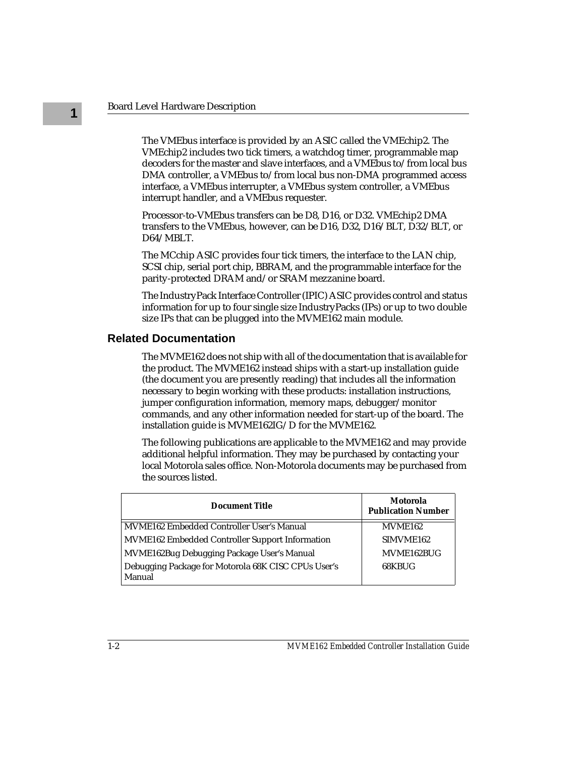The VMEbus interface is provided by an ASIC called the VMEchip2. The VMEchip2 includes two tick timers, a watchdog timer, programmable map decoders for the master and slave interfaces, and a VMEbus to/from local bus DMA controller, a VMEbus to/from local bus non-DMA programmed access interface, a VMEbus interrupter, a VMEbus system controller, a VMEbus interrupt handler, and a VMEbus requester.

Processor-to-VMEbus transfers can be D8, D16, or D32. VMEchip2 DMA transfers to the VMEbus, however, can be D16, D32, D16/BLT, D32/BLT, or D64/MBLT.

The MCchip ASIC provides four tick timers, the interface to the LAN chip, SCSI chip, serial port chip, BBRAM, and the programmable interface for the parity-protected DRAM and/or SRAM mezzanine board.

The IndustryPack Interface Controller (IPIC) ASIC provides control and status information for up to four single size IndustryPacks (IPs) or up to two double size IPs that can be plugged into the MVME162 main module.

#### **Related Documentation**

The MVME162 does not ship with all of the documentation that is available for the product. The MVME162 instead ships with a start-up installation guide (the document you are presently reading) that includes all the information necessary to begin working with these products: installation instructions, jumper configuration information, memory maps, debugger/monitor commands, and any other information needed for start-up of the board. The installation guide is MVME162IG/D for the MVME162.

The following publications are applicable to the MVME162 and may provide additional helpful information. They may be purchased by contacting your local Motorola sales office. Non-Motorola documents may be purchased from the sources listed.

| <b>Document Title</b>                                         | Motorola<br><b>Publication Number</b> |
|---------------------------------------------------------------|---------------------------------------|
| MVME162 Embedded Controller User's Manual                     | MVME <sub>162</sub>                   |
| MVME162 Embedded Controller Support Information               | SIMVME <sub>162</sub>                 |
| MVME162Bug Debugging Package User's Manual                    | MVME162BUG                            |
| Debugging Package for Motorola 68K CISC CPUs User's<br>Manual | 68KBUG                                |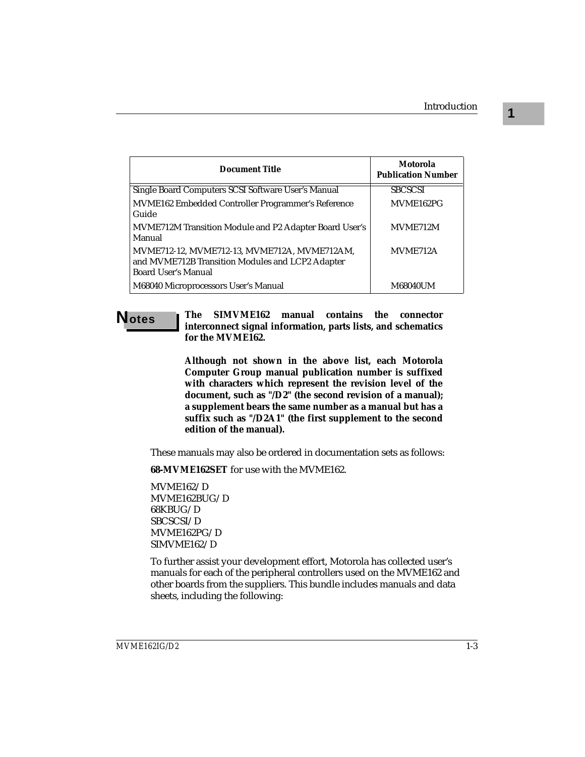| Document Title                                                                                                                 | Motorola<br><b>Publication Number</b> |
|--------------------------------------------------------------------------------------------------------------------------------|---------------------------------------|
| Single Board Computers SCSI Software User's Manual                                                                             | <b>SBCSCSI</b>                        |
| MVME162 Embedded Controller Programmer's Reference<br>Guide                                                                    | MVME162PG                             |
| MVME712M Transition Module and P2 Adapter Board User's<br>Manual                                                               | MVME712M                              |
| MVME712-12, MVME712-13, MVME712A, MVME712AM,<br>and MVME712B Transition Modules and LCP2 Adapter<br><b>Board User's Manual</b> | MVME712A                              |
| M68040 Microprocessors User's Manual                                                                                           | <b>M68040UM</b>                       |

**Notes The SIMVME162 manual contains the connector interconnect signal information, parts lists, and schematics for the MVME162.**

> **Although not shown in the above list, each Motorola Computer Group manual publication number is suffixed with characters which represent the revision level of the document, such as "/D2" (the second revision of a manual); a supplement bears the same number as a manual but has a suffix such as "/D2A1" (the first supplement to the second edition of the manual).**

These manuals may also be ordered in documentation sets as follows:

**68-MVME162SET** for use with the MVME162.

MVME162/D MVME162BUG/D 68KBUG/D SBCSCSI/D MVME162PG/D SIMVME162/D

To further assist your development effort, Motorola has collected user's manuals for each of the peripheral controllers used on the MVME162 and other boards from the suppliers. This bundle includes manuals and data sheets, including the following: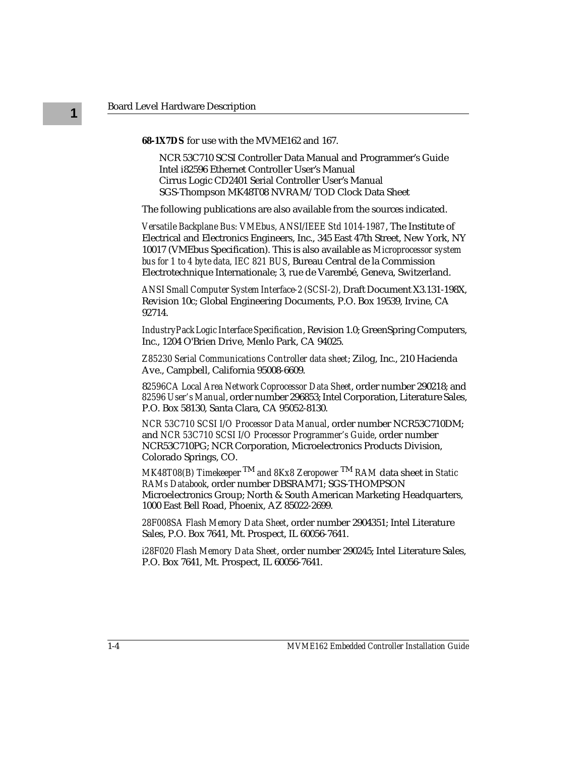**68-1X7DS** for use with the MVME162 and 167.

NCR 53C710 SCSI Controller Data Manual and Programmer's Guide Intel i82596 Ethernet Controller User's Manual Cirrus Logic CD2401 Serial Controller User's Manual SGS-Thompson MK48T08 NVRAM/TOD Clock Data Sheet

The following publications are also available from the sources indicated.

*Versatile Backplane Bus: VMEbus, ANSI/IEEE Std 1014-1987*, The Institute of Electrical and Electronics Engineers, Inc., 345 East 47th Street, New York, NY 10017 (VMEbus Specification). This is also available as *Microprocessor system bus for 1 to 4 byte data, IEC 821 BUS*, Bureau Central de la Commission Electrotechnique Internationale; 3, rue de Varembé, Geneva, Switzerland.

*ANSI Small Computer System Interface-2 (SCSI-2),* Draft Document X3.131-198X, Revision 10c; Global Engineering Documents, P.O. Box 19539, Irvine, CA 92714.

*IndustryPack Logic Interface Specification*, Revision 1.0; GreenSpring Computers, Inc., 1204 O'Brien Drive, Menlo Park, CA 94025.

*Z85230 Serial Communications Controller data sheet*; Zilog, Inc., 210 Hacienda Ave., Campbell, California 95008-6609.

8*2596CA Local Area Network Coprocessor Data Sheet*, order number 290218; and *82596 User's Manual*, order number 296853; Intel Corporation, Literature Sales, P.O. Box 58130, Santa Clara, CA 95052-8130.

*NCR 53C710 SCSI I/O Processor Data Manual*, order number NCR53C710DM; and *NCR 53C710 SCSI I/O Processor Programmer's Guide*, order number NCR53C710PG; NCR Corporation, Microelectronics Products Division, Colorado Springs, CO.

*MK48T08(B) Timekeepe*r TM *and 8Kx8 Zeropower* TM *RAM* data sheet in *Static RAMs Databook*, order number DBSRAM71; SGS-THOMPSON Microelectronics Group; North & South American Marketing Headquarters, 1000 East Bell Road, Phoenix, AZ 85022-2699.

*28F008SA Flash Memory Data Sheet*, order number 2904351; Intel Literature Sales, P.O. Box 7641, Mt. Prospect, IL 60056-7641.

*i28F020 Flash Memory Data Sheet*, order number 290245; Intel Literature Sales, P.O. Box 7641, Mt. Prospect, IL 60056-7641.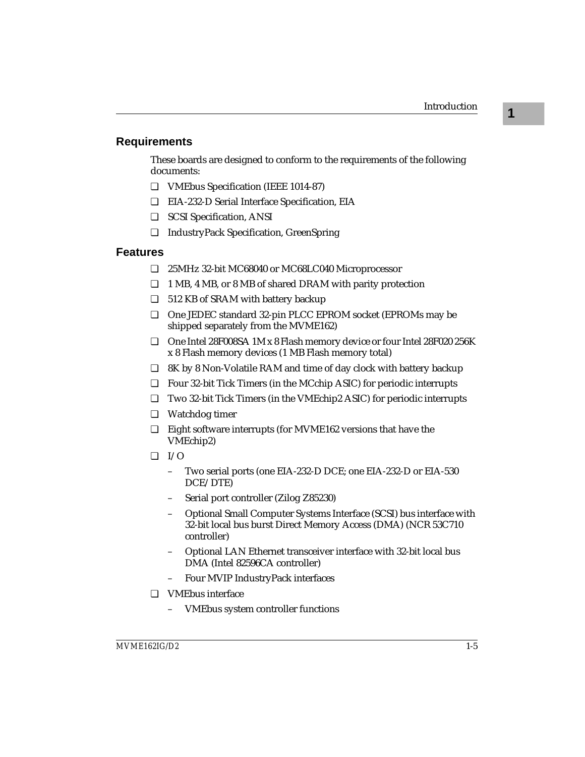### **Requirements**

These boards are designed to conform to the requirements of the following documents:

- ❏ VMEbus Specification (IEEE 1014-87)
- ❏ EIA-232-D Serial Interface Specification, EIA
- ❏ SCSI Specification, ANSI
- ❏ IndustryPack Specification, GreenSpring

#### **Features**

- ❏ 25MHz 32-bit MC68040 or MC68LC040 Microprocessor
- ❏ 1 MB, 4 MB, or 8 MB of shared DRAM with parity protection
- ❏ 512 KB of SRAM with battery backup
- ❏ One JEDEC standard 32-pin PLCC EPROM socket (EPROMs may be shipped separately from the MVME162)
- ❏ One Intel 28F008SA 1M x 8 Flash memory device or four Intel 28F020 256K x 8 Flash memory devices (1 MB Flash memory total)
- ❏ 8K by 8 Non-Volatile RAM and time of day clock with battery backup
- ❏ Four 32-bit Tick Timers (in the MCchip ASIC) for periodic interrupts
- ❏ Two 32-bit Tick Timers (in the VMEchip2 ASIC) for periodic interrupts
- ❏ Watchdog timer
- ❏ Eight software interrupts (for MVME162 versions that have the VMEchip2)
- $\Box$  I/O
	- Two serial ports (one EIA-232-D DCE; one EIA-232-D or EIA-530 DCE/DTE)
	- Serial port controller (Zilog Z85230)
	- Optional Small Computer Systems Interface (SCSI) bus interface with 32-bit local bus burst Direct Memory Access (DMA) (NCR 53C710 controller)
	- Optional LAN Ethernet transceiver interface with 32-bit local bus DMA (Intel 82596CA controller)
	- Four MVIP IndustryPack interfaces
- ❏ VMEbus interface
	- VMEbus system controller functions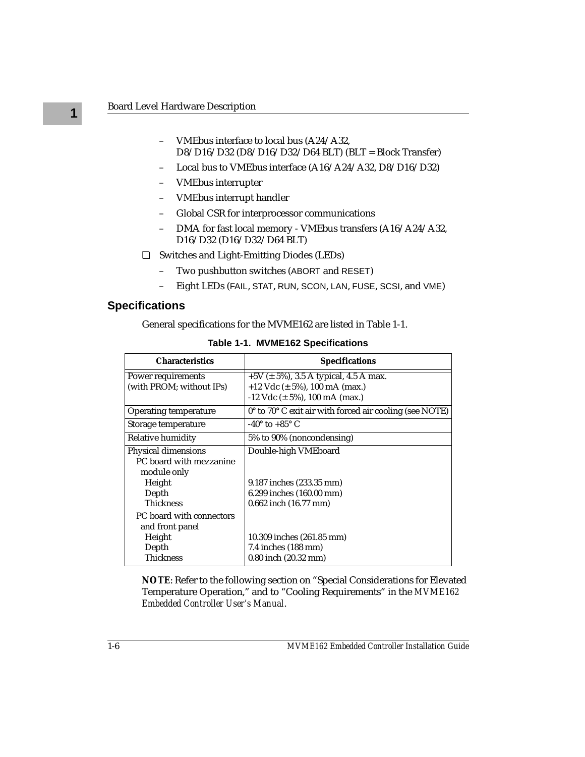- VMEbus interface to local bus (A24/A32, D8/D16/D32 (D8/D16/D32/D64 BLT) (BLT = Block Transfer)
- Local bus to VMEbus interface (A16/A24/A32, D8/D16/D32)
- VMEbus interrupter
- VMEbus interrupt handler
- Global CSR for interprocessor communications
- DMA for fast local memory VMEbus transfers (A16/A24/A32, D16/D32 (D16/D32/D64 BLT)
- ❏ Switches and Light-Emitting Diodes (LEDs)
	- Two pushbutton switches (ABORT and RESET)
	- Eight LEDs (FAIL, STAT, RUN, SCON, LAN, FUSE, SCSI, and VME)

### **Specifications**

General specifications for the MVME162 are listed in Table 1-1.

| <b>Characteristics</b>       | <b>Specifications</b>                                                      |  |  |
|------------------------------|----------------------------------------------------------------------------|--|--|
| Power requirements           | +5V ( $\pm$ 5%), 3.5 A typical, 4.5 A max.                                 |  |  |
| (with PROM; without IPs)     | $+12$ Vdc ( $\pm$ 5%), 100 mA (max.)                                       |  |  |
|                              | $-12$ Vdc ( $\pm$ 5%), 100 mA (max.)                                       |  |  |
| <b>Operating temperature</b> | $0^{\circ}$ to 70 $^{\circ}$ C exit air with forced air cooling (see NOTE) |  |  |
| Storage temperature          | -40 $^{\circ}$ to +85 $^{\circ}$ C                                         |  |  |
| Relative humidity            | 5% to 90% (noncondensing)                                                  |  |  |
| Physical dimensions          | Double-high VMEboard                                                       |  |  |
| PC board with mezzanine      |                                                                            |  |  |
| module only                  |                                                                            |  |  |
| Height                       | 9.187 inches (233.35 mm)                                                   |  |  |
| Depth                        | 6.299 inches (160.00 mm)                                                   |  |  |
| <b>Thickness</b>             | 0.662 inch (16.77 mm)                                                      |  |  |
| PC board with connectors     |                                                                            |  |  |
| and front panel              |                                                                            |  |  |
| Height                       | 10.309 inches (261.85 mm)                                                  |  |  |
| Depth                        | 7.4 inches (188 mm)                                                        |  |  |
| <b>Thickness</b>             | $0.80$ inch $(20.32$ mm)                                                   |  |  |

**Table 1-1. MVME162 Specifications**

**NOTE**: Refer to the following section on "Special Considerations for Elevated Temperature Operation," and to "Cooling Requirements" in the *MVME162 Embedded Controller User's Manual*.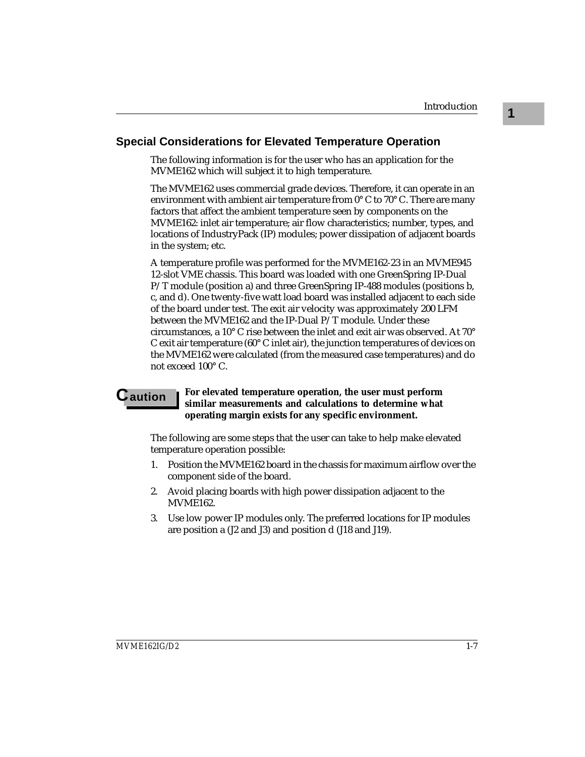**1**

### **Special Considerations for Elevated Temperature Operation**

The following information is for the user who has an application for the MVME162 which will subject it to high temperature.

The MVME162 uses commercial grade devices. Therefore, it can operate in an environment with ambient air temperature from 0° C to 70° C. There are many factors that affect the ambient temperature seen by components on the MVME162: inlet air temperature; air flow characteristics; number, types, and locations of IndustryPack (IP) modules; power dissipation of adjacent boards in the system; etc.

A temperature profile was performed for the MVME162-23 in an MVME945 12-slot VME chassis. This board was loaded with one GreenSpring IP-Dual P/T module (position a) and three GreenSpring IP-488 modules (positions b, c, and d). One twenty-five watt load board was installed adjacent to each side of the board under test. The exit air velocity was approximately 200 LFM between the MVME162 and the IP-Dual P/T module. Under these circumstances, a 10° C rise between the inlet and exit air was observed. At 70° C exit air temperature (60° C inlet air), the junction temperatures of devices on the MVME162 were calculated (from the measured case temperatures) and do not exceed 100° C.

#### **C** aution **For elevated temperature operation, the user must perform similar measurements and calculations to determine what operating margin exists for any specific environment.**

The following are some steps that the user can take to help make elevated temperature operation possible:

- 1. Position the MVME162 board in the chassis for maximum airflow over the component side of the board.
- 2. Avoid placing boards with high power dissipation adjacent to the MVME162.
- 3. Use low power IP modules only. The preferred locations for IP modules are position a (J2 and J3) and position d (J18 and J19).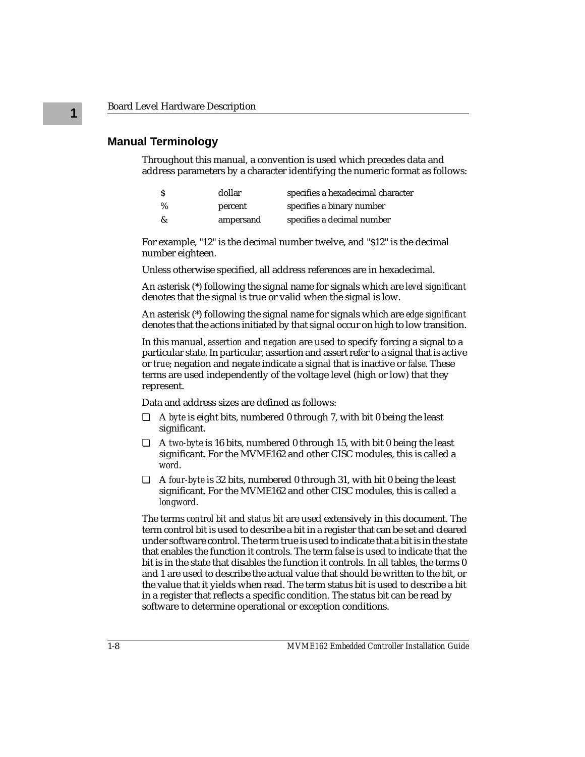#### **Manual Terminology**

Throughout this manual, a convention is used which precedes data and address parameters by a character identifying the numeric format as follows:

|      | dollar    | specifies a hexadecimal character |
|------|-----------|-----------------------------------|
| $\%$ | percent   | specifies a binary number         |
| &    | ampersand | specifies a decimal number        |

For example, "12" is the decimal number twelve, and "\$12" is the decimal number eighteen.

Unless otherwise specified, all address references are in hexadecimal.

An asterisk (\*) following the signal name for signals which are *level significant*  denotes that the signal is true or valid when the signal is low.

An asterisk (\*) following the signal name for signals which are *edge significant*  denotes that the actions initiated by that signal occur on high to low transition.

In this manual, *assertion* and *negation* are used to specify forcing a signal to a particular state. In particular, assertion and assert refer to a signal that is active or *true*; negation and negate indicate a signal that is inactive or *false*. These terms are used independently of the voltage level (high or low) that they represent.

Data and address sizes are defined as follows:

- ❏ A *byte* is eight bits, numbered 0 through 7, with bit 0 being the least significant.
- ❏ A *two-byte* is 16 bits, numbered 0 through 15, with bit 0 being the least significant. For the MVME162 and other CISC modules, this is called a *word*.
- ❏ A *four-byte* is 32 bits, numbered 0 through 31, with bit 0 being the least significant. For the MVME162 and other CISC modules, this is called a *longword*.

The terms *control bit* and *status bit* are used extensively in this document. The term control bit is used to describe a bit in a register that can be set and cleared under software control. The term true is used to indicate that a bit is in the state that enables the function it controls. The term false is used to indicate that the bit is in the state that disables the function it controls. In all tables, the terms 0 and 1 are used to describe the actual value that should be written to the bit, or the value that it yields when read. The term status bit is used to describe a bit in a register that reflects a specific condition. The status bit can be read by software to determine operational or exception conditions.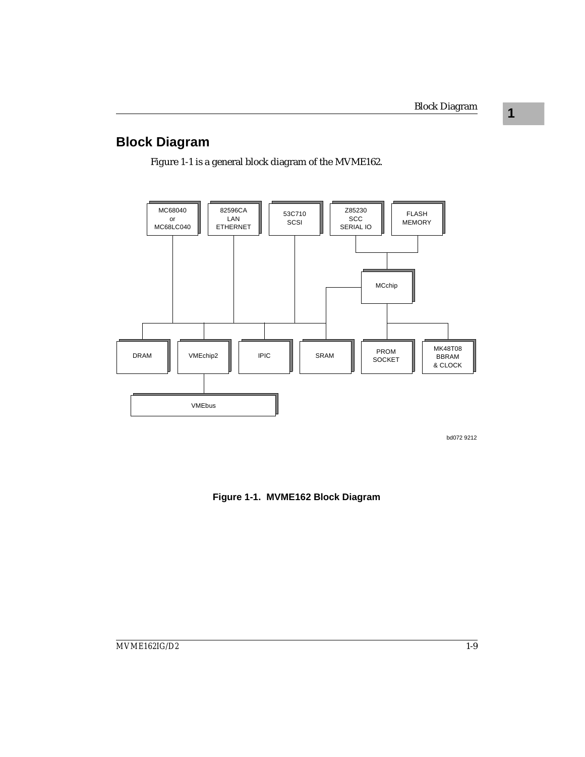**1**

### **Block Diagram**

Figure 1-1 is a general block diagram of the MVME162.



bd072 9212

**Figure 1-1. MVME162 Block Diagram**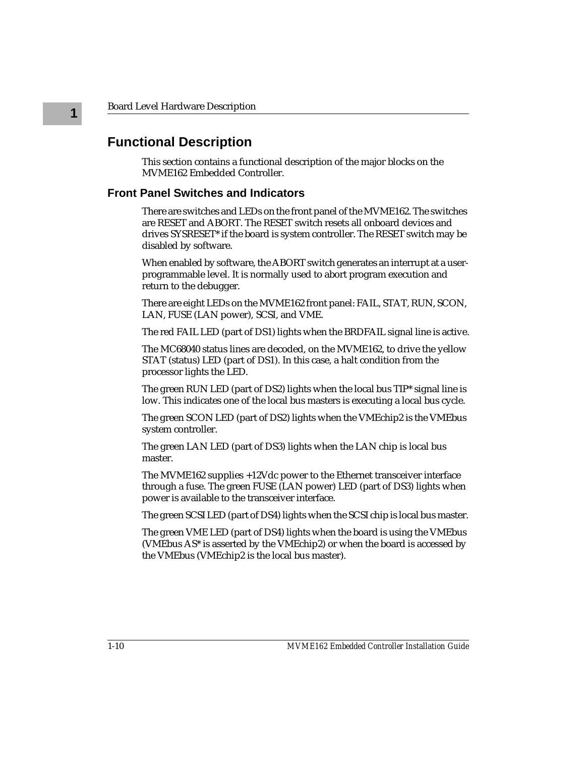**1**

### **Functional Description**

This section contains a functional description of the major blocks on the MVME162 Embedded Controller.

#### **Front Panel Switches and Indicators**

There are switches and LEDs on the front panel of the MVME162. The switches are RESET and ABORT. The RESET switch resets all onboard devices and drives SYSRESET\* if the board is system controller. The RESET switch may be disabled by software.

When enabled by software, the ABORT switch generates an interrupt at a userprogrammable level. It is normally used to abort program execution and return to the debugger.

There are eight LEDs on the MVME162 front panel: FAIL, STAT, RUN, SCON, LAN, FUSE (LAN power), SCSI, and VME.

The red FAIL LED (part of DS1) lights when the BRDFAIL signal line is active.

The MC68040 status lines are decoded, on the MVME162, to drive the yellow STAT (status) LED (part of DS1). In this case, a halt condition from the processor lights the LED.

The green RUN LED (part of DS2) lights when the local bus TIP\* signal line is low. This indicates one of the local bus masters is executing a local bus cycle.

The green SCON LED (part of DS2) lights when the VMEchip2 is the VMEbus system controller.

The green LAN LED (part of DS3) lights when the LAN chip is local bus master.

The MVME162 supplies +12Vdc power to the Ethernet transceiver interface through a fuse. The green FUSE (LAN power) LED (part of DS3) lights when power is available to the transceiver interface.

The green SCSI LED (part of DS4) lights when the SCSI chip is local bus master.

The green VME LED (part of DS4) lights when the board is using the VMEbus (VMEbus AS\* is asserted by the VMEchip2) or when the board is accessed by the VMEbus (VMEchip2 is the local bus master).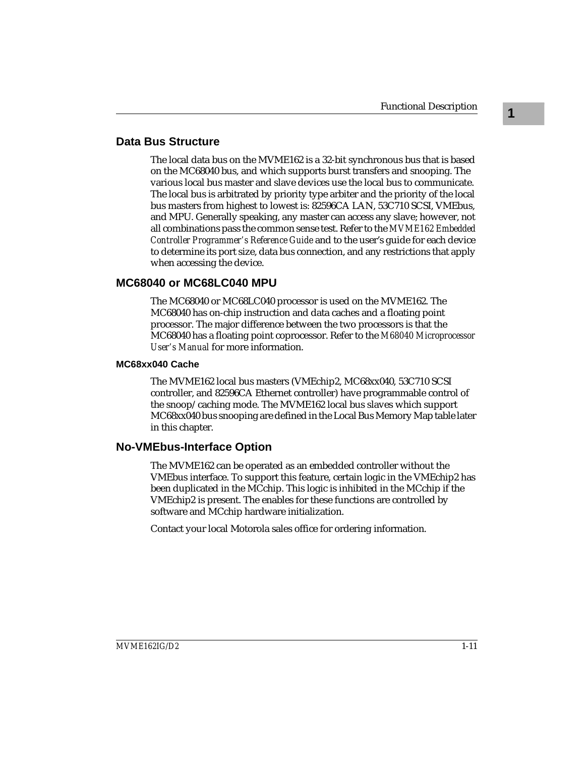### **Data Bus Structure**

The local data bus on the MVME162 is a 32-bit synchronous bus that is based on the MC68040 bus, and which supports burst transfers and snooping. The various local bus master and slave devices use the local bus to communicate. The local bus is arbitrated by priority type arbiter and the priority of the local bus masters from highest to lowest is: 82596CA LAN, 53C710 SCSI, VMEbus, and MPU. Generally speaking, any master can access any slave; however, not all combinations pass the common sense test. Refer to the *MVME162 Embedded Controller Programmer's Reference Guide* and to the user's guide for each device to determine its port size, data bus connection, and any restrictions that apply when accessing the device.

### **MC68040 or MC68LC040 MPU**

The MC68040 or MC68LC040 processor is used on the MVME162. The MC68040 has on-chip instruction and data caches and a floating point processor. The major difference between the two processors is that the MC68040 has a floating point coprocessor. Refer to the *M68040 Microprocessor User's Manual* for more information.

#### **MC68xx040 Cache**

The MVME162 local bus masters (VMEchip2, MC68xx040, 53C710 SCSI controller, and 82596CA Ethernet controller) have programmable control of the snoop/caching mode. The MVME162 local bus slaves which support MC68xx040 bus snooping are defined in the Local Bus Memory Map table later in this chapter.

### **No-VMEbus-Interface Option**

The MVME162 can be operated as an embedded controller without the VMEbus interface. To support this feature, certain logic in the VMEchip2 has been duplicated in the MCchip. This logic is inhibited in the MCchip if the VMEchip2 is present. The enables for these functions are controlled by software and MCchip hardware initialization.

Contact your local Motorola sales office for ordering information.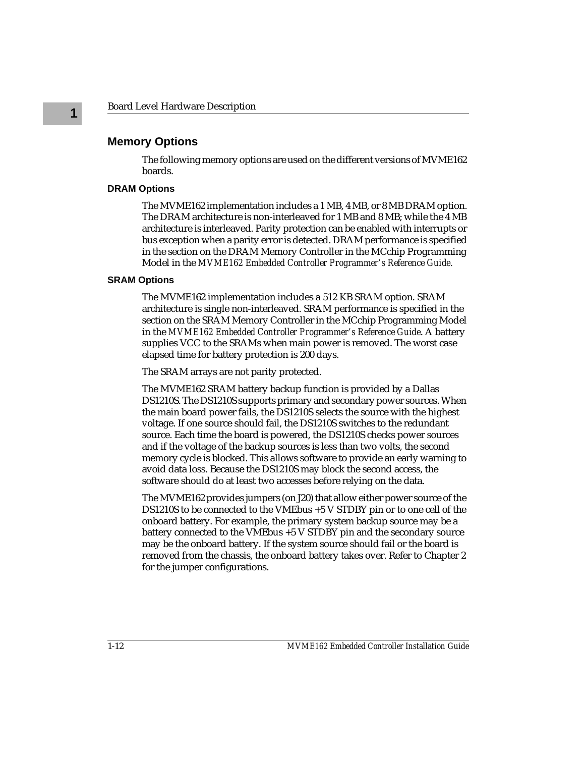### **Memory Options**

The following memory options are used on the different versions of MVME162 boards.

#### **DRAM Options**

The MVME162 implementation includes a 1 MB, 4 MB, or 8 MB DRAM option. The DRAM architecture is non-interleaved for 1 MB and 8 MB; while the 4 MB architecture is interleaved. Parity protection can be enabled with interrupts or bus exception when a parity error is detected. DRAM performance is specified in the section on the DRAM Memory Controller in the MCchip Programming Model in the *MVME162 Embedded Controller Programmer's Reference Guide*.

#### **SRAM Options**

The MVME162 implementation includes a 512 KB SRAM option. SRAM architecture is single non-interleaved. SRAM performance is specified in the section on the SRAM Memory Controller in the MCchip Programming Model in the *MVME162 Embedded Controller Programmer's Reference Guide*. A battery supplies VCC to the SRAMs when main power is removed. The worst case elapsed time for battery protection is 200 days.

The SRAM arrays are not parity protected.

The MVME162 SRAM battery backup function is provided by a Dallas DS1210S. The DS1210S supports primary and secondary power sources. When the main board power fails, the DS1210S selects the source with the highest voltage. If one source should fail, the DS1210S switches to the redundant source. Each time the board is powered, the DS1210S checks power sources and if the voltage of the backup sources is less than two volts, the second memory cycle is blocked. This allows software to provide an early warning to avoid data loss. Because the DS1210S may block the second access, the software should do at least two accesses before relying on the data.

The MVME162 provides jumpers (on J20) that allow either power source of the DS1210S to be connected to the VMEbus +5 V STDBY pin or to one cell of the onboard battery. For example, the primary system backup source may be a battery connected to the VMEbus +5 V STDBY pin and the secondary source may be the onboard battery. If the system source should fail or the board is removed from the chassis, the onboard battery takes over. Refer to Chapter 2 for the jumper configurations.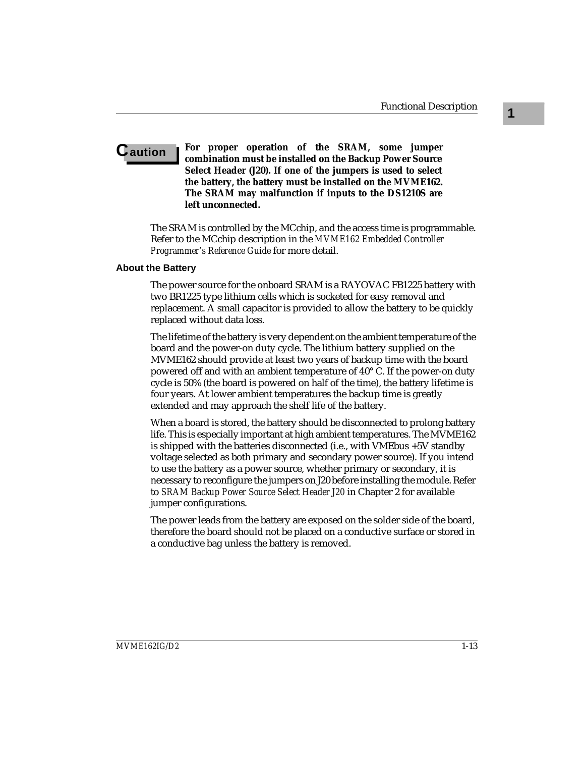#### **Caution For proper operation of the SRAM, some jumper combination must be installed on the Backup Power Source Select Header (J20). If one of the jumpers is used to select the battery, the battery must be installed on the MVME162. The SRAM may malfunction if inputs to the DS1210S are left unconnected.**

The SRAM is controlled by the MCchip, and the access time is programmable. Refer to the MCchip description in the *MVME162 Embedded Controller Programmer's Reference Guide* for more detail.

#### **About the Battery**

The power source for the onboard SRAM is a RAYOVAC FB1225 battery with two BR1225 type lithium cells which is socketed for easy removal and replacement. A small capacitor is provided to allow the battery to be quickly replaced without data loss.

The lifetime of the battery is very dependent on the ambient temperature of the board and the power-on duty cycle. The lithium battery supplied on the MVME162 should provide at least two years of backup time with the board powered off and with an ambient temperature of 40° C. If the power-on duty cycle is 50% (the board is powered on half of the time), the battery lifetime is four years. At lower ambient temperatures the backup time is greatly extended and may approach the shelf life of the battery.

When a board is stored, the battery should be disconnected to prolong battery life. This is especially important at high ambient temperatures. The MVME162 is shipped with the batteries disconnected (i.e., with VMEbus +5V standby voltage selected as both primary and secondary power source). If you intend to use the battery as a power source, whether primary or secondary, it is necessary to reconfigure the jumpers on J20 before installing the module. Refer to *SRAM Backup Power Source Select Header J20* in Chapter 2 for available jumper configurations.

The power leads from the battery are exposed on the solder side of the board, therefore the board should not be placed on a conductive surface or stored in a conductive bag unless the battery is removed.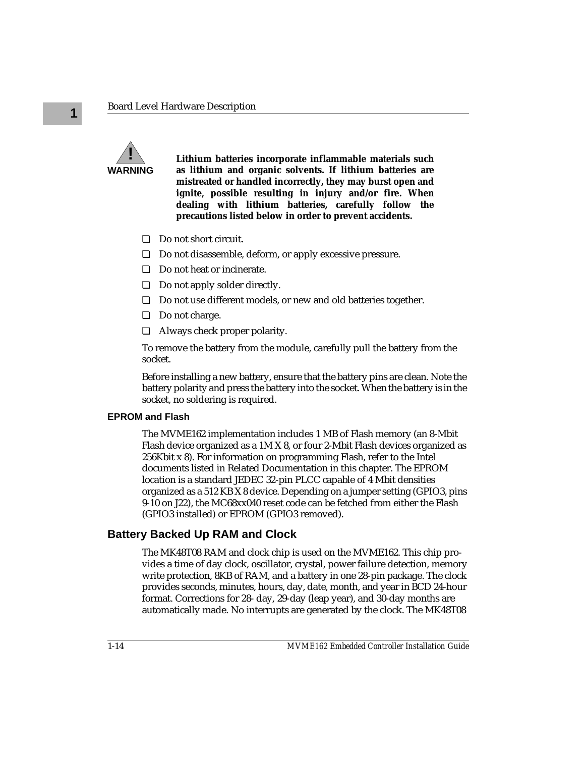

**Lithium batteries incorporate inflammable materials such as lithium and organic solvents. If lithium batteries are mistreated or handled incorrectly, they may burst open and ignite, possible resulting in injury and/or fire. When dealing with lithium batteries, carefully follow the precautions listed below in order to prevent accidents.**

- ❏ Do not short circuit.
- ❏ Do not disassemble, deform, or apply excessive pressure.
- ❏ Do not heat or incinerate.
- ❏ Do not apply solder directly.
- ❏ Do not use different models, or new and old batteries together.
- ❏ Do not charge.
- ❏ Always check proper polarity.

To remove the battery from the module, carefully pull the battery from the socket.

Before installing a new battery, ensure that the battery pins are clean. Note the battery polarity and press the battery into the socket. When the battery is in the socket, no soldering is required.

#### **EPROM and Flash**

The MVME162 implementation includes 1 MB of Flash memory (an 8-Mbit Flash device organized as a 1M X 8, or four 2-Mbit Flash devices organized as 256Kbit x 8). For information on programming Flash, refer to the Intel documents listed in Related Documentation in this chapter. The EPROM location is a standard JEDEC 32-pin PLCC capable of 4 Mbit densities organized as a 512 KB X 8 device. Depending on a jumper setting (GPIO3, pins 9-10 on J22), the MC68xx040 reset code can be fetched from either the Flash (GPIO3 installed) or EPROM (GPIO3 removed).

### **Battery Backed Up RAM and Clock**

The MK48T08 RAM and clock chip is used on the MVME162. This chip provides a time of day clock, oscillator, crystal, power failure detection, memory write protection, 8KB of RAM, and a battery in one 28-pin package. The clock provides seconds, minutes, hours, day, date, month, and year in BCD 24-hour format. Corrections for 28- day, 29-day (leap year), and 30-day months are automatically made. No interrupts are generated by the clock. The MK48T08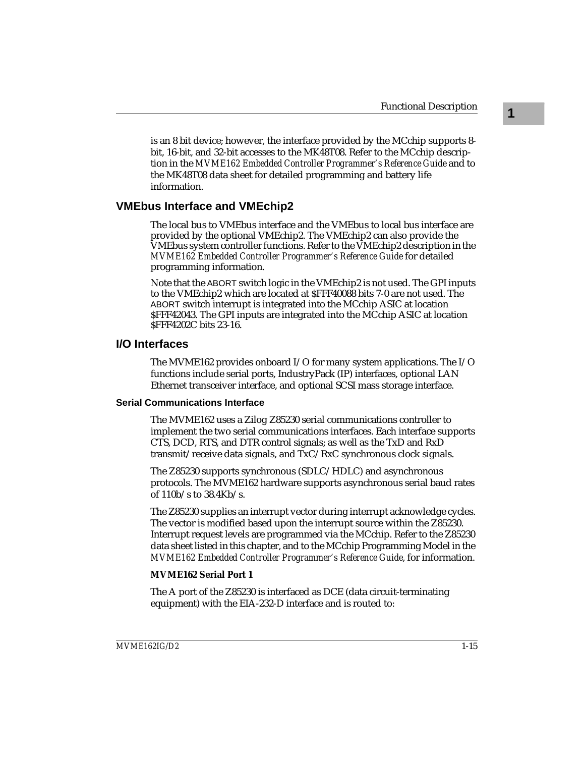is an 8 bit device; however, the interface provided by the MCchip supports 8 bit, 16-bit, and 32-bit accesses to the MK48T08. Refer to the MCchip description in the *MVME162 Embedded Controller Programmer's Reference Guide* and to the MK48T08 data sheet for detailed programming and battery life information.

#### **VMEbus Interface and VMEchip2**

The local bus to VMEbus interface and the VMEbus to local bus interface are provided by the optional VMEchip2. The VMEchip2 can also provide the VMEbus system controller functions. Refer to the VMEchip2 description in the *MVME162 Embedded Controller Programmer's Reference Guide* for detailed programming information.

Note that the ABORT switch logic in the VMEchip2 is not used. The GPI inputs to the VMEchip2 which are located at \$FFF40088 bits 7-0 are not used. The ABORT switch interrupt is integrated into the MCchip ASIC at location \$FFF42043. The GPI inputs are integrated into the MCchip ASIC at location \$FFF4202C bits 23-16.

#### **I/O Interfaces**

The MVME162 provides onboard I/O for many system applications. The I/O functions include serial ports, IndustryPack (IP) interfaces, optional LAN Ethernet transceiver interface, and optional SCSI mass storage interface.

#### **Serial Communications Interface**

The MVME162 uses a Zilog Z85230 serial communications controller to implement the two serial communications interfaces. Each interface supports CTS, DCD, RTS, and DTR control signals; as well as the TxD and RxD transmit/receive data signals, and TxC/RxC synchronous clock signals.

The Z85230 supports synchronous (SDLC/HDLC) and asynchronous protocols. The MVME162 hardware supports asynchronous serial baud rates of 110b/s to 38.4Kb/s.

The Z85230 supplies an interrupt vector during interrupt acknowledge cycles. The vector is modified based upon the interrupt source within the Z85230. Interrupt request levels are programmed via the MCchip. Refer to the Z85230 data sheet listed in this chapter, and to the MCchip Programming Model in the *MVME162 Embedded Controller Programmer's Reference Guide*, for information.

#### **MVME162 Serial Port 1**

The A port of the Z85230 is interfaced as DCE (data circuit-terminating equipment) with the EIA-232-D interface and is routed to: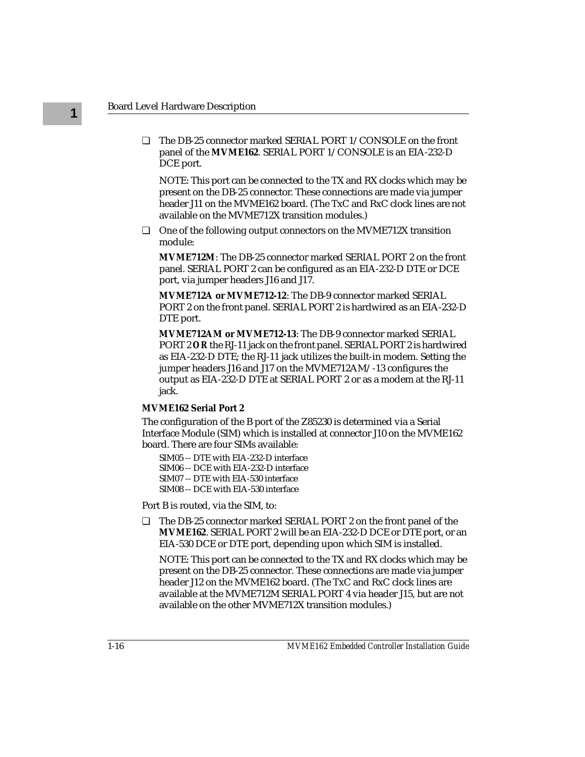❏ The DB-25 connector marked SERIAL PORT 1/CONSOLE on the front panel of the **MVME162**. SERIAL PORT 1/CONSOLE is an EIA-232-D DCE port.

NOTE: This port can be connected to the TX and RX clocks which may be present on the DB-25 connector. These connections are made via jumper header J11 on the MVME162 board. (The TxC and RxC clock lines are not available on the MVME712X transition modules.)

❏ One of the following output connectors on the MVME712X transition module:

**MVME712M**: The DB-25 connector marked SERIAL PORT 2 on the front panel. SERIAL PORT 2 can be configured as an EIA-232-D DTE or DCE port, via jumper headers J16 and J17.

**MVME712A or MVME712-12**: The DB-9 connector marked SERIAL PORT 2 on the front panel. SERIAL PORT 2 is hardwired as an EIA-232-D DTE port.

**MVME712AM or MVME712-13**: The DB-9 connector marked SERIAL PORT 2 *OR* the RJ-11 jack on the front panel. SERIAL PORT 2 is hardwired as EIA-232-D DTE; the RJ-11 jack utilizes the built-in modem. Setting the jumper headers J16 and J17 on the MVME712AM/-13 configures the output as EIA-232-D DTE at SERIAL PORT 2 or as a modem at the RJ-11 jack.

#### **MVME162 Serial Port 2**

The configuration of the B port of the Z85230 is determined via a Serial Interface Module (SIM) which is installed at connector J10 on the MVME162 board. There are four SIMs available:

SIM05 -- DTE with EIA-232-D interface SIM06 -- DCE with EIA-232-D interface SIM07 -- DTE with EIA-530 interface SIM08 -- DCE with EIA-530 interface

Port B is routed, via the SIM, to:

❏ The DB-25 connector marked SERIAL PORT 2 on the front panel of the **MVME162**. SERIAL PORT 2 will be an EIA-232-D DCE or DTE port, or an EIA-530 DCE or DTE port, depending upon which SIM is installed.

NOTE: This port can be connected to the TX and RX clocks which may be present on the DB-25 connector. These connections are made via jumper header J12 on the MVME162 board. (The TxC and RxC clock lines are available at the MVME712M SERIAL PORT 4 via header J15, but are not available on the other MVME712X transition modules.)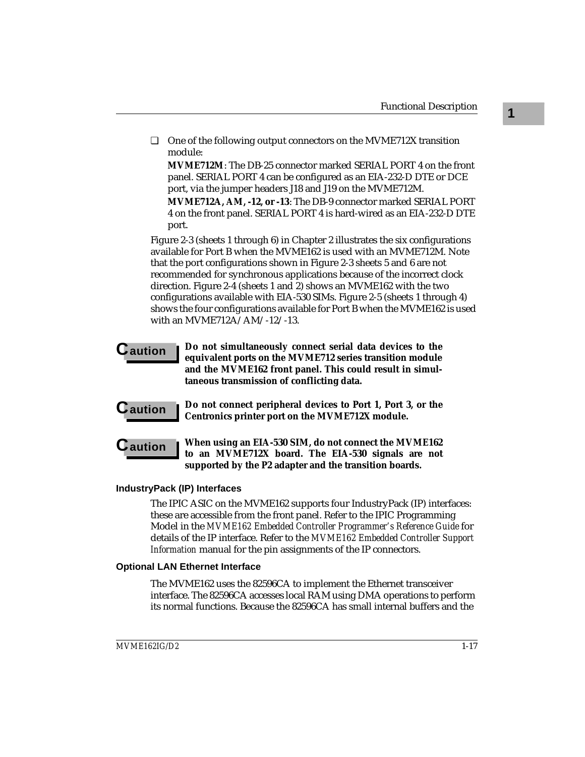❏ One of the following output connectors on the MVME712X transition module:

**MVME712M**: The DB-25 connector marked SERIAL PORT 4 on the front panel. SERIAL PORT 4 can be configured as an EIA-232-D DTE or DCE port, via the jumper headers J18 and J19 on the MVME712M.

**MVME712A, AM, -12, or -13**: The DB-9 connector marked SERIAL PORT 4 on the front panel. SERIAL PORT 4 is hard-wired as an EIA-232-D DTE port.

Figure 2-3 (sheets 1 through 6) in Chapter 2 illustrates the six configurations available for Port B when the MVME162 is used with an MVME712M. Note that the port configurations shown in Figure 2-3 sheets 5 and 6 are not recommended for synchronous applications because of the incorrect clock direction. Figure 2-4 (sheets 1 and 2) shows an MVME162 with the two configurations available with EIA-530 SIMs. Figure 2-5 (sheets 1 through 4) shows the four configurations available for Port B when the MVME162 is used with an MVME712A/AM/-12/-13.

- **Caution Do not simultaneously connect serial data devices to the equivalent ports on the MVME712 series transition module and the MVME162 front panel. This could result in simultaneous transmission of conflicting data.**
- 

**C** aution **i** Do not connect peripheral devices to Port 1, Port 3, or the **Centronics printer port on the MVME712X module.**

**C** aution When using an EIA-530 SIM, do not connect the MVME162 **to an MVME712X board. The EIA-530 signals are not supported by the P2 adapter and the transition boards.**

#### **IndustryPack (IP) Interfaces**

The IPIC ASIC on the MVME162 supports four IndustryPack (IP) interfaces: these are accessible from the front panel. Refer to the IPIC Programming Model in the *MVME162 Embedded Controller Programmer's Reference Guide* for details of the IP interface. Refer to the *MVME162 Embedded Controller Support Information* manual for the pin assignments of the IP connectors.

#### **Optional LAN Ethernet Interface**

The MVME162 uses the 82596CA to implement the Ethernet transceiver interface. The 82596CA accesses local RAM using DMA operations to perform its normal functions. Because the 82596CA has small internal buffers and the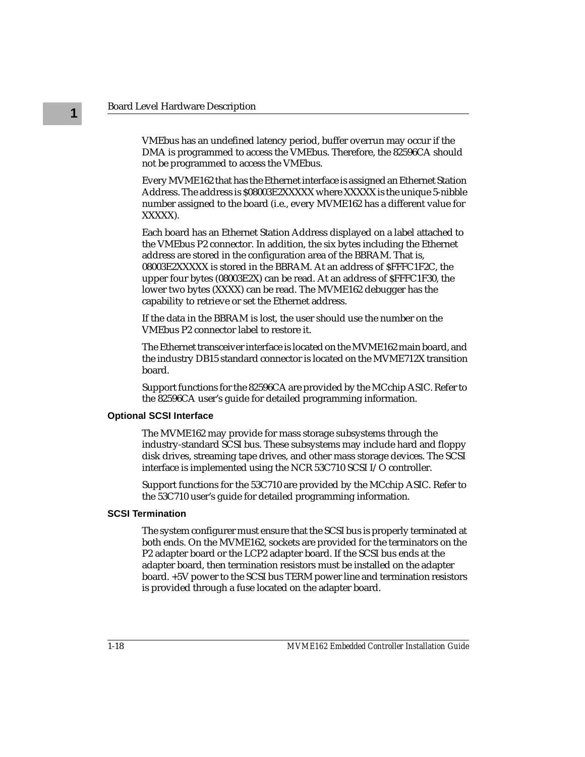VMEbus has an undefined latency period, buffer overrun may occur if the DMA is programmed to access the VMEbus. Therefore, the 82596CA should not be programmed to access the VMEbus.

Every MVME162 that has the Ethernet interface is assigned an Ethernet Station Address. The address is \$08003E2XXXXX where XXXXX is the unique 5-nibble number assigned to the board (i.e., every MVME162 has a different value for XXXXX).

Each board has an Ethernet Station Address displayed on a label attached to the VMEbus P2 connector. In addition, the six bytes including the Ethernet address are stored in the configuration area of the BBRAM. That is, 08003E2XXXXX is stored in the BBRAM. At an address of \$FFFC1F2C, the upper four bytes (08003E2X) can be read. At an address of \$FFFC1F30, the lower two bytes (XXXX) can be read. The MVME162 debugger has the capability to retrieve or set the Ethernet address.

If the data in the BBRAM is lost, the user should use the number on the VMEbus P2 connector label to restore it.

The Ethernet transceiver interface is located on the MVME162 main board, and the industry DB15 standard connector is located on the MVME712X transition board.

Support functions for the 82596CA are provided by the MCchip ASIC. Refer to the 82596CA user's guide for detailed programming information.

#### **Optional SCSI Interface**

The MVME162 may provide for mass storage subsystems through the industry-standard SCSI bus. These subsystems may include hard and floppy disk drives, streaming tape drives, and other mass storage devices. The SCSI interface is implemented using the NCR 53C710 SCSI I/O controller.

Support functions for the 53C710 are provided by the MCchip ASIC. Refer to the 53C710 user's guide for detailed programming information.

#### **SCSI Termination**

The system configurer must ensure that the SCSI bus is properly terminated at both ends. On the MVME162, sockets are provided for the terminators on the P2 adapter board or the LCP2 adapter board. If the SCSI bus ends at the adapter board, then termination resistors must be installed on the adapter board. +5V power to the SCSI bus TERM power line and termination resistors is provided through a fuse located on the adapter board.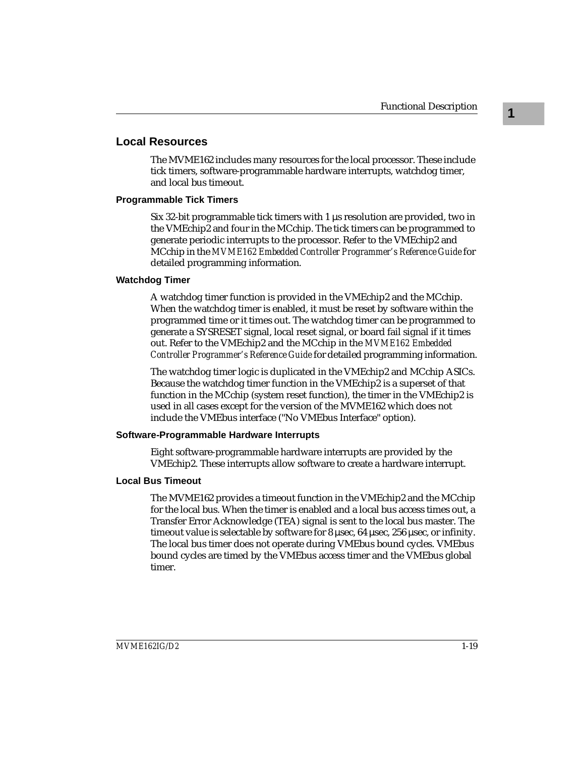#### **Local Resources**

The MVME162 includes many resources for the local processor. These include tick timers, software-programmable hardware interrupts, watchdog timer, and local bus timeout.

#### **Programmable Tick Timers**

Six 32-bit programmable tick timers with 1 µs resolution are provided, two in the VMEchip2 and four in the MCchip. The tick timers can be programmed to generate periodic interrupts to the processor. Refer to the VMEchip2 and MCchip in the *MVME162 Embedded Controller Programmer's Reference Guide* for detailed programming information.

#### **Watchdog Timer**

A watchdog timer function is provided in the VMEchip2 and the MCchip. When the watchdog timer is enabled, it must be reset by software within the programmed time or it times out. The watchdog timer can be programmed to generate a SYSRESET signal, local reset signal, or board fail signal if it times out. Refer to the VMEchip2 and the MCchip in the *MVME162 Embedded Controller Programmer's Reference Guide* for detailed programming information.

The watchdog timer logic is duplicated in the VMEchip2 and MCchip ASICs. Because the watchdog timer function in the VMEchip2 is a superset of that function in the MCchip (system reset function), the timer in the VMEchip2 is used in all cases except for the version of the MVME162 which does not include the VMEbus interface ("No VMEbus Interface" option).

#### **Software-Programmable Hardware Interrupts**

Eight software-programmable hardware interrupts are provided by the VMEchip2. These interrupts allow software to create a hardware interrupt.

#### **Local Bus Timeout**

The MVME162 provides a timeout function in the VMEchip2 and the MCchip for the local bus. When the timer is enabled and a local bus access times out, a Transfer Error Acknowledge (TEA) signal is sent to the local bus master. The timeout value is selectable by software for 8 µsec, 64 µsec, 256 µsec, or infinity. The local bus timer does not operate during VMEbus bound cycles. VMEbus bound cycles are timed by the VMEbus access timer and the VMEbus global timer.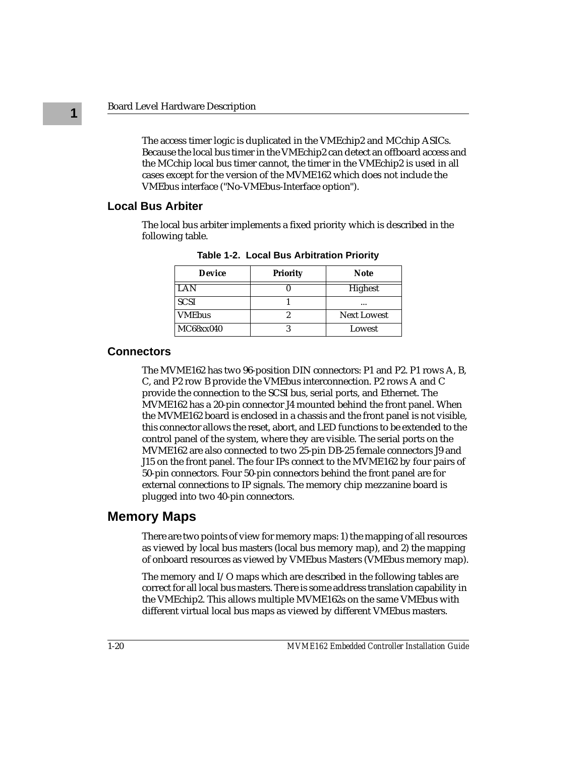The access timer logic is duplicated in the VMEchip2 and MCchip ASICs. Because the local bus timer in the VMEchip2 can detect an offboard access and the MCchip local bus timer cannot, the timer in the VMEchip2 is used in all cases except for the version of the MVME162 which does not include the VMEbus interface ("No-VMEbus-Interface option").

#### **Local Bus Arbiter**

The local bus arbiter implements a fixed priority which is described in the following table.

| <b>Device</b> | <b>Priority</b> | <b>Note</b>        |
|---------------|-----------------|--------------------|
| LAN           |                 | Highest            |
| <b>SCSI</b>   |                 |                    |
| <b>VMEbus</b> |                 | <b>Next Lowest</b> |
| MC68xx040     |                 | Lowest             |

**Table 1-2. Local Bus Arbitration Priority**

#### **Connectors**

The MVME162 has two 96-position DIN connectors: P1 and P2. P1 rows A, B, C, and P2 row B provide the VMEbus interconnection. P2 rows A and C provide the connection to the SCSI bus, serial ports, and Ethernet. The MVME162 has a 20-pin connector J4 mounted behind the front panel. When the MVME162 board is enclosed in a chassis and the front panel is not visible, this connector allows the reset, abort, and LED functions to be extended to the control panel of the system, where they are visible. The serial ports on the MVME162 are also connected to two 25-pin DB-25 female connectors J9 and J15 on the front panel. The four IPs connect to the MVME162 by four pairs of 50-pin connectors. Four 50-pin connectors behind the front panel are for external connections to IP signals. The memory chip mezzanine board is plugged into two 40-pin connectors.

### **Memory Maps**

There are two points of view for memory maps: 1) the mapping of all resources as viewed by local bus masters (local bus memory map), and 2) the mapping of onboard resources as viewed by VMEbus Masters (VMEbus memory map).

The memory and I/O maps which are described in the following tables are correct for all local bus masters. There is some address translation capability in the VMEchip2. This allows multiple MVME162s on the same VMEbus with different virtual local bus maps as viewed by different VMEbus masters.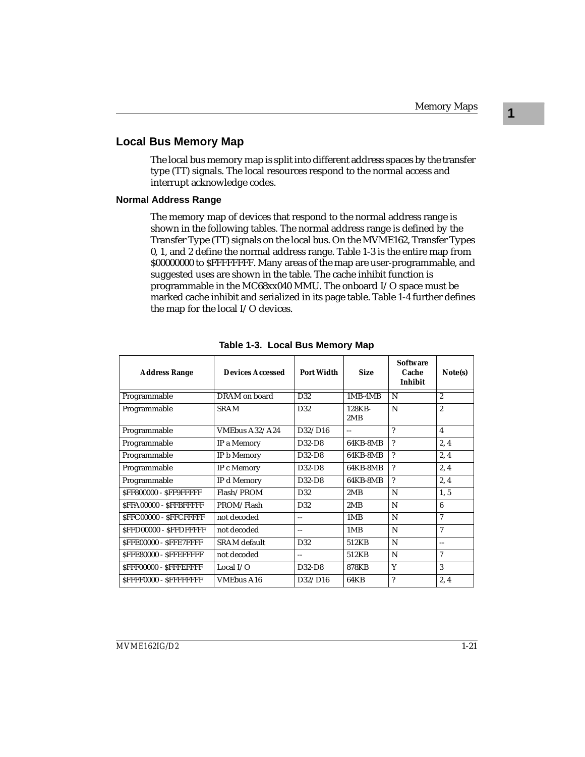### **Local Bus Memory Map**

The local bus memory map is split into different address spaces by the transfer type (TT) signals. The local resources respond to the normal access and interrupt acknowledge codes.

#### **Normal Address Range**

The memory map of devices that respond to the normal address range is shown in the following tables. The normal address range is defined by the Transfer Type (TT) signals on the local bus. On the MVME162, Transfer Types 0, 1, and 2 define the normal address range. Table 1-3 is the entire map from \$00000000 to \$FFFFFFFF. Many areas of the map are user-programmable, and suggested uses are shown in the table. The cache inhibit function is programmable in the MC68xx040 MMU. The onboard I/O space must be marked cache inhibit and serialized in its page table. Table 1-4 further defines the map for the local I/O devices.

| <b>Address Range</b>          | Devices Accessed    | Port Width      | <b>Size</b>   | <b>Software</b><br>Cache<br>Inhibit | Note(s)        |
|-------------------------------|---------------------|-----------------|---------------|-------------------------------------|----------------|
| Programmable                  | DRAM on board       | D32             | $1MB-4MB$     | N                                   | $\overline{2}$ |
| Programmable                  | <b>SRAM</b>         | D32             | 128KB-<br>2MB | N                                   | $\overline{2}$ |
| Programmable                  | VMEbus A32/A24      | D32/D16         | $-$           | $\gamma$                            | $\overline{4}$ |
| Programmable                  | IP a Memory         | $D32-D8$        | 64KB-8MB      | $\gamma$                            | 2, 4           |
| Programmable                  | IP b Memory         | $D32-D8$        | 64KB-8MB      | $\boldsymbol{\mathcal{P}}$          | 2, 4           |
| Programmable                  | IP c Memory         | $D32-D8$        | 64KB-8MB      | ?                                   | 2, 4           |
| Programmable                  | IP d Memory         | $D32-D8$        | 64KB-8MB      | $\gamma$                            | 2, 4           |
| SFF800000 - SFF9FFFFF         | Flash/PROM          | D <sub>32</sub> | 2MR           | N                                   | 1, 5           |
| SFFA00000 - SFFBFFFFF         | PROM/Flash          | D32             | 2MB           | N                                   | 6              |
| <b>SFFC00000 - SFFCFFFFF</b>  | not decoded         | $\sim$          | 1MB           | N                                   | 7              |
| SFFD00000 - SFFDFFFFF         | not decoded         | $-$             | 1MB           | N                                   | 7              |
| SFFE00000 - SFFE7FFFF         | <b>SRAM</b> default | D <sub>32</sub> | 512KB         | N                                   | $\overline{a}$ |
| <b>SFFE80000 - SFFEFFFFFF</b> | not decoded         | $- -$           | 512KB         | N                                   | 7              |
| SFFF00000 - SFFFEFFFF         | Local $I/O$         | $D32-D8$        | <b>878KB</b>  | Y                                   | 3              |
| <b>SFFFF0000 - SFFFFFFFFF</b> | <b>VMEbus A16</b>   | D32/D16         | 64KB          | $\overline{\phantom{a}}$            | 2.4            |

**Table 1-3. Local Bus Memory Map**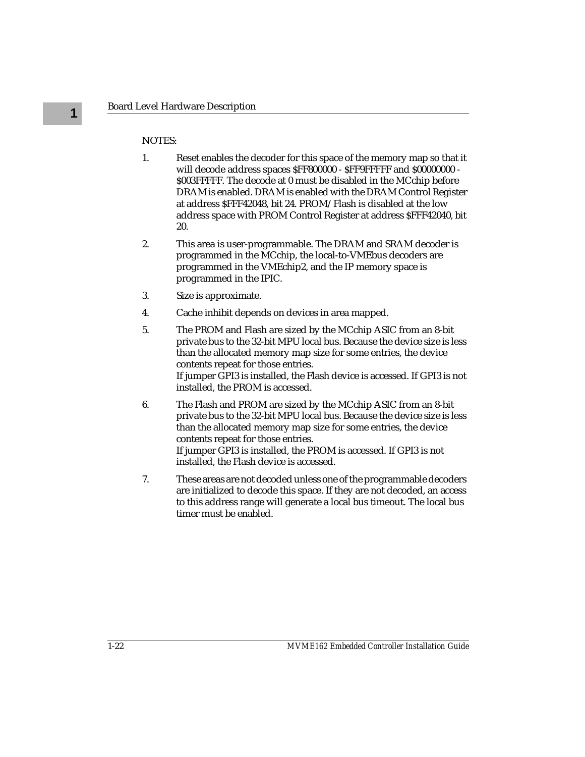#### NOTES:

- 1. Reset enables the decoder for this space of the memory map so that it will decode address spaces \$FF800000 - \$FF9FFFFF and \$00000000 - \$003FFFFF. The decode at 0 must be disabled in the MCchip before DRAM is enabled. DRAM is enabled with the DRAM Control Register at address \$FFF42048, bit 24. PROM/Flash is disabled at the low address space with PROM Control Register at address \$FFF42040, bit 20.
- 2. This area is user-programmable. The DRAM and SRAM decoder is programmed in the MCchip, the local-to-VMEbus decoders are programmed in the VMEchip2, and the IP memory space is programmed in the IPIC.
- 3. Size is approximate.
- 4. Cache inhibit depends on devices in area mapped.
- 5. The PROM and Flash are sized by the MCchip ASIC from an 8-bit private bus to the 32-bit MPU local bus. Because the device size is less than the allocated memory map size for some entries, the device contents repeat for those entries. If jumper GPI3 is installed, the Flash device is accessed. If GPI3 is not installed, the PROM is accessed.
- 6. The Flash and PROM are sized by the MCchip ASIC from an 8-bit private bus to the 32-bit MPU local bus. Because the device size is less than the allocated memory map size for some entries, the device contents repeat for those entries. If jumper GPI3 is installed, the PROM is accessed. If GPI3 is not installed, the Flash device is accessed.
- 7. These areas are not decoded unless one of the programmable decoders are initialized to decode this space. If they are not decoded, an access to this address range will generate a local bus timeout. The local bus timer must be enabled.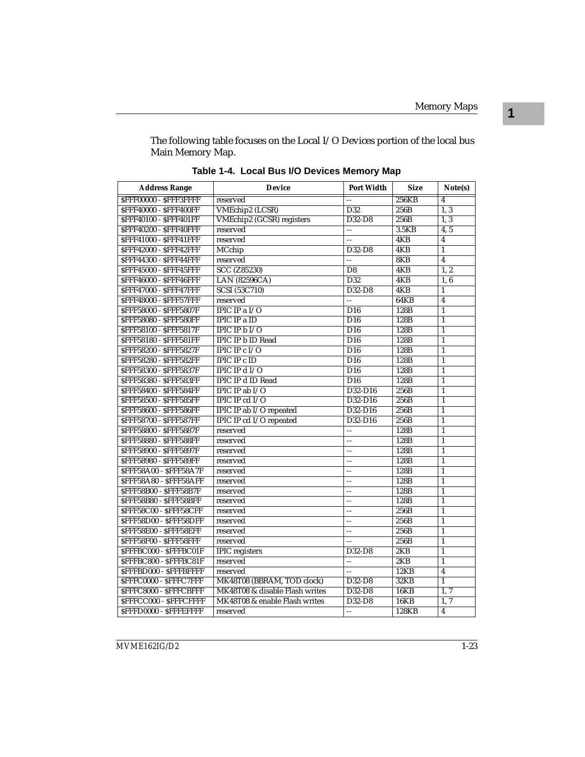The following table focuses on the Local I/O Devices portion of the local bus Main Memory Map.

| <b>Address Range</b>           | <b>Device</b>                    | <b>Port Width</b> | <b>Size</b> | Note(s)                 |
|--------------------------------|----------------------------------|-------------------|-------------|-------------------------|
| <b>SFFF00000 - SFFF3FFFF</b>   | reserved                         |                   | 256KB       | 4                       |
| <b>SFFF40000 - SFFF400FF</b>   | VMEchip2 (LCSR)                  | D32               | 256B        | 1, 3                    |
| <b>SFFF40100 - SFFF401FF</b>   | <b>VMEchip2</b> (GCSR) registers | $D32-D8$          | 256B        | $\overline{1.3}$        |
| <b>SFFF40200 - SFFF40FFF</b>   | reserved                         | uu.               | 3.5KB       | 4, 5                    |
| <b>SFFF41000 - SFFF41FFF</b>   | reserved                         | 44                | 4KB         | $\overline{\mathbf{4}}$ |
| SFFF42000 - SFFF42FFF          | MCchip                           | D32-D8            | 4KB         | $\mathbf{1}$            |
| <b>SFFF44300 - SFFF44FFF</b>   | reserved                         | 4                 | 8KB         | $\overline{4}$          |
| SFFF45000 - SFFF45FFF          | SCC (Z85230)                     | D <sub>8</sub>    | 4KB         | $\overline{1,2}$        |
| <b>SFFF46000 - SFFF46FFF</b>   | LAN (82596CA)                    | D32               | 4KB         | 1,6                     |
| <b>SFFF47000 - SFFF47FFF</b>   | <b>SCSI</b> (53C710)             | D32-D8            | 4KB         | $\mathbf{1}$            |
| <b>SFFF48000 - SFFF57FFF</b>   | reserved                         | LL.               | 64KB        | $\overline{4}$          |
| <b>SFFF58000 - SFFF5807F</b>   | IPIC IP a I/O                    | D16               | 128B        | $\mathbf{1}$            |
| <b>\$FFF58080 - \$FFF580FF</b> | <b>IPIC IP a ID</b>              | D16               | 128B        | $\overline{1}$          |
| <b>SFFF58100 - SFFF5817F</b>   | <b>IPIC IP <math>bI/O</math></b> | $\overline{D16}$  | 128B        | $\mathbf{1}$            |
| <b>\$FFF58180 - \$FFF581FF</b> | <b>IPIC IP b ID Read</b>         | D16               | 128B        | $\mathbf{1}$            |
| <b>SFFF58200 - SFFF5827F</b>   | <b>IPIC IP c</b> $I/O$           | $\overline{D16}$  | 128B        | $\overline{1}$          |
| <b>SFFF58280 - SFFF582FF</b>   | <b>IPIC IP c ID</b>              | D <sub>16</sub>   | 128B        | $\mathbf{1}$            |
| <b>SFFF58300 - SFFF5837F</b>   | <b>IPIC IP d I/O</b>             | D16               | 128B        | $\mathbf{1}$            |
| <b>SFFF58380 - SFFF583FF</b>   | <b>IPIC IP d ID Read</b>         | D16               | 128B        | $\mathbf{1}$            |
| <b>\$FFF58400 - \$FFF584FF</b> | IPIC IP ab I/O                   | D32-D16           | 256B        | $\mathbf{1}$            |
| <b>SFFF58500 - SFFF585FF</b>   | IPIC IP cd I/O                   | D32-D16           | 256B        | $\mathbf{1}$            |
| <b>\$FFF58600 - \$FFF586FF</b> | IPIC IP ab I/O repeated          | D32-D16           | 256B        | $\mathbf{1}$            |
| <b>SFFF58700 - SFFF587FF</b>   | IPIC IP cd I/O repeated          | D32-D16           | 256B        | $\mathbf{1}$            |
| <b>SFFF58800 - SFFF5887F</b>   | reserved                         | 44                | 128B        | $\mathbf{1}$            |
| <b>\$FFF58880 - \$FFF588FF</b> | reserved                         | uu.               | 128B        | $\mathbf{1}$            |
| <b>SFFF58900 - SFFF5897F</b>   | reserved                         | LL.               | 128B        | $\mathbf{1}$            |
| <b>\$FFF58980 - \$FFF589FF</b> | reserved                         | $-$               | 128B        | $\overline{1}$          |
| <b>\$FFF58A00 - \$FFF58A7F</b> | reserved                         | $=$               | 128B        | $\mathbf{1}$            |
| <b>SFFF58A80 - SFFF58AFF</b>   | reserved                         | --                | 128B        | $\mathbf{1}$            |
| SFFF58B00 - SFFF58B7F          | reserved                         | ۵.                | 128B        | $\mathbf{1}$            |
| <b>\$FFF58B80 - \$FFF58BFF</b> | reserved                         |                   | 128B        | $\mathbf{1}$            |
| SFFF58C00 - SFFF58CFF          | reserved                         | LL.               | 256B        | $\mathbf{1}$            |
| <b>\$FFF58D00 - \$FFF58DFF</b> | reserved                         | --                | 256B        | $\mathbf{1}$            |
| SFFF58E00 - SFFF58EFF          | reserved                         | $\overline{a}$    | 256B        | $\mathbf{1}$            |
| <b>SFFF58F00 - SFFF58FFF</b>   | reserved                         |                   | 256B        | $\overline{1}$          |
| <b>\$FFFBC000 - \$FFFBC01F</b> | <b>IPIC</b> registers            | D32-D8            | 2KB         | $\mathbf{1}$            |
| <b>\$FFFBC800 - \$FFFBC81F</b> | reserved                         | 44                | 2KB         | $\mathbf{1}$            |
| <b>SFFFBD000 - SFFFBFFFF</b>   | reserved                         |                   | 12KB        | 4                       |
| <b>SFFFC0000 - SFFFC7FFF</b>   | MK48T08 (BBRAM, TOD clock)       | D32-D8            | 32KB        | $\overline{1}$          |
| <b>SFFFC8000 - SFFFCBFFF</b>   | MK48T08 & disable Flash writes   | D32-D8            | <b>16KB</b> | 1, 7                    |
| <b>SFFFCC000 - SFFFCFFFF</b>   | MK48T08 & enable Flash writes    | D32-D8            | 16KB        | 1, 7                    |
| SFFFD0000 - SFFFEFFFF          | reserved                         | ωü,               | 128KB       | $\overline{4}$          |

**Table 1-4. Local Bus I/O Devices Memory Map**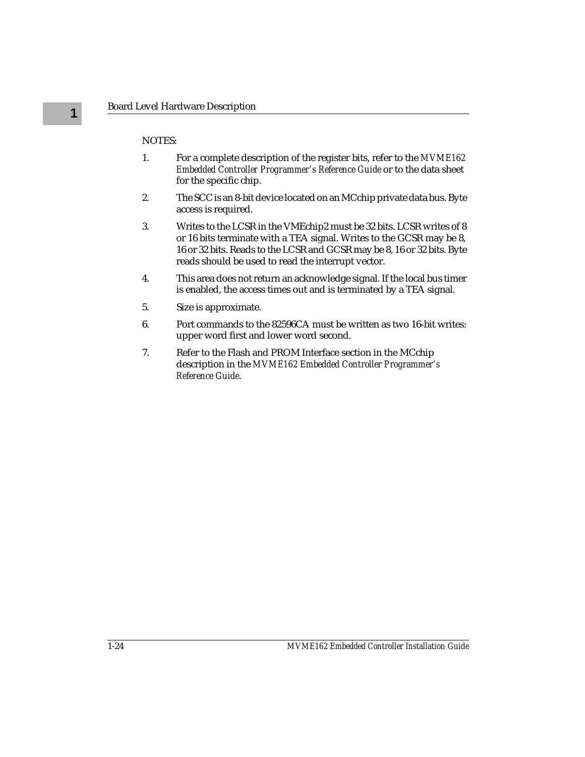#### NOTES:

- 1. For a complete description of the register bits, refer to the *MVME162 Embedded Controller Programmer's Reference Guide* or to the data sheet for the specific chip.
- 2. The SCC is an 8-bit device located on an MCchip private data bus. Byte access is required.
- 3. Writes to the LCSR in the VMEchip2 must be 32 bits. LCSR writes of 8 or 16 bits terminate with a TEA signal. Writes to the GCSR may be 8, 16 or 32 bits. Reads to the LCSR and GCSR may be 8, 16 or 32 bits. Byte reads should be used to read the interrupt vector.
- 4. This area does not return an acknowledge signal. If the local bus timer is enabled, the access times out and is terminated by a TEA signal.
- 5. Size is approximate.
- 6. Port commands to the 82596CA must be written as two 16-bit writes: upper word first and lower word second.
- 7. Refer to the Flash and PROM Interface section in the MCchip description in the *MVME162 Embedded Controller Programmer's Reference Guide*.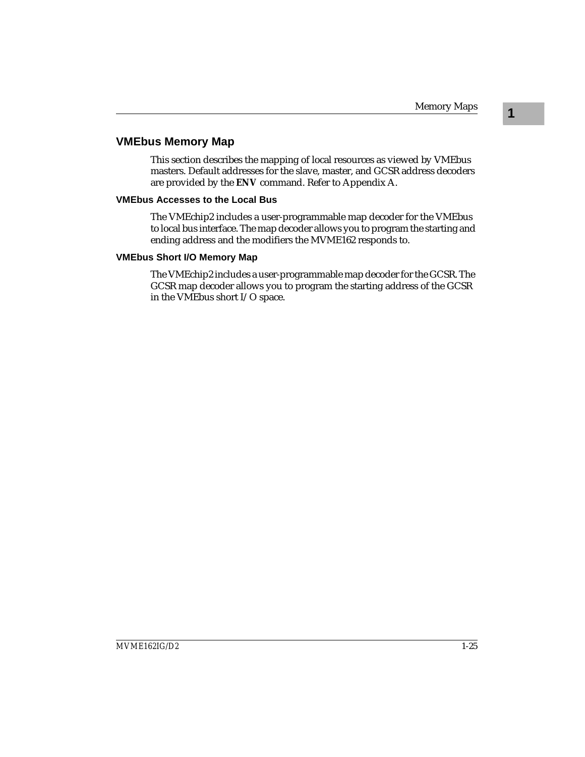**1**

#### **VMEbus Memory Map**

This section describes the mapping of local resources as viewed by VMEbus masters. Default addresses for the slave, master, and GCSR address decoders are provided by the **ENV** command. Refer to Appendix A.

#### **VMEbus Accesses to the Local Bus**

The VMEchip2 includes a user-programmable map decoder for the VMEbus to local bus interface. The map decoder allows you to program the starting and ending address and the modifiers the MVME162 responds to.

#### **VMEbus Short I/O Memory Map**

The VMEchip2 includes a user-programmable map decoder for the GCSR. The GCSR map decoder allows you to program the starting address of the GCSR in the VMEbus short I/O space.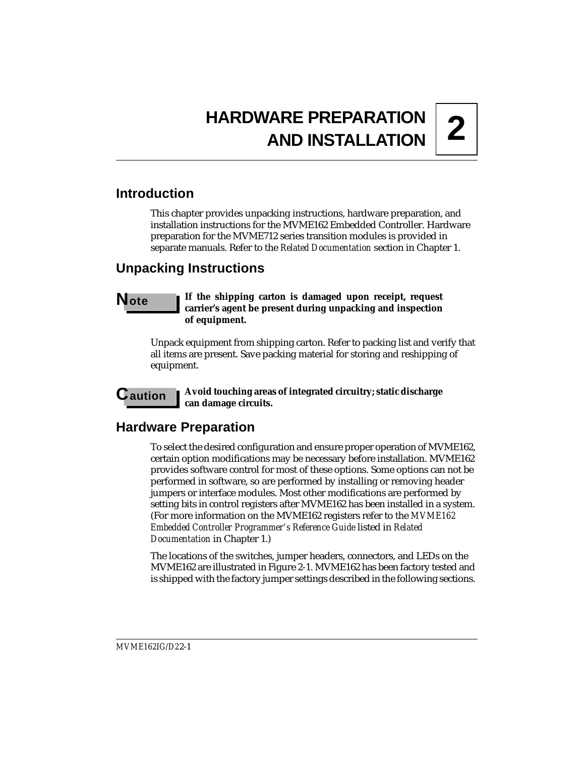# **2 HARDWARE PREPARATION AND INSTALLATION**

## **Introduction**

This chapter provides unpacking instructions, hardware preparation, and installation instructions for the MVME162 Embedded Controller. Hardware preparation for the MVME712 series transition modules is provided in separate manuals. Refer to the *Related Documentation* section in Chapter 1.

## **Unpacking Instructions**

#### **Note I** If the shipping carton is damaged upon receipt, request **carrier's agent be present during unpacking and inspection of equipment.**

Unpack equipment from shipping carton. Refer to packing list and verify that all items are present. Save packing material for storing and reshipping of equipment.

**C** aution **I** Avoid touching areas of integrated circuitry; static discharge **can damage circuits.**

## **Hardware Preparation**

To select the desired configuration and ensure proper operation of MVME162, certain option modifications may be necessary before installation. MVME162 provides software control for most of these options. Some options can not be performed in software, so are performed by installing or removing header jumpers or interface modules. Most other modifications are performed by setting bits in control registers after MVME162 has been installed in a system. (For more information on the MVME162 registers refer to the *MVME162 Embedded Controller Programmer's Reference Guide* listed in *Related Documentation* in Chapter 1.)

The locations of the switches, jumper headers, connectors, and LEDs on the MVME162 are illustrated in Figure 2-1. MVME162 has been factory tested and is shipped with the factory jumper settings described in the following sections.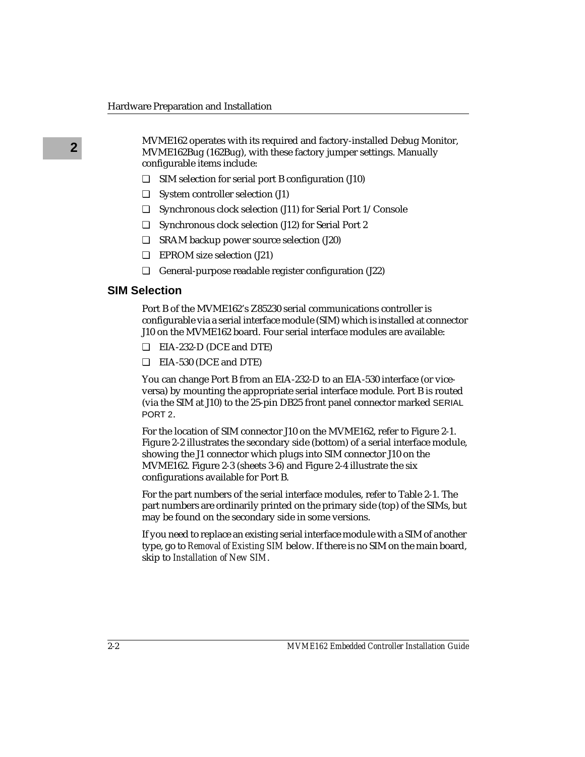**2** MVME162 operates with its required and factory-installed Debug Monitor, MVME162Bug (162Bug), with these factory jumper settings. Manually configurable items include:

- ❏ SIM selection for serial port B configuration (J10)
- ❏ System controller selection (J1)
- ❏ Synchronous clock selection (J11) for Serial Port 1/Console
- ❏ Synchronous clock selection (J12) for Serial Port 2
- ❏ SRAM backup power source selection (J20)
- ❏ EPROM size selection (J21)
- ❏ General-purpose readable register configuration (J22)

#### **SIM Selection**

Port B of the MVME162's Z85230 serial communications controller is configurable via a serial interface module (SIM) which is installed at connector J10 on the MVME162 board. Four serial interface modules are available:

- ❏ EIA-232-D (DCE and DTE)
- ❏ EIA-530 (DCE and DTE)

You can change Port B from an EIA-232-D to an EIA-530 interface (or viceversa) by mounting the appropriate serial interface module. Port B is routed (via the SIM at J10) to the 25-pin DB25 front panel connector marked SERIAL PORT 2.

For the location of SIM connector J10 on the MVME162, refer to Figure 2-1. Figure 2-2 illustrates the secondary side (bottom) of a serial interface module, showing the J1 connector which plugs into SIM connector J10 on the MVME162. Figure 2-3 (sheets 3-6) and Figure 2-4 illustrate the six configurations available for Port B.

For the part numbers of the serial interface modules, refer to Table 2-1. The part numbers are ordinarily printed on the primary side (top) of the SIMs, but may be found on the secondary side in some versions.

If you need to replace an existing serial interface module with a SIM of another type, go to *Removal of Existing SIM* below. If there is no SIM on the main board, skip to *Installation of New SIM*.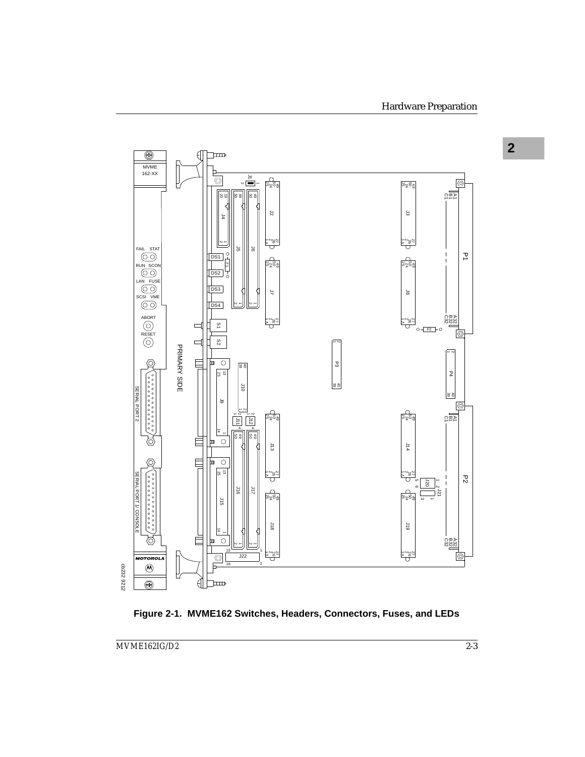

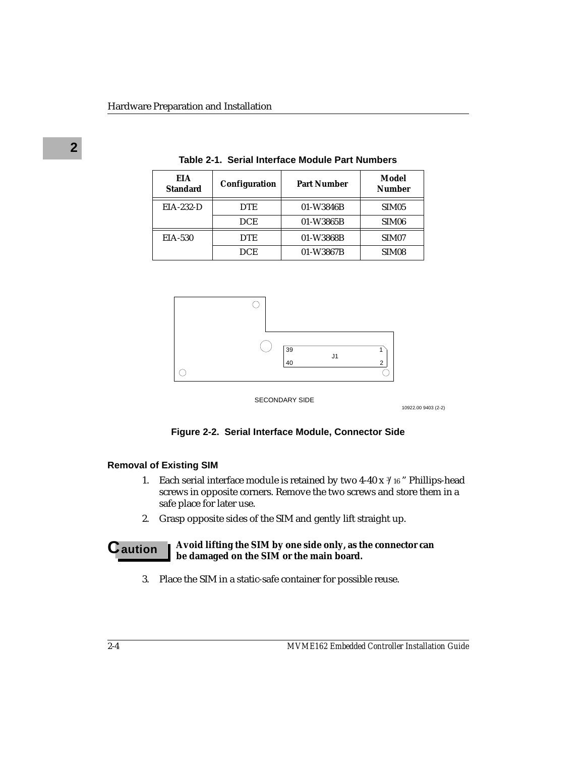| EIA<br><b>Standard</b> | Configuration | <b>Part Number</b> | Model<br><b>Number</b> |
|------------------------|---------------|--------------------|------------------------|
| $EIA-232-D$            | <b>DTE</b>    | 01-W3846B          | SIM <sub>05</sub>      |
|                        | <b>DCE</b>    | 01-W3865B          | SIM <sub>06</sub>      |
| <b>EIA-530</b>         | <b>DTE</b>    | 01-W3868B          | SIM <sub>07</sub>      |
|                        | <b>DCE</b>    | 01-W3867B          | SIM <sub>08</sub>      |

**Table 2-1. Serial Interface Module Part Numbers**



SECONDARY SIDE

10922.00 9403 (2-2)

#### **Figure 2-2. Serial Interface Module, Connector Side**

#### **Removal of Existing SIM**

- 1. Each serial interface module is retained by two 4-40 x 3 /16 " Phillips-head screws in opposite corners. Remove the two screws and store them in a safe place for later use.
- 2. Grasp opposite sides of the SIM and gently lift straight up.

#### **C** aution **A**void lifting the SIM by one side only, as the connector can **be damaged on the SIM or the main board.**

3. Place the SIM in a static-safe container for possible reuse.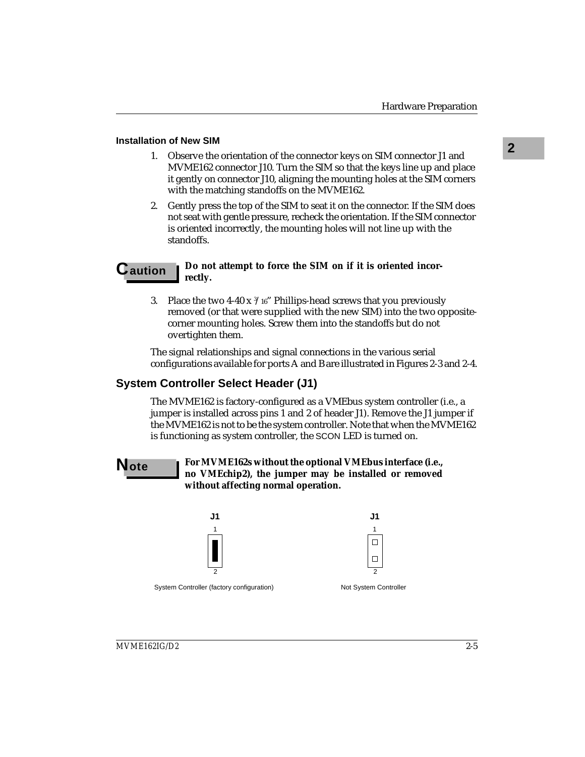- **2 Installation of New SIM** 1. Observe the orientation of the connector keys on SIM connector J1 and MVME162 connector J10. Turn the SIM so that the keys line up and place it gently on connector J10, aligning the mounting holes at the SIM corners with the matching standoffs on the MVME162.
	- 2. Gently press the top of the SIM to seat it on the connector. If the SIM does not seat with gentle pressure, recheck the orientation. If the SIM connector is oriented incorrectly, the mounting holes will not line up with the standoffs.

### **C** aution  $\parallel$  Do not attempt to force the SIM on if it is oriented incor**rectly.**

3. Place the two 4-40 x  $\frac{3}{16}$  Phillips-head screws that you previously removed (or that were supplied with the new SIM) into the two oppositecorner mounting holes. Screw them into the standoffs but do not overtighten them.

The signal relationships and signal connections in the various serial configurations available for ports A and B are illustrated in Figures 2-3 and 2-4.

# **System Controller Select Header (J1)**

The MVME162 is factory-configured as a VMEbus system controller (i.e., a jumper is installed across pins 1 and 2 of header J1). Remove the J1 jumper if the MVME162 is not to be the system controller. Note that when the MVME162 is functioning as system controller, the SCON LED is turned on.

**Note For MVME162s without the optional VMEbus interface (i.e., no VMEchip2), the jumper may be installed or removed without affecting normal operation.**





System Controller (factory configuration) Not System Controller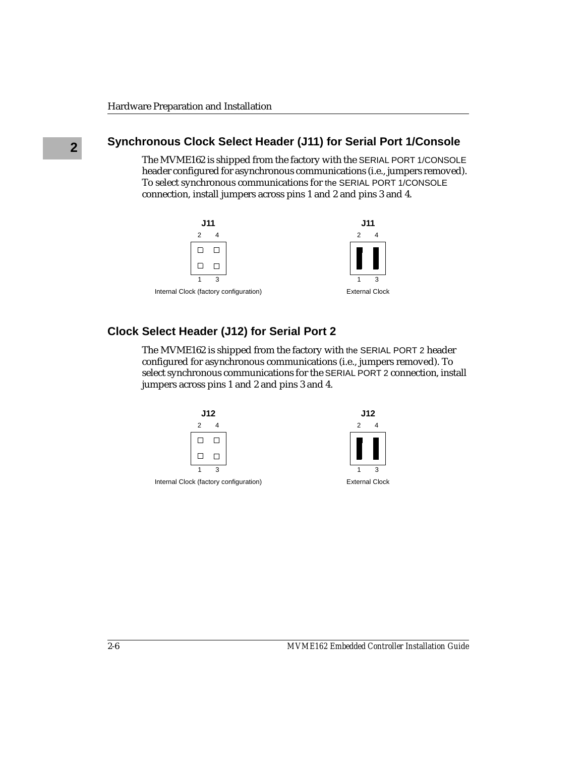# **2 Synchronous Clock Select Header (J11) for Serial Port 1/Console**

The MVME162 is shipped from the factory with the SERIAL PORT 1/CONSOLE header configured for asynchronous communications (i.e., jumpers removed). To select synchronous communications for the SERIAL PORT 1/CONSOLE connection, install jumpers across pins 1 and 2 and pins 3 and 4.



# **Clock Select Header (J12) for Serial Port 2**

The MVME162 is shipped from the factory with the SERIAL PORT 2 header configured for asynchronous communications (i.e., jumpers removed). To select synchronous communications for the SERIAL PORT 2 connection, install jumpers across pins 1 and 2 and pins 3 and 4.



Internal Clock (factory configuration) External Clock

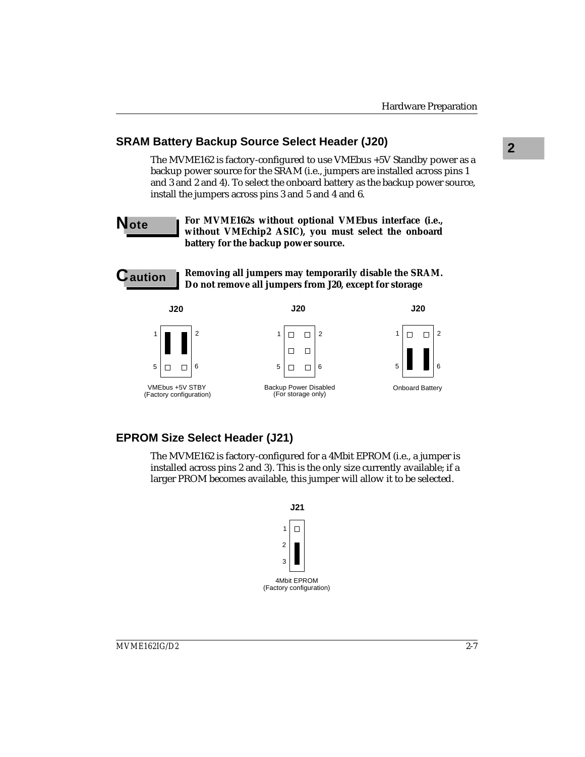# **2 SRAM Battery Backup Source Select Header (J20)**

The MVME162 is factory-configured to use VMEbus +5V Standby power as a backup power source for the SRAM (i.e., jumpers are installed across pins 1 and 3 and 2 and 4). To select the onboard battery as the backup power source, install the jumpers across pins 3 and 5 and 4 and 6.

**Note For MVME162s without optional VMEbus interface (i.e., without VMEchip2 ASIC), you must select the onboard battery for the backup power source.**



**Caution Removing all jumpers may temporarily disable the SRAM. Do not remove all jumpers from J20, except for storage**



# **EPROM Size Select Header (J21)**

The MVME162 is factory-configured for a 4Mbit EPROM (i.e., a jumper is installed across pins 2 and 3). This is the only size currently available; if a larger PROM becomes available, this jumper will allow it to be selected.

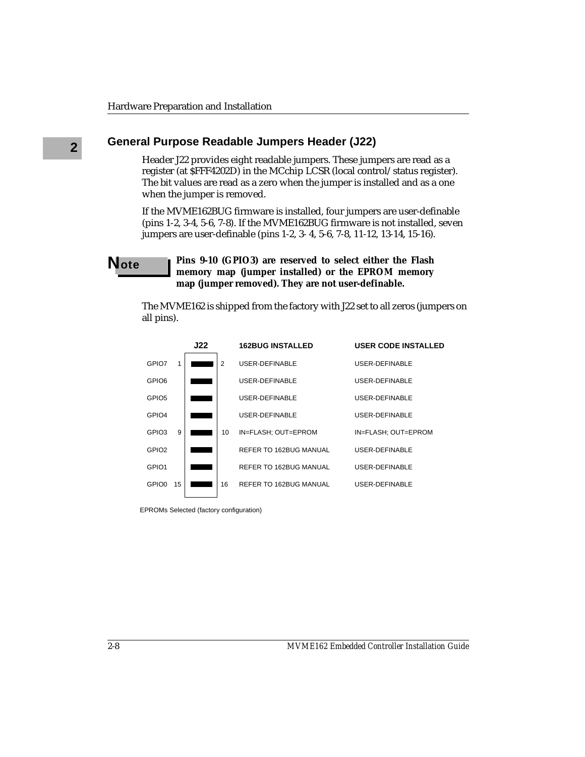# **2 General Purpose Readable Jumpers Header (J22)**

Header J22 provides eight readable jumpers. These jumpers are read as a register (at \$FFF4202D) in the MCchip LCSR (local control/status register). The bit values are read as a zero when the jumper is installed and as a one when the jumper is removed.

If the MVME162BUG firmware is installed, four jumpers are user-definable (pins 1-2, 3-4, 5-6, 7-8). If the MVME162BUG firmware is not installed, seven jumpers are user-definable (pins 1-2, 3- 4, 5-6, 7-8, 11-12, 13-14, 15-16).

### **Note Pins 9-10 (GPIO3)** are reserved to select either the Flash **memory map (jumper installed) or the EPROM memory map (jumper removed). They are not user-definable.**

The MVME162 is shipped from the factory with J22 set to all zeros (jumpers on all pins).

|                   |    | J22 |    | <b>162BUG INSTALLED</b> | <b>USER CODE INSTALLED</b> |
|-------------------|----|-----|----|-------------------------|----------------------------|
| GPIO7             | 1  |     | 2  | USER-DEFINABLE          | USER-DEFINABLE             |
| GPIO6             |    |     |    | USER-DEFINABLE          | USER-DEFINABLE             |
| GPIO <sub>5</sub> |    |     |    | USER-DEFINABLE          | USER-DEFINABLE             |
| GPIO <sub>4</sub> |    |     |    | USER-DEFINABLE          | USER-DEFINABLE             |
| GPIO <sub>3</sub> | 9  |     | 10 | IN=FLASH: OUT=EPROM     | IN=FLASH: OUT=EPROM        |
| GPIO <sub>2</sub> |    |     |    | REFER TO 162BUG MANUAL  | USER-DEFINABLE             |
| GPIO <sub>1</sub> |    |     |    | REFER TO 162BUG MANUAL  | USER-DEFINABLE             |
| GPIO0             | 15 |     | 16 | REFER TO 162BUG MANUAL  | USER-DEFINABLE             |
|                   |    |     |    |                         |                            |

EPROMs Selected (factory configuration)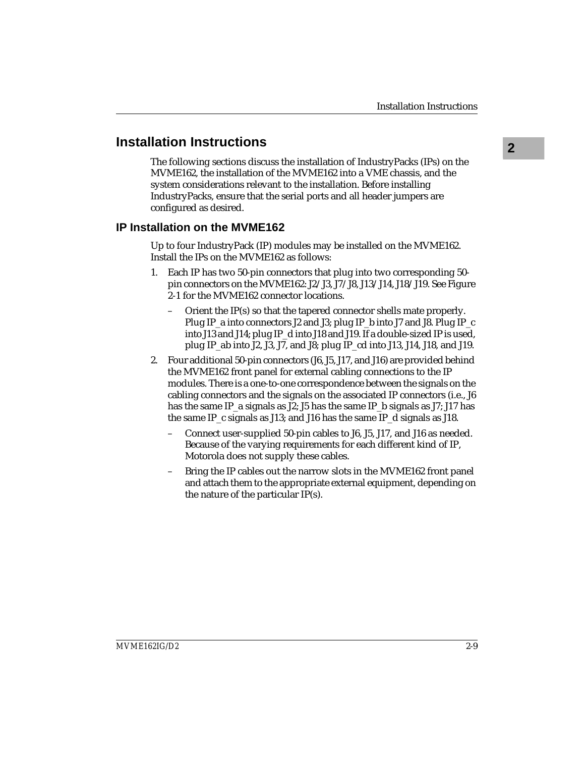# **<sup>2</sup> Installation Instructions**

The following sections discuss the installation of IndustryPacks (IPs) on the MVME162, the installation of the MVME162 into a VME chassis, and the system considerations relevant to the installation. Before installing IndustryPacks, ensure that the serial ports and all header jumpers are configured as desired.

## **IP Installation on the MVME162**

Up to four IndustryPack (IP) modules may be installed on the MVME162. Install the IPs on the MVME162 as follows:

- 1. Each IP has two 50-pin connectors that plug into two corresponding 50 pin connectors on the MVME162: J2/J3, J7/J8, J13/J14, J18/J19. See Figure 2-1 for the MVME162 connector locations.
	- Orient the IP(s) so that the tapered connector shells mate properly. Plug IP\_a into connectors J2 and J3; plug IP\_b into J7 and J8. Plug IP\_c into J13 and J14; plug IP\_d into J18 and J19. If a double-sized IP is used, plug IP\_ab into J2, J3, J7, and J8; plug IP\_cd into J13, J14, J18, and J19.
- 2. Four additional 50-pin connectors (J6, J5, J17, and J16) are provided behind the MVME162 front panel for external cabling connections to the IP modules. There is a one-to-one correspondence between the signals on the cabling connectors and the signals on the associated IP connectors (i.e., J6 has the same IP\_a signals as J2; J5 has the same IP\_b signals as J7; J17 has the same IP  $\,$  c signals as J13; and J16 has the same IP  $\,$  d signals as J18.
	- Connect user-supplied 50-pin cables to J6, J5, J17, and J16 as needed. Because of the varying requirements for each different kind of IP, Motorola does not supply these cables.
	- Bring the IP cables out the narrow slots in the MVME162 front panel and attach them to the appropriate external equipment, depending on the nature of the particular IP(s).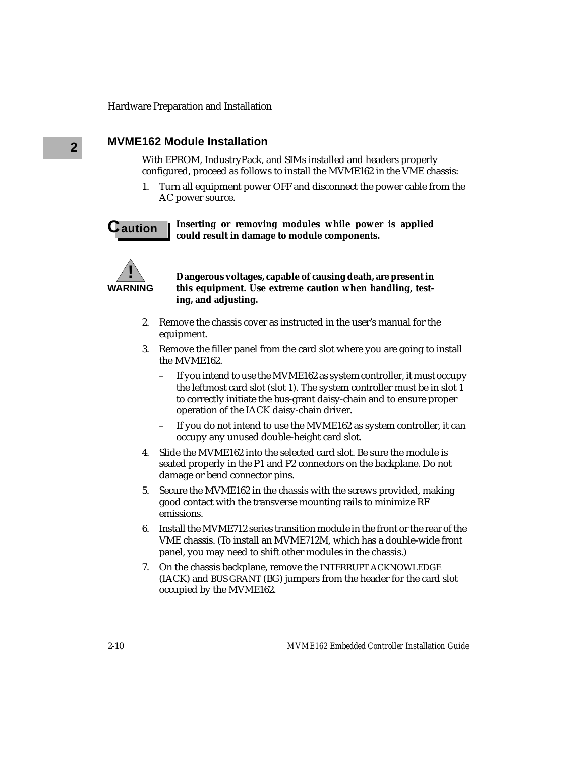# **2 MVME162 Module Installation**

With EPROM, IndustryPack, and SIMs installed and headers properly configured, proceed as follows to install the MVME162 in the VME chassis:

1. Turn all equipment power OFF and disconnect the power cable from the AC power source.

### **C** aution **I** Inserting or removing modules while power is applied **could result in damage to module components.**



**Dangerous voltages, capable of causing death, are present in this equipment. Use extreme caution when handling, testing, and adjusting.**

- 2. Remove the chassis cover as instructed in the user's manual for the equipment.
- 3. Remove the filler panel from the card slot where you are going to install the MVME162.
	- If you intend to use the MVME162 as system controller, it must occupy the leftmost card slot (slot 1). The system controller must be in slot 1 to correctly initiate the bus-grant daisy-chain and to ensure proper operation of the IACK daisy-chain driver.
	- If you do not intend to use the MVME162 as system controller, it can occupy any unused double-height card slot.
- 4. Slide the MVME162 into the selected card slot. Be sure the module is seated properly in the P1 and P2 connectors on the backplane. Do not damage or bend connector pins.
- 5. Secure the MVME162 in the chassis with the screws provided, making good contact with the transverse mounting rails to minimize RF emissions.
- 6. Install the MVME712 series transition module in the front or the rear of the VME chassis. (To install an MVME712M, which has a double-wide front panel, you may need to shift other modules in the chassis.)
- 7. On the chassis backplane, remove the INTERRUPT ACKNOWLEDGE (IACK) and BUS GRANT (BG) jumpers from the header for the card slot occupied by the MVME162.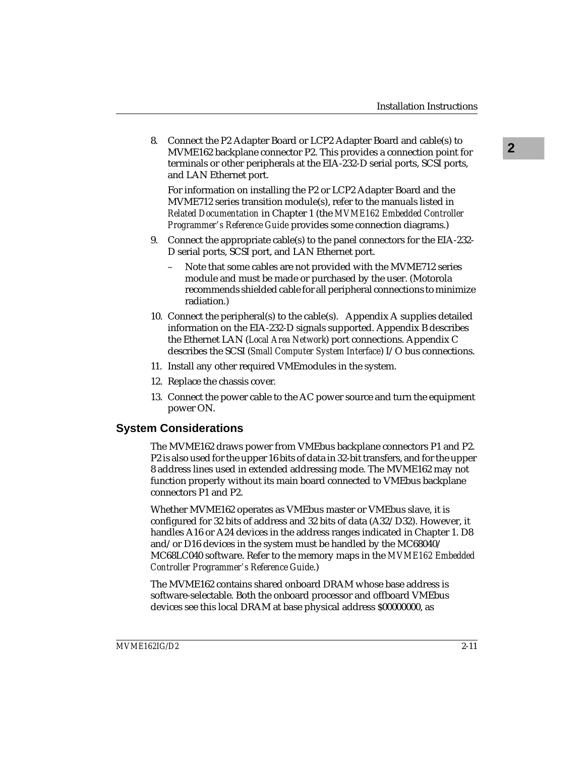**2** 8. Connect the P2 Adapter Board or LCP2 Adapter Board and cable(s) to MVME162 backplane connector P2. This provides a connection point for terminals or other peripherals at the EIA-232-D serial ports, SCSI ports, and LAN Ethernet port.

For information on installing the P2 or LCP2 Adapter Board and the MVME712 series transition module(s), refer to the manuals listed in *Related Documentation* in Chapter 1 (the *MVME162 Embedded Controller Programmer's Reference Guide* provides some connection diagrams.)

- 9. Connect the appropriate cable(s) to the panel connectors for the EIA-232- D serial ports, SCSI port, and LAN Ethernet port.
	- Note that some cables are not provided with the MVME712 series module and must be made or purchased by the user. (Motorola recommends shielded cable for all peripheral connections to minimize radiation.)
- 10. Connect the peripheral(s) to the cable(s). Appendix A supplies detailed information on the EIA-232-D signals supported. Appendix B describes the Ethernet LAN (*Local Area Network*) port connections. Appendix C describes the SCSI (*Small Computer System Interface*) I/O bus connections.
- 11. Install any other required VMEmodules in the system.
- 12. Replace the chassis cover.
- 13. Connect the power cable to the AC power source and turn the equipment power ON.

# **System Considerations**

The MVME162 draws power from VMEbus backplane connectors P1 and P2. P2 is also used for the upper 16 bits of data in 32-bit transfers, and for the upper 8 address lines used in extended addressing mode. The MVME162 may not function properly without its main board connected to VMEbus backplane connectors P1 and P2.

Whether MVME162 operates as VMEbus master or VMEbus slave, it is configured for 32 bits of address and 32 bits of data (A32/D32). However, it handles A16 or A24 devices in the address ranges indicated in Chapter 1. D8 and/or D16 devices in the system must be handled by the MC68040/ MC68LC040 software. Refer to the memory maps in the *MVME162 Embedded Controller Programmer's Reference Guide*.)

The MVME162 contains shared onboard DRAM whose base address is software-selectable. Both the onboard processor and offboard VMEbus devices see this local DRAM at base physical address \$00000000, as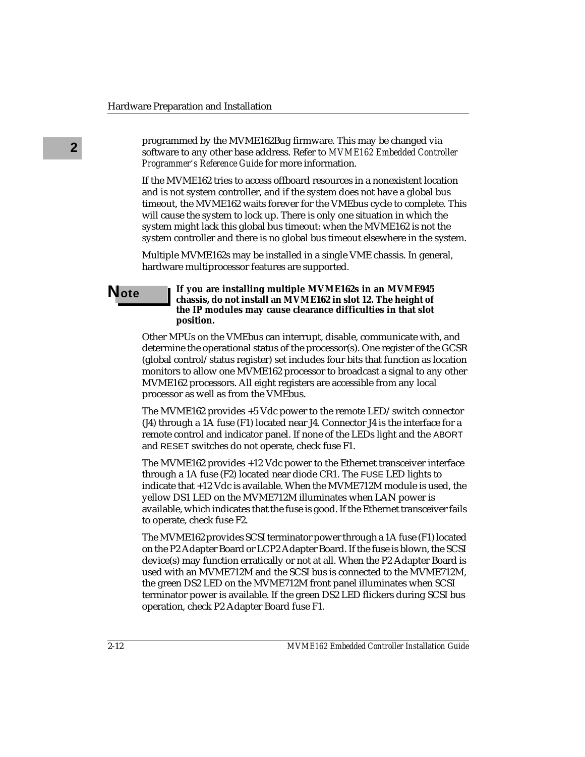**2** programmed by the MVME162Bug firmware. This may be changed via<br> **2** positive to any other base address. Pefer to MVME162 Embedded Centre software to any other base address. Refer to *MVME162 Embedded Controller Programmer's Reference Guide* for more information.

> If the MVME162 tries to access offboard resources in a nonexistent location and is not system controller, and if the system does not have a global bus timeout, the MVME162 waits forever for the VMEbus cycle to complete. This will cause the system to lock up. There is only one situation in which the system might lack this global bus timeout: when the MVME162 is not the system controller and there is no global bus timeout elsewhere in the system.

Multiple MVME162s may be installed in a single VME chassis. In general, hardware multiprocessor features are supported.

### **Note If you are installing multiple MVME162s in an MVME945 chassis, do not install an MVME162 in slot 12. The height of the IP modules may cause clearance difficulties in that slot position.**

Other MPUs on the VMEbus can interrupt, disable, communicate with, and determine the operational status of the processor(s). One register of the GCSR (global control/status register) set includes four bits that function as location monitors to allow one MVME162 processor to broadcast a signal to any other MVME162 processors. All eight registers are accessible from any local processor as well as from the VMEbus.

The MVME162 provides +5 Vdc power to the remote LED/switch connector (J4) through a 1A fuse (F1) located near J4. Connector J4 is the interface for a remote control and indicator panel. If none of the LEDs light and the ABORT and RESET switches do not operate, check fuse F1.

The MVME162 provides +12 Vdc power to the Ethernet transceiver interface through a 1A fuse (F2) located near diode CR1. The FUSE LED lights to indicate that +12 Vdc is available. When the MVME712M module is used, the yellow DS1 LED on the MVME712M illuminates when LAN power is available, which indicates that the fuse is good. If the Ethernet transceiver fails to operate, check fuse F2.

The MVME162 provides SCSI terminator power through a 1A fuse (F1) located on the P2 Adapter Board or LCP2 Adapter Board. If the fuse is blown, the SCSI device(s) may function erratically or not at all. When the P2 Adapter Board is used with an MVME712M and the SCSI bus is connected to the MVME712M, the green DS2 LED on the MVME712M front panel illuminates when SCSI terminator power is available. If the green DS2 LED flickers during SCSI bus operation, check P2 Adapter Board fuse F1.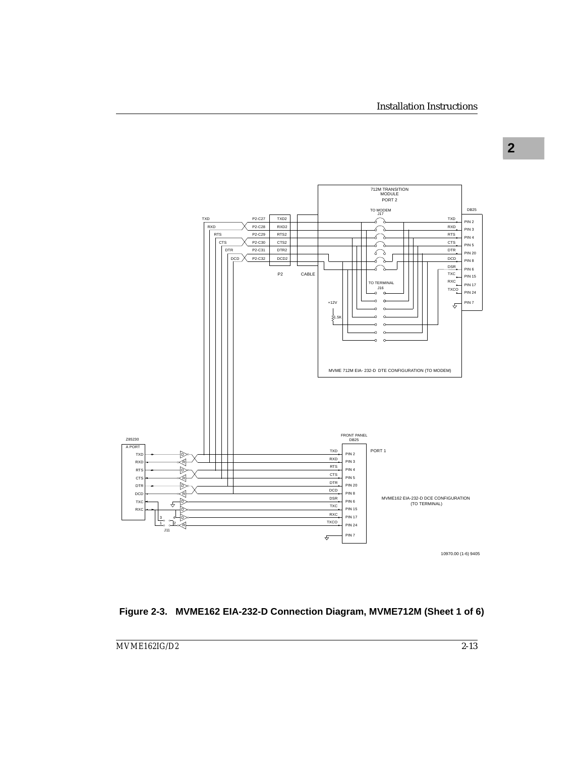



**2**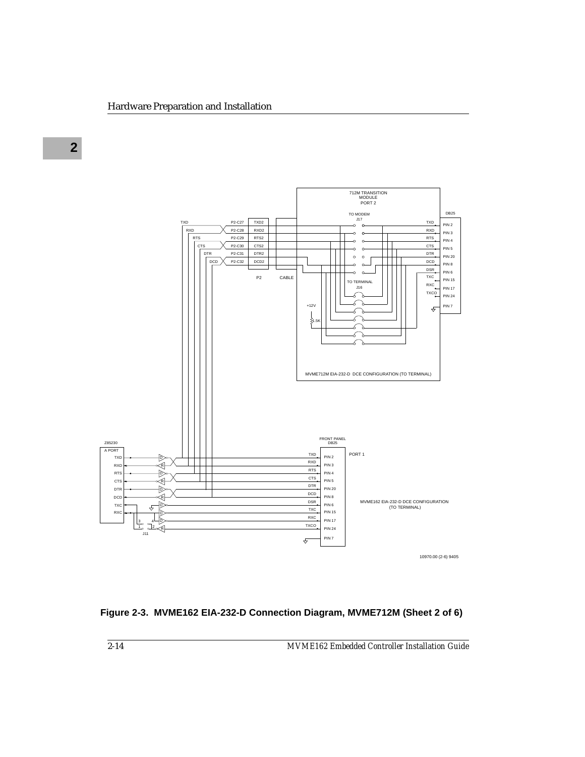

**Figure 2-3. MVME162 EIA-232-D Connection Diagram, MVME712M (Sheet 2 of 6)**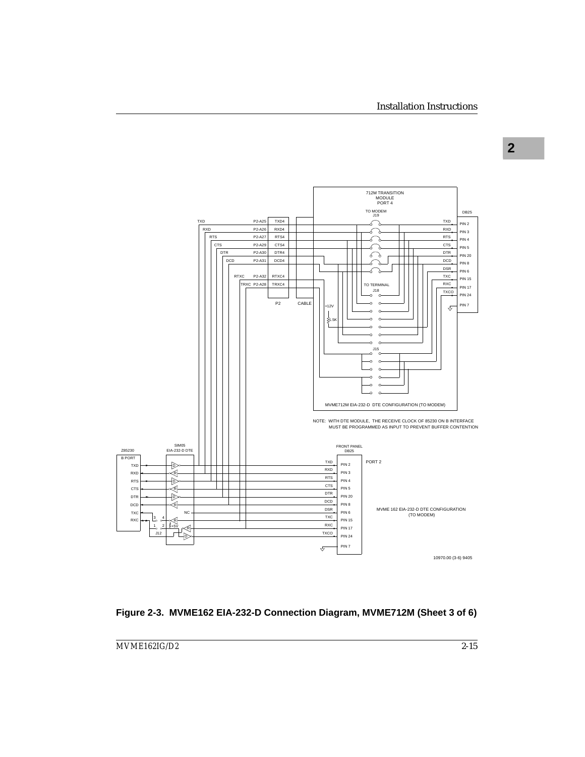

### **Figure 2-3. MVME162 EIA-232-D Connection Diagram, MVME712M (Sheet 3 of 6)**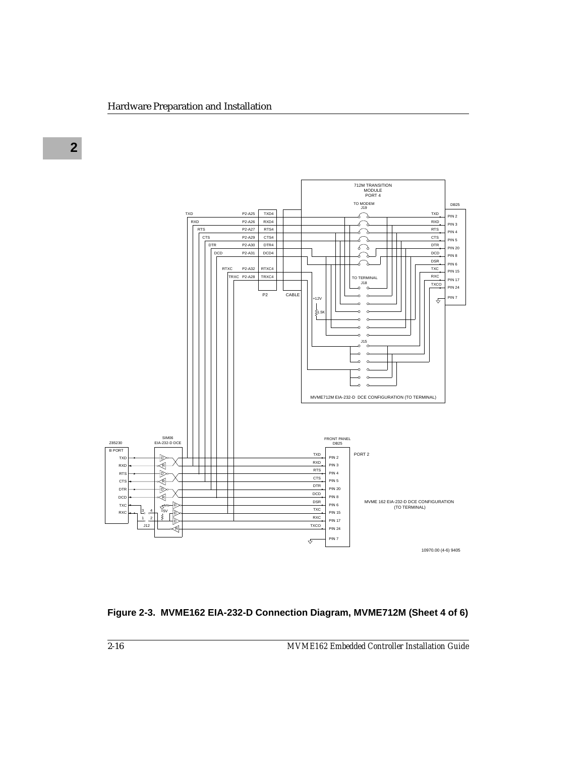

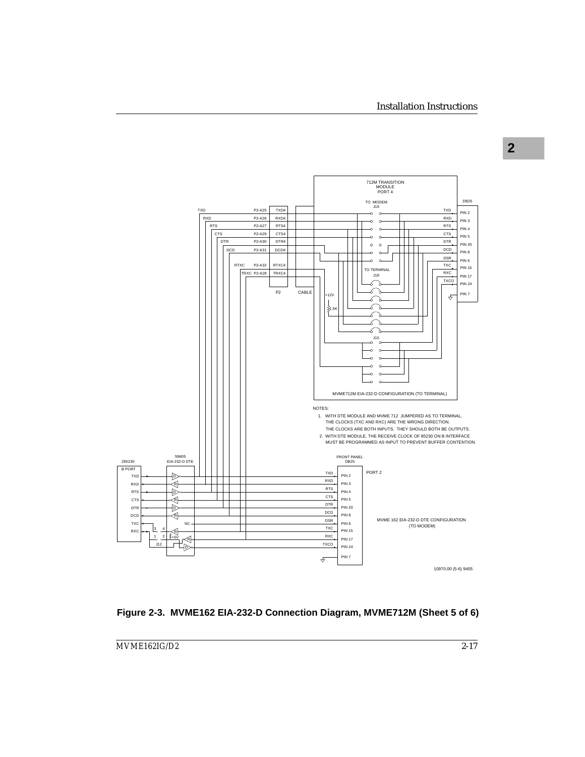

**Figure 2-3. MVME162 EIA-232-D Connection Diagram, MVME712M (Sheet 5 of 6)**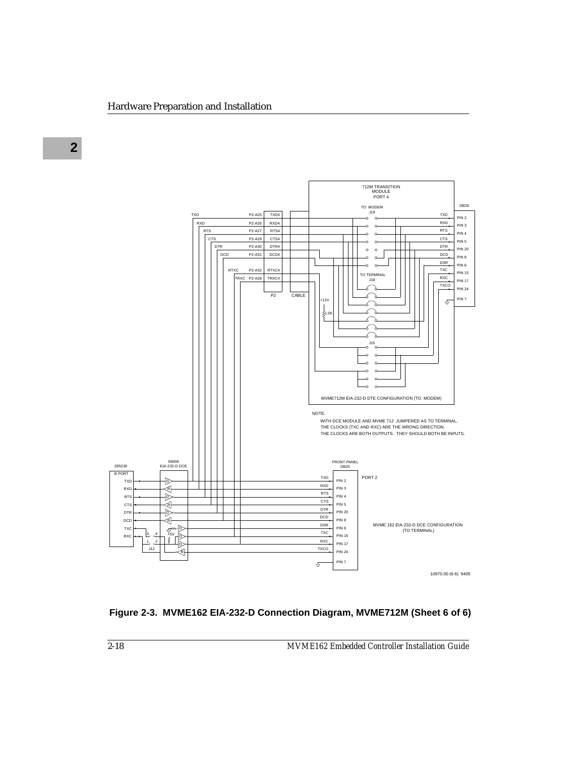

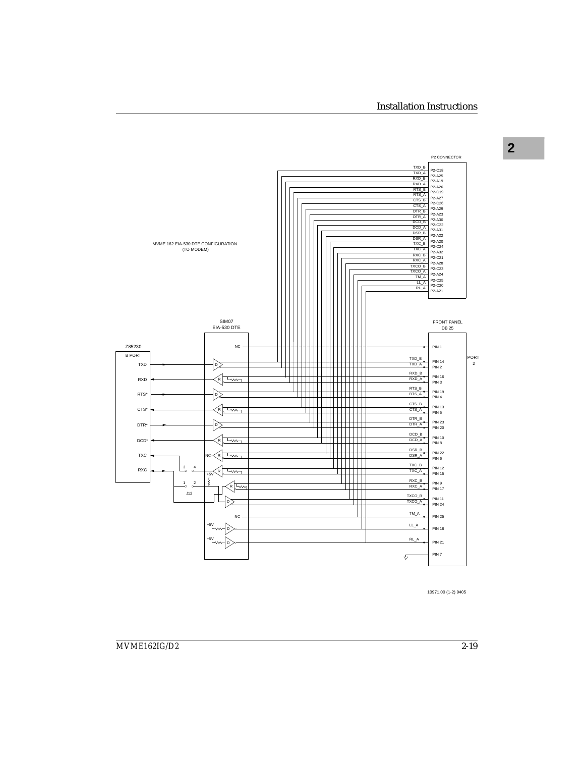**2**



10971.00 (1-2) 9405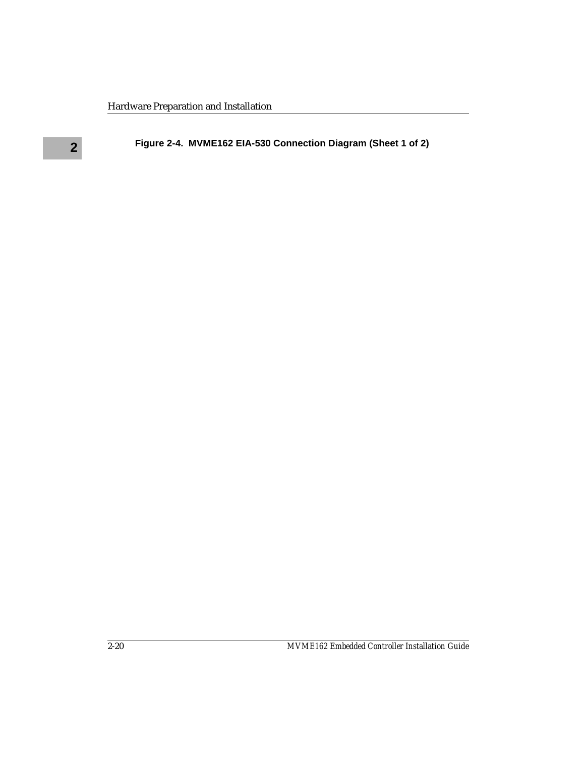# **2 Figure 2-4. MVME162 EIA-530 Connection Diagram (Sheet 1 of 2)**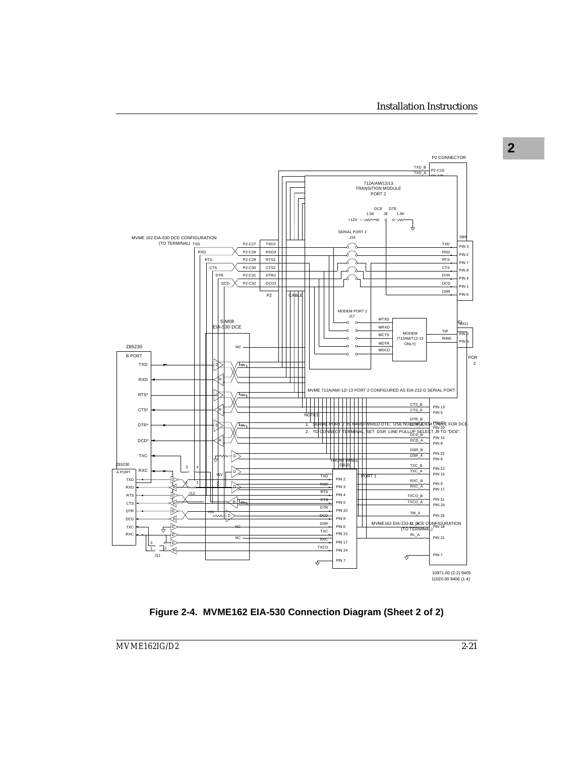

**Figure 2-4. MVME162 EIA-530 Connection Diagram (Sheet 2 of 2)**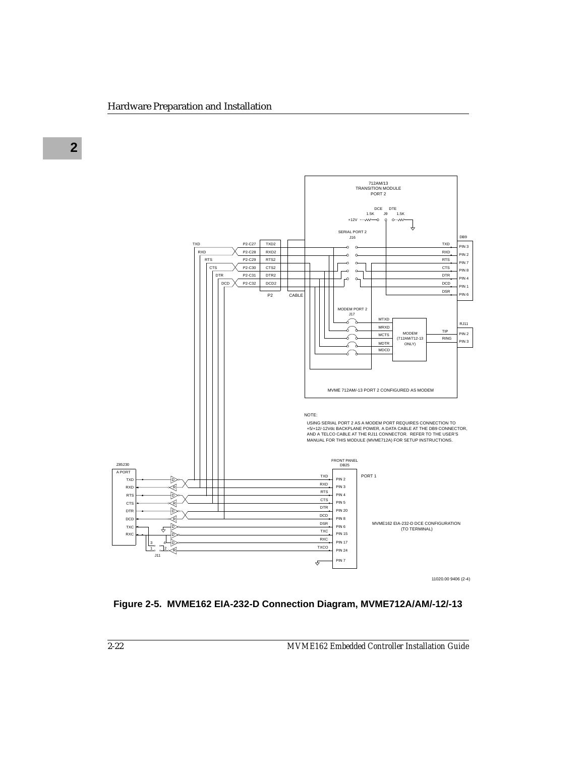

11020.00 9406 (2-4)

## **Figure 2-5. MVME162 EIA-232-D Connection Diagram, MVME712A/AM/-12/-13**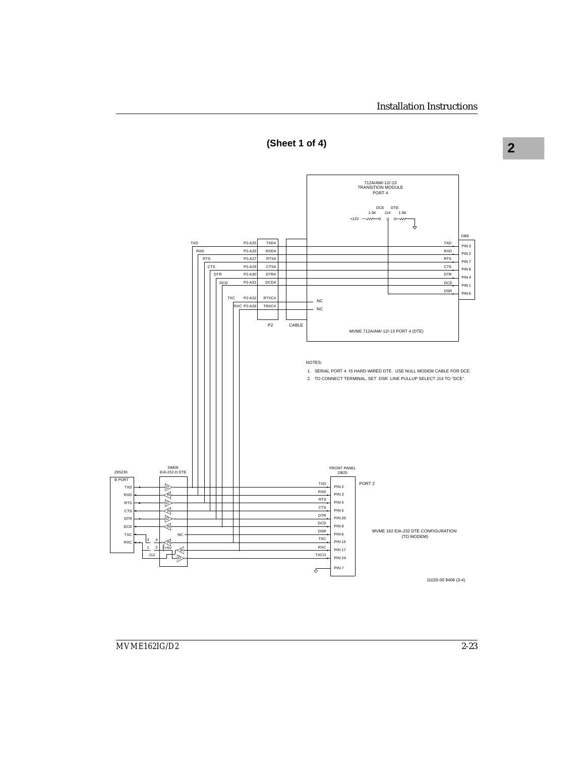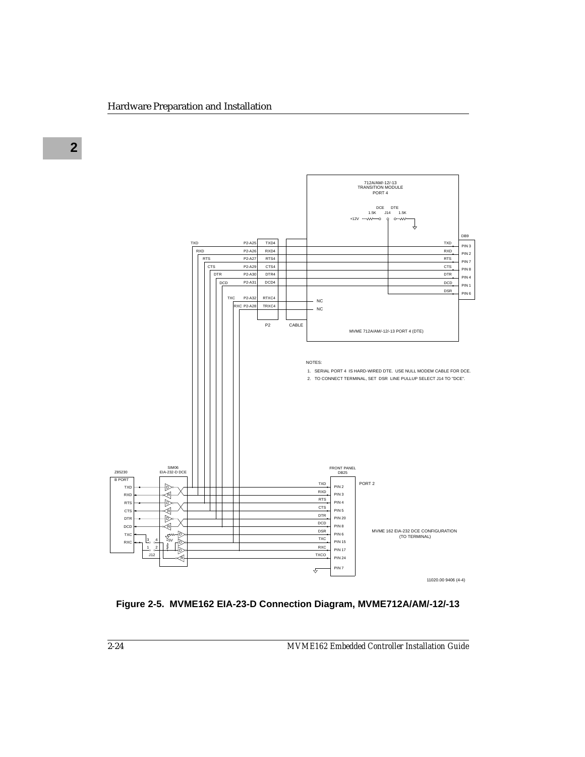

**Figure 2-5. MVME162 EIA-23-D Connection Diagram, MVME712A/AM/-12/-13**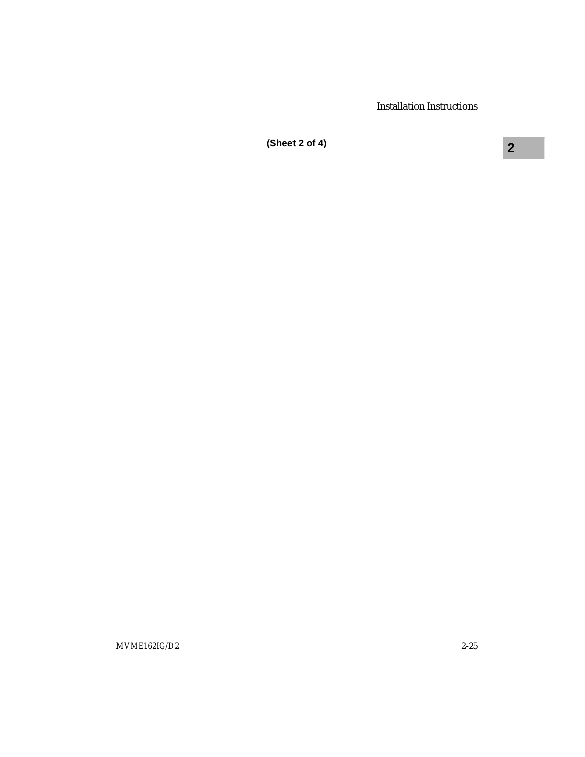**2 (Sheet 2 of 4)**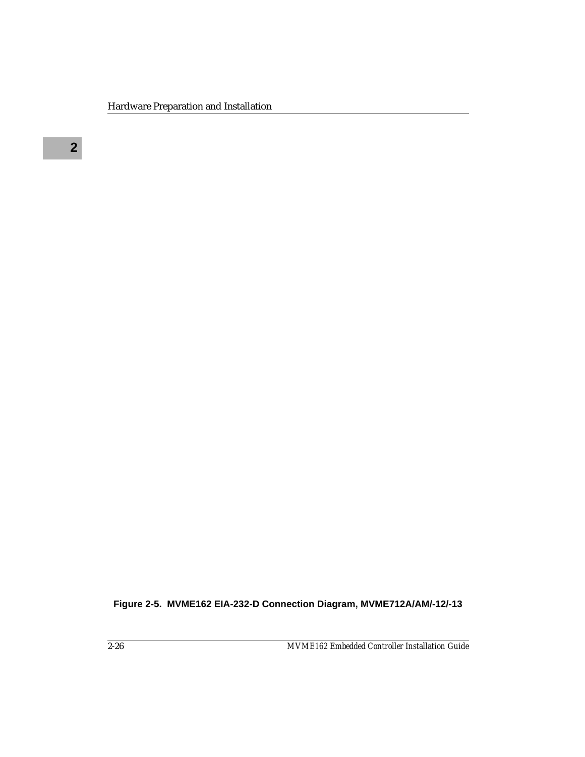**Figure 2-5. MVME162 EIA-232-D Connection Diagram, MVME712A/AM/-12/-13**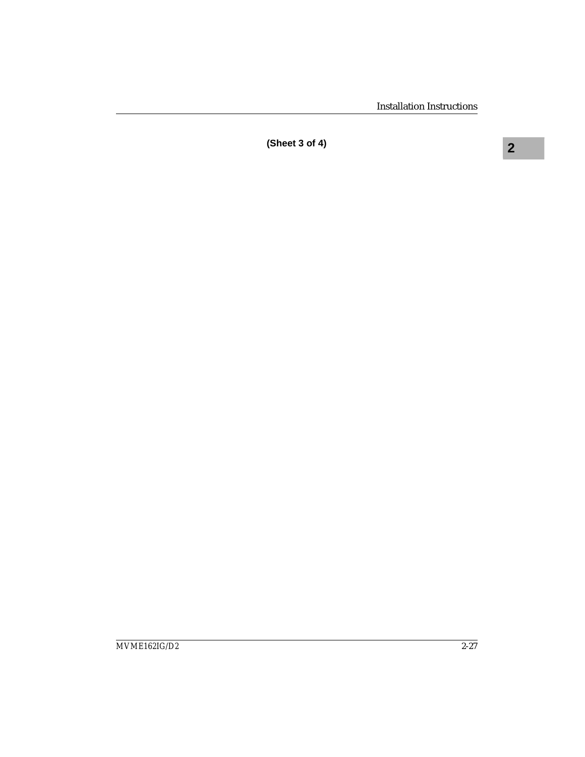**2 (Sheet 3 of 4)**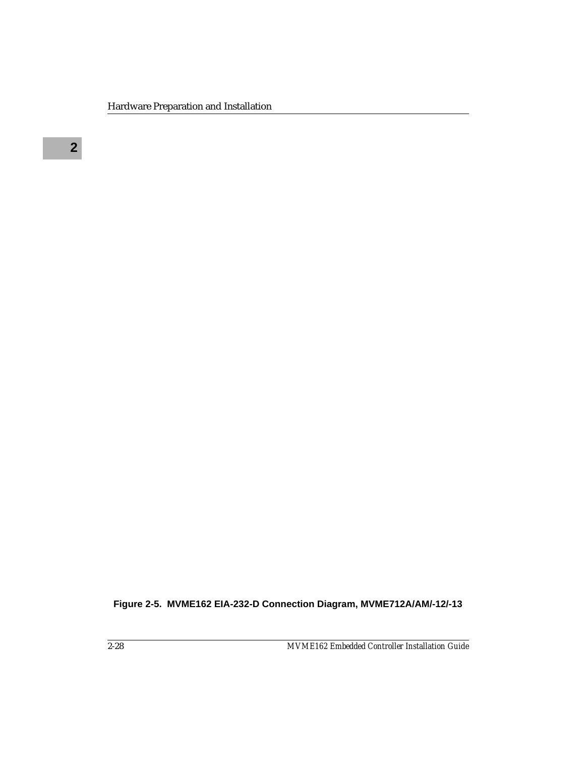**Figure 2-5. MVME162 EIA-232-D Connection Diagram, MVME712A/AM/-12/-13**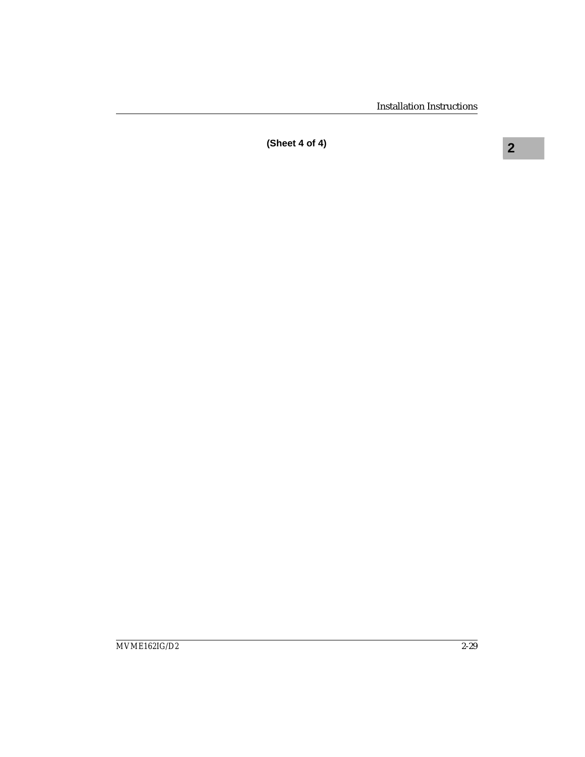**2 (Sheet 4 of 4)**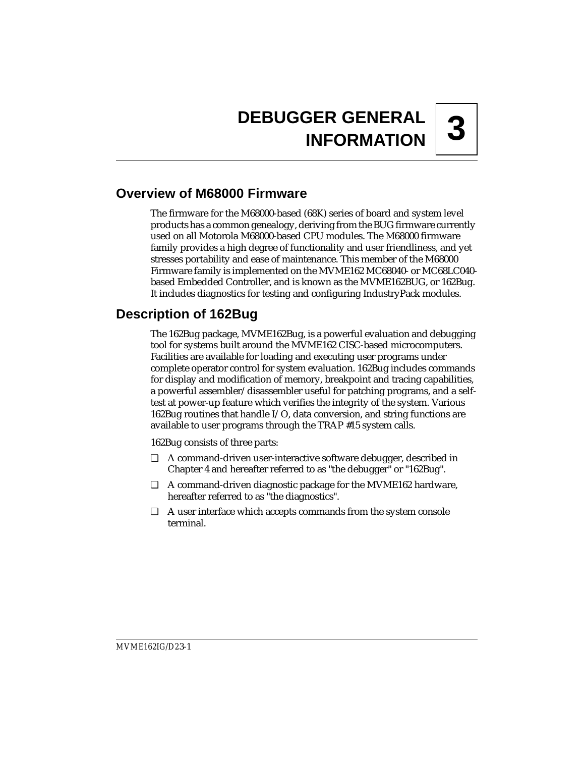# **3 DEBUGGER GENERAL INFORMATION**

# **Overview of M68000 Firmware**

The firmware for the M68000-based (68K) series of board and system level products has a common genealogy, deriving from the BUG firmware currently used on all Motorola M68000-based CPU modules. The M68000 firmware family provides a high degree of functionality and user friendliness, and yet stresses portability and ease of maintenance. This member of the M68000 Firmware family is implemented on the MVME162 MC68040- or MC68LC040 based Embedded Controller, and is known as the MVME162BUG, or 162Bug. It includes diagnostics for testing and configuring IndustryPack modules.

# **Description of 162Bug**

The 162Bug package, MVME162Bug, is a powerful evaluation and debugging tool for systems built around the MVME162 CISC-based microcomputers. Facilities are available for loading and executing user programs under complete operator control for system evaluation. 162Bug includes commands for display and modification of memory, breakpoint and tracing capabilities, a powerful assembler/disassembler useful for patching programs, and a selftest at power-up feature which verifies the integrity of the system. Various 162Bug routines that handle I/O, data conversion, and string functions are available to user programs through the TRAP #15 system calls.

162Bug consists of three parts:

- ❏ A command-driven user-interactive software debugger, described in Chapter 4 and hereafter referred to as "the debugger" or "162Bug".
- ❏ A command-driven diagnostic package for the MVME162 hardware, hereafter referred to as "the diagnostics".
- ❏ A user interface which accepts commands from the system console terminal.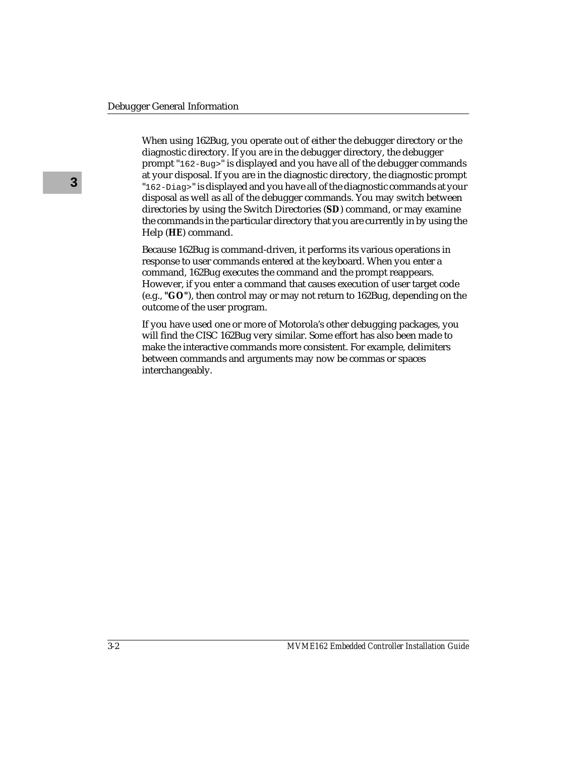When using 162Bug, you operate out of either the debugger directory or the diagnostic directory. If you are in the debugger directory, the debugger prompt "162-Bug>" is displayed and you have all of the debugger commands at your disposal. If you are in the diagnostic directory, the diagnostic prompt "162-Diag>" is displayed and you have all of the diagnostic commands at your disposal as well as all of the debugger commands. You may switch between directories by using the Switch Directories (**SD**) command, or may examine the commands in the particular directory that you are currently in by using the Help (**HE**) command.

Because 162Bug is command-driven, it performs its various operations in response to user commands entered at the keyboard. When you enter a command, 162Bug executes the command and the prompt reappears. However, if you enter a command that causes execution of user target code (e.g., **"GO"**), then control may or may not return to 162Bug, depending on the outcome of the user program.

If you have used one or more of Motorola's other debugging packages, you will find the CISC 162Bug very similar. Some effort has also been made to make the interactive commands more consistent. For example, delimiters between commands and arguments may now be commas or spaces interchangeably.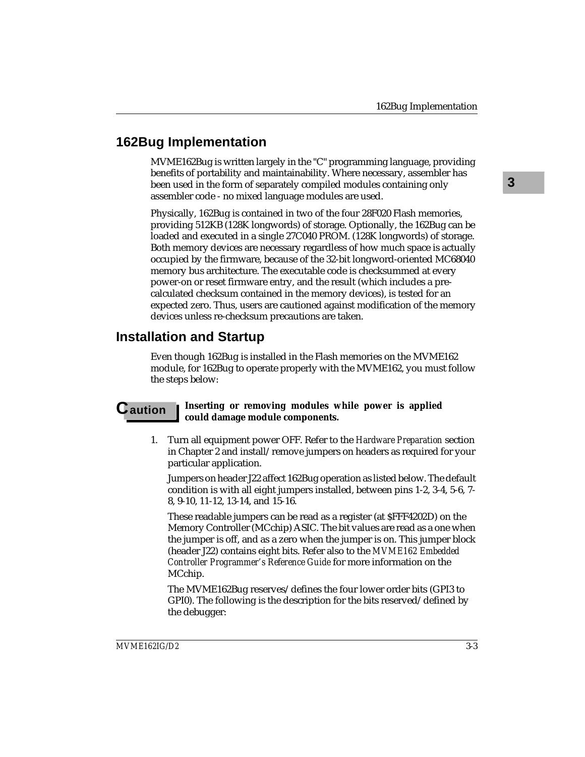# **162Bug Implementation**

MVME162Bug is written largely in the "C" programming language, providing benefits of portability and maintainability. Where necessary, assembler has been used in the form of separately compiled modules containing only assembler code - no mixed language modules are used.

Physically, 162Bug is contained in two of the four 28F020 Flash memories, providing 512KB (128K longwords) of storage. Optionally, the 162Bug can be loaded and executed in a single 27C040 PROM. (128K longwords) of storage. Both memory devices are necessary regardless of how much space is actually occupied by the firmware, because of the 32-bit longword-oriented MC68040 memory bus architecture. The executable code is checksummed at every power-on or reset firmware entry, and the result (which includes a precalculated checksum contained in the memory devices), is tested for an expected zero. Thus, users are cautioned against modification of the memory devices unless re-checksum precautions are taken.

# **Installation and Startup**

Even though 162Bug is installed in the Flash memories on the MVME162 module, for 162Bug to operate properly with the MVME162, you must follow the steps below:

### **C** aution **I** Inserting or removing modules while power is applied **could damage module components.**

1. Turn all equipment power OFF. Refer to the *Hardware Preparation* section in Chapter 2 and install/remove jumpers on headers as required for your particular application.

Jumpers on header J22 affect 162Bug operation as listed below. The default condition is with all eight jumpers installed, between pins 1-2, 3-4, 5-6, 7- 8, 9-10, 11-12, 13-14, and 15-16.

These readable jumpers can be read as a register (at \$FFF4202D) on the Memory Controller (MCchip) ASIC. The bit values are read as a one when the jumper is off, and as a zero when the jumper is on. This jumper block (header J22) contains eight bits. Refer also to the *MVME162 Embedded Controller Programmer's Reference Guide* for more information on the MCchip.

The MVME162Bug reserves/defines the four lower order bits (GPI3 to GPI0). The following is the description for the bits reserved/defined by the debugger:

**3**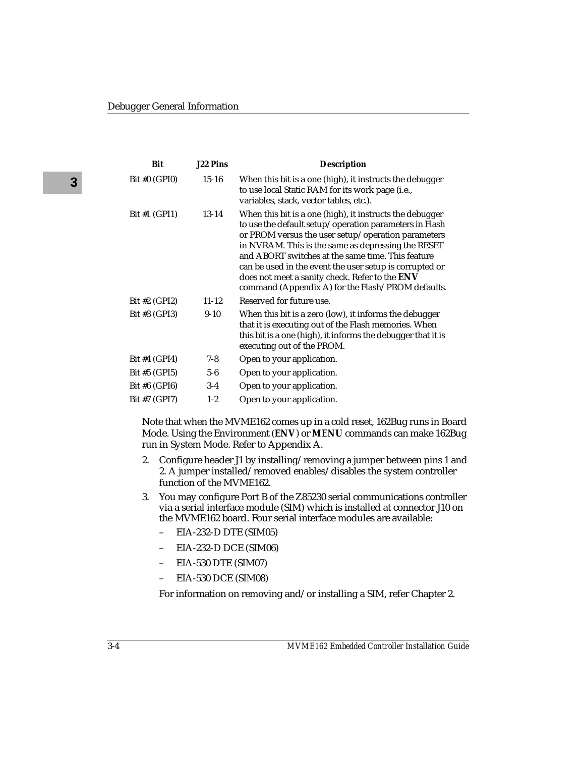| Bit             | <b>J22 Pins</b> | <b>Description</b>                                                                                                                                                                                                                                                                                                                                                                                                                                    |
|-----------------|-----------------|-------------------------------------------------------------------------------------------------------------------------------------------------------------------------------------------------------------------------------------------------------------------------------------------------------------------------------------------------------------------------------------------------------------------------------------------------------|
| Bit #0 $(GPI0)$ | $15 - 16$       | When this bit is a one (high), it instructs the debugger<br>to use local Static RAM for its work page (i.e.,<br>variables, stack, vector tables, etc.).                                                                                                                                                                                                                                                                                               |
| Bit #1 $(GPI1)$ | 13-14           | When this bit is a one (high), it instructs the debugger<br>to use the default setup/operation parameters in Flash<br>or PROM versus the user setup/operation parameters<br>in NVRAM. This is the same as depressing the RESET<br>and ABORT switches at the same time. This feature<br>can be used in the event the user setup is corrupted or<br>does not meet a sanity check. Refer to the ENV<br>command (Appendix A) for the Flash/PROM defaults. |
| Bit #2 $(GPI2)$ | $11 - 12$       | Reserved for future use.                                                                                                                                                                                                                                                                                                                                                                                                                              |
| Bit #3 (GPI3)   | $9-10$          | When this bit is a zero (low), it informs the debugger<br>that it is executing out of the Flash memories. When<br>this bit is a one (high), it informs the debugger that it is<br>executing out of the PROM.                                                                                                                                                                                                                                          |
| Bit #4 $(GPI4)$ | $7-8$           | Open to your application.                                                                                                                                                                                                                                                                                                                                                                                                                             |
| Bit $#5$ (GPI5) | $5-6$           | Open to your application.                                                                                                                                                                                                                                                                                                                                                                                                                             |
| Bit #6 $(GPI6)$ | $3-4$           | Open to your application.                                                                                                                                                                                                                                                                                                                                                                                                                             |
| Bit #7 (GPI7)   | $1 - 2$         | Open to your application.                                                                                                                                                                                                                                                                                                                                                                                                                             |

Note that when the MVME162 comes up in a cold reset, 162Bug runs in Board Mode. Using the Environment (**ENV**) or **MENU** commands can make 162Bug run in System Mode. Refer to Appendix A.

- 2. Configure header J1 by installing/removing a jumper between pins 1 and 2. A jumper installed/removed enables/disables the system controller function of the MVME162.
- 3. You may configure Port B of the Z85230 serial communications controller via a serial interface module (SIM) which is installed at connector J10 on the MVME162 board. Four serial interface modules are available:
	- EIA-232-D DTE (SIM05)
	- EIA-232-D DCE (SIM06)
	- EIA-530 DTE (SIM07)
	- EIA-530 DCE (SIM08)

For information on removing and/or installing a SIM, refer Chapter 2.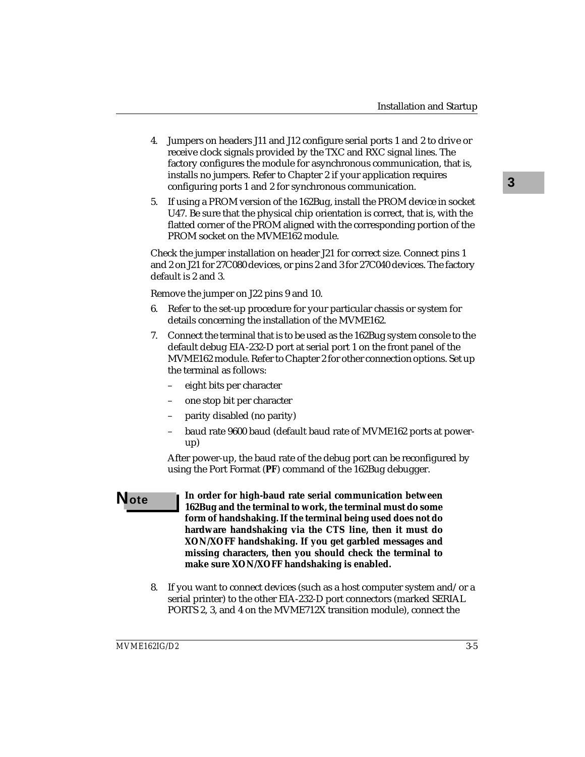- 4. Jumpers on headers J11 and J12 configure serial ports 1 and 2 to drive or receive clock signals provided by the TXC and RXC signal lines. The factory configures the module for asynchronous communication, that is, installs no jumpers. Refer to Chapter 2 if your application requires configuring ports 1 and 2 for synchronous communication.
- 5. If using a PROM version of the 162Bug, install the PROM device in socket U47. Be sure that the physical chip orientation is correct, that is, with the flatted corner of the PROM aligned with the corresponding portion of the PROM socket on the MVME162 module.

Check the jumper installation on header J21 for correct size. Connect pins 1 and 2 on J21 for 27C080 devices, or pins 2 and 3 for 27C040 devices. The factory default is 2 and 3.

Remove the jumper on J22 pins 9 and 10.

- 6. Refer to the set-up procedure for your particular chassis or system for details concerning the installation of the MVME162.
- 7. Connect the terminal that is to be used as the 162Bug system console to the default debug EIA-232-D port at serial port 1 on the front panel of the MVME162 module. Refer to Chapter 2 for other connection options. Set up the terminal as follows:
	- eight bits per character
	- one stop bit per character
	- parity disabled (no parity)
	- baud rate 9600 baud (default baud rate of MVME162 ports at powerup)

After power-up, the baud rate of the debug port can be reconfigured by using the Port Format (**PF**) command of the 162Bug debugger.

- **Note In order for high-baud rate serial communication between 162Bug and the terminal to work, the terminal must do some form of handshaking. If the terminal being used does not do hardware handshaking via the CTS line, then it must do XON/XOFF handshaking. If you get garbled messages and missing characters, then you should check the terminal to make sure XON/XOFF handshaking is enabled.**
	- 8. If you want to connect devices (such as a host computer system and/or a serial printer) to the other EIA-232-D port connectors (marked SERIAL PORTS 2, 3, and 4 on the MVME712X transition module), connect the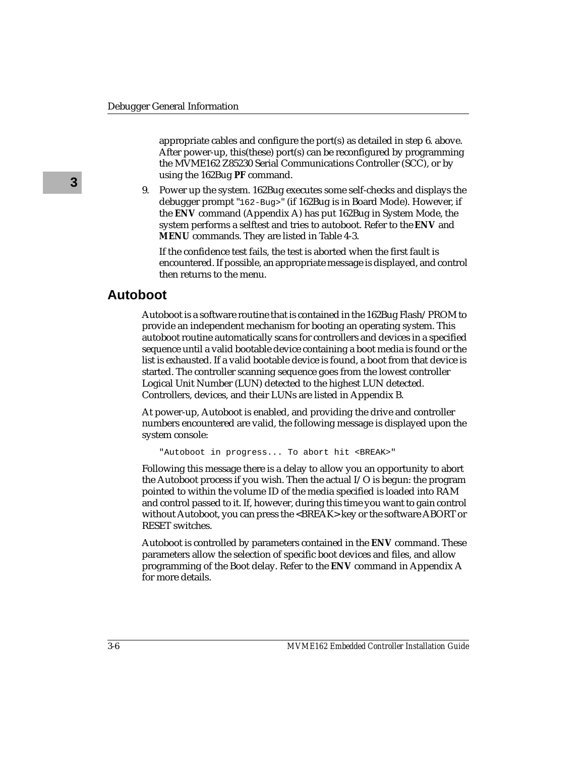appropriate cables and configure the port(s) as detailed in step 6. above. After power-up, this(these) port(s) can be reconfigured by programming the MVME162 Z85230 Serial Communications Controller (SCC), or by using the 162Bug **PF** command.

9. Power up the system. 162Bug executes some self-checks and displays the debugger prompt "162-Bug>" (if 162Bug is in Board Mode). However, if the **ENV** command (Appendix A) has put 162Bug in System Mode, the system performs a selftest and tries to autoboot. Refer to the **ENV** and **MENU** commands. They are listed in Table 4-3.

If the confidence test fails, the test is aborted when the first fault is encountered. If possible, an appropriate message is displayed, and control then returns to the menu.

# **Autoboot**

Autoboot is a software routine that is contained in the 162Bug Flash/PROM to provide an independent mechanism for booting an operating system. This autoboot routine automatically scans for controllers and devices in a specified sequence until a valid bootable device containing a boot media is found or the list is exhausted. If a valid bootable device is found, a boot from that device is started. The controller scanning sequence goes from the lowest controller Logical Unit Number (LUN) detected to the highest LUN detected. Controllers, devices, and their LUNs are listed in Appendix B.

At power-up, Autoboot is enabled, and providing the drive and controller numbers encountered are valid, the following message is displayed upon the system console:

```
"Autoboot in progress... To abort hit <BREAK>"
```
Following this message there is a delay to allow you an opportunity to abort the Autoboot process if you wish. Then the actual I/O is begun: the program pointed to within the volume ID of the media specified is loaded into RAM and control passed to it. If, however, during this time you want to gain control without Autoboot, you can press the <BREAK> key or the software ABORT or RESET switches.

Autoboot is controlled by parameters contained in the **ENV** command. These parameters allow the selection of specific boot devices and files, and allow programming of the Boot delay. Refer to the **ENV** command in Appendix A for more details.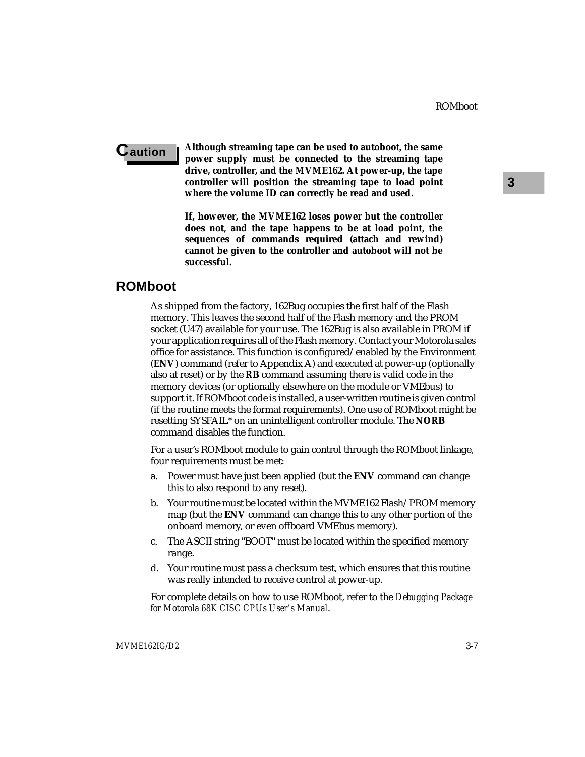**C** aution **I** Although streaming tape can be used to autoboot, the same **power supply must be connected to the streaming tape drive, controller, and the MVME162. At power-up, the tape controller will position the streaming tape to load point where the volume ID can correctly be read and used.**

> **If, however, the MVME162 loses power but the controller does not, and the tape happens to be at load point, the sequences of commands required (attach and rewind) cannot be given to the controller and autoboot will not be successful.**

# **ROMboot**

As shipped from the factory, 162Bug occupies the first half of the Flash memory. This leaves the second half of the Flash memory and the PROM socket (U47) available for your use. The 162Bug is also available in PROM if your application requires all of the Flash memory. Contact your Motorola sales office for assistance. This function is configured/enabled by the Environment (**ENV**) command (refer to Appendix A) and executed at power-up (optionally also at reset) or by the **RB** command assuming there is valid code in the memory devices (or optionally elsewhere on the module or VMEbus) to support it. If ROMboot code is installed, a user-written routine is given control (if the routine meets the format requirements). One use of ROMboot might be resetting SYSFAIL\* on an unintelligent controller module. The **NORB** command disables the function.

For a user's ROMboot module to gain control through the ROMboot linkage, four requirements must be met:

- a. Power must have just been applied (but the **ENV** command can change this to also respond to any reset).
- b. Your routine must be located within the MVME162 Flash/PROM memory map (but the **ENV** command can change this to any other portion of the onboard memory, or even offboard VMEbus memory).
- c. The ASCII string "BOOT" must be located within the specified memory range.
- d. Your routine must pass a checksum test, which ensures that this routine was really intended to receive control at power-up.

For complete details on how to use ROMboot, refer to the *Debugging Package for Motorola 68K CISC CPUs User's Manual*.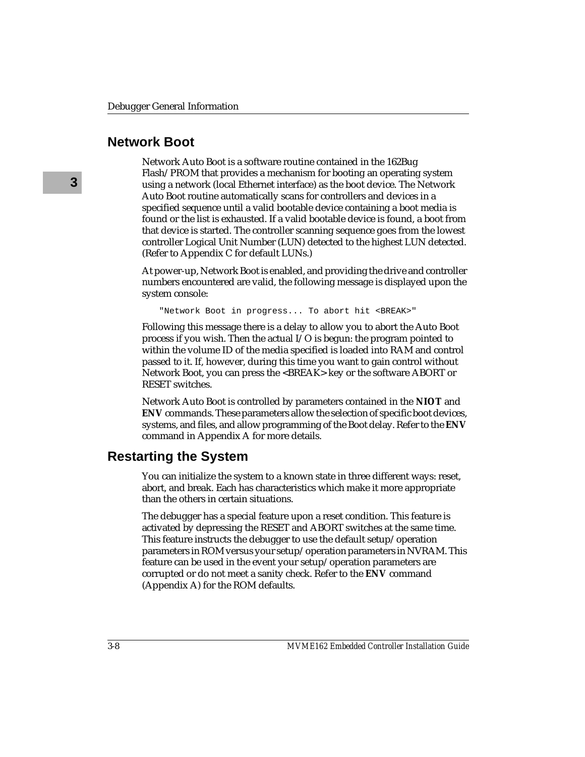# **Network Boot**

Network Auto Boot is a software routine contained in the 162Bug Flash/PROM that provides a mechanism for booting an operating system using a network (local Ethernet interface) as the boot device. The Network Auto Boot routine automatically scans for controllers and devices in a specified sequence until a valid bootable device containing a boot media is found or the list is exhausted. If a valid bootable device is found, a boot from that device is started. The controller scanning sequence goes from the lowest controller Logical Unit Number (LUN) detected to the highest LUN detected. (Refer to Appendix C for default LUNs.)

At power-up, Network Boot is enabled, and providing the drive and controller numbers encountered are valid, the following message is displayed upon the system console:

"Network Boot in progress... To abort hit <BREAK>"

Following this message there is a delay to allow you to abort the Auto Boot process if you wish. Then the actual I/O is begun: the program pointed to within the volume ID of the media specified is loaded into RAM and control passed to it. If, however, during this time you want to gain control without Network Boot, you can press the <BREAK> key or the software ABORT or RESET switches.

Network Auto Boot is controlled by parameters contained in the **NIOT** and **ENV** commands. These parameters allow the selection of specific boot devices, systems, and files, and allow programming of the Boot delay. Refer to the **ENV** command in Appendix A for more details.

# **Restarting the System**

You can initialize the system to a known state in three different ways: reset, abort, and break. Each has characteristics which make it more appropriate than the others in certain situations.

The debugger has a special feature upon a reset condition. This feature is activated by depressing the RESET and ABORT switches at the same time. This feature instructs the debugger to use the default setup/operation parameters in ROM versus your setup/operation parameters in NVRAM. This feature can be used in the event your setup/operation parameters are corrupted or do not meet a sanity check. Refer to the **ENV** command (Appendix A) for the ROM defaults.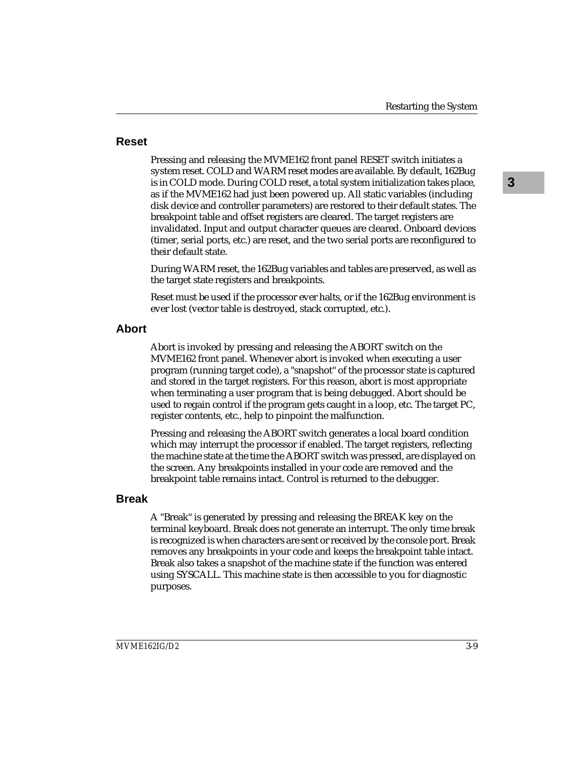### **Reset**

Pressing and releasing the MVME162 front panel RESET switch initiates a system reset. COLD and WARM reset modes are available. By default, 162Bug is in COLD mode. During COLD reset, a total system initialization takes place, as if the MVME162 had just been powered up. All static variables (including disk device and controller parameters) are restored to their default states. The breakpoint table and offset registers are cleared. The target registers are invalidated. Input and output character queues are cleared. Onboard devices (timer, serial ports, etc.) are reset, and the two serial ports are reconfigured to their default state.

During WARM reset, the 162Bug variables and tables are preserved, as well as the target state registers and breakpoints.

Reset must be used if the processor ever halts, or if the 162Bug environment is ever lost (vector table is destroyed, stack corrupted, etc.).

### **Abort**

Abort is invoked by pressing and releasing the ABORT switch on the MVME162 front panel. Whenever abort is invoked when executing a user program (running target code), a "snapshot" of the processor state is captured and stored in the target registers. For this reason, abort is most appropriate when terminating a user program that is being debugged. Abort should be used to regain control if the program gets caught in a loop, etc. The target PC, register contents, etc., help to pinpoint the malfunction.

Pressing and releasing the ABORT switch generates a local board condition which may interrupt the processor if enabled. The target registers, reflecting the machine state at the time the ABORT switch was pressed, are displayed on the screen. Any breakpoints installed in your code are removed and the breakpoint table remains intact. Control is returned to the debugger.

## **Break**

A "Break" is generated by pressing and releasing the BREAK key on the terminal keyboard. Break does not generate an interrupt. The only time break is recognized is when characters are sent or received by the console port. Break removes any breakpoints in your code and keeps the breakpoint table intact. Break also takes a snapshot of the machine state if the function was entered using SYSCALL. This machine state is then accessible to you for diagnostic purposes.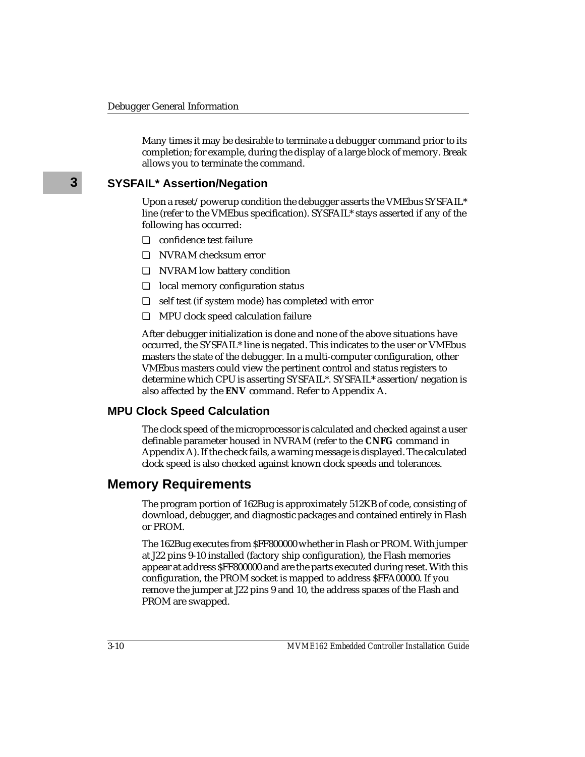Many times it may be desirable to terminate a debugger command prior to its completion; for example, during the display of a large block of memory. Break allows you to terminate the command.

## **SYSFAIL\* Assertion/Negation**

Upon a reset/powerup condition the debugger asserts the VMEbus SYSFAIL\* line (refer to the VMEbus specification). SYSFAIL\* stays asserted if any of the following has occurred:

- ❏ confidence test failure
- ❏ NVRAM checksum error
- ❏ NVRAM low battery condition
- ❏ local memory configuration status
- ❏ self test (if system mode) has completed with error
- ❏ MPU clock speed calculation failure

After debugger initialization is done and none of the above situations have occurred, the SYSFAIL\* line is negated. This indicates to the user or VMEbus masters the state of the debugger. In a multi-computer configuration, other VMEbus masters could view the pertinent control and status registers to determine which CPU is asserting SYSFAIL\*. SYSFAIL\* assertion/negation is also affected by the **ENV** command. Refer to Appendix A.

### **MPU Clock Speed Calculation**

The clock speed of the microprocessor is calculated and checked against a user definable parameter housed in NVRAM (refer to the **CNFG** command in Appendix A). If the check fails, a warning message is displayed. The calculated clock speed is also checked against known clock speeds and tolerances.

# **Memory Requirements**

The program portion of 162Bug is approximately 512KB of code, consisting of download, debugger, and diagnostic packages and contained entirely in Flash or PROM.

The 162Bug executes from \$FF800000 whether in Flash or PROM. With jumper at J22 pins 9-10 installed (factory ship configuration), the Flash memories appear at address \$FF800000 and are the parts executed during reset. With this configuration, the PROM socket is mapped to address \$FFA00000. If you remove the jumper at J22 pins 9 and 10, the address spaces of the Flash and PROM are swapped.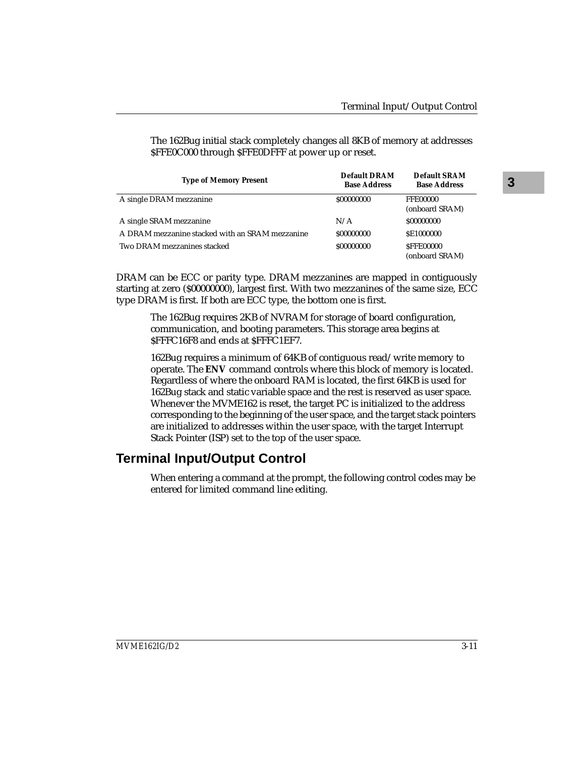| <b>Type of Memory Present</b>                   | <b>Default DRAM</b><br><b>Base Address</b> | <b>Default SRAM</b><br><b>Base Address</b> |
|-------------------------------------------------|--------------------------------------------|--------------------------------------------|
| A single DRAM mezzanine                         | \$00000000                                 | <b>FFE00000</b><br>(onboard SRAM)          |
| A single SRAM mezzanine                         | N/A                                        | \$00000000                                 |
| A DRAM mezzanine stacked with an SRAM mezzanine | \$00000000                                 | <b>SE1000000</b>                           |
| Two DRAM mezzanines stacked                     | \$00000000                                 | <b>SFFE00000</b><br>(onboard SRAM)         |

The 162Bug initial stack completely changes all 8KB of memory at addresses \$FFE0C000 through \$FFE0DFFF at power up or reset.

DRAM can be ECC or parity type. DRAM mezzanines are mapped in contiguously starting at zero (\$00000000), largest first. With two mezzanines of the same size, ECC type DRAM is first. If both are ECC type, the bottom one is first.

The 162Bug requires 2KB of NVRAM for storage of board configuration, communication, and booting parameters. This storage area begins at \$FFFC16F8 and ends at \$FFFC1EF7.

162Bug requires a minimum of 64KB of contiguous read/write memory to operate. The **ENV** command controls where this block of memory is located. Regardless of where the onboard RAM is located, the first 64KB is used for 162Bug stack and static variable space and the rest is reserved as user space. Whenever the MVME162 is reset, the target PC is initialized to the address corresponding to the beginning of the user space, and the target stack pointers are initialized to addresses within the user space, with the target Interrupt Stack Pointer (ISP) set to the top of the user space.

# **Terminal Input/Output Control**

When entering a command at the prompt, the following control codes may be entered for limited command line editing.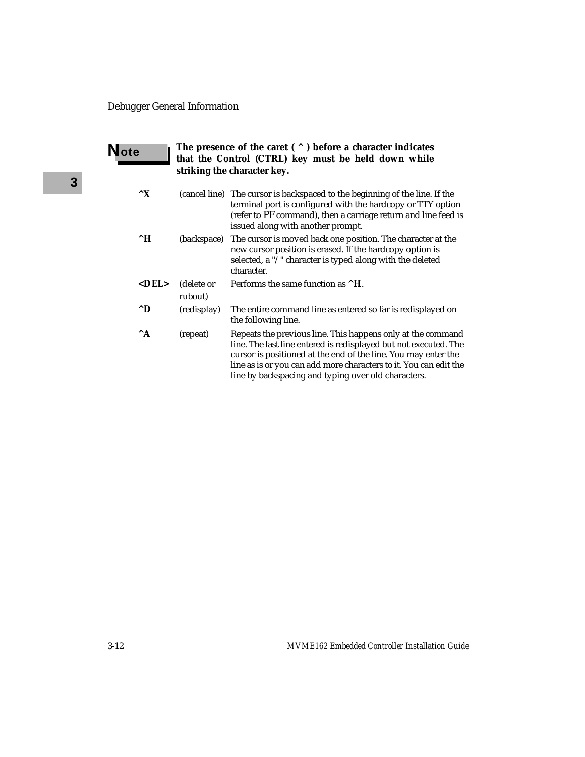| The presence of the caret $( \wedge )$ before a character indicates<br><b>Note</b><br>that the Control (CTRL) key must be held down while<br>striking the character key. |                       |                                                                                                                                                                                                                                                                                                                               |  |
|--------------------------------------------------------------------------------------------------------------------------------------------------------------------------|-----------------------|-------------------------------------------------------------------------------------------------------------------------------------------------------------------------------------------------------------------------------------------------------------------------------------------------------------------------------|--|
| $\mathbf{X}$                                                                                                                                                             |                       | (cancel line) The cursor is backspaced to the beginning of the line. If the<br>terminal port is configured with the hardcopy or TTY option<br>(refer to PF command), then a carriage return and line feed is<br>issued along with another prompt.                                                                             |  |
| $^{\wedge}H$                                                                                                                                                             | (backspace)           | The cursor is moved back one position. The character at the<br>new cursor position is erased. If the hardcopy option is<br>selected, a "/" character is typed along with the deleted<br>character.                                                                                                                            |  |
| $<$ DEL $>$                                                                                                                                                              | (delete or<br>rubout) | Performs the same function as ^H.                                                                                                                                                                                                                                                                                             |  |
| $^{\wedge}D$                                                                                                                                                             | (redisplay)           | The entire command line as entered so far is redisplayed on<br>the following line.                                                                                                                                                                                                                                            |  |
| $^{\wedge}$ A                                                                                                                                                            | (repeat)              | Repeats the previous line. This happens only at the command<br>line. The last line entered is redisplayed but not executed. The<br>cursor is positioned at the end of the line. You may enter the<br>line as is or you can add more characters to it. You can edit the<br>line by backspacing and typing over old characters. |  |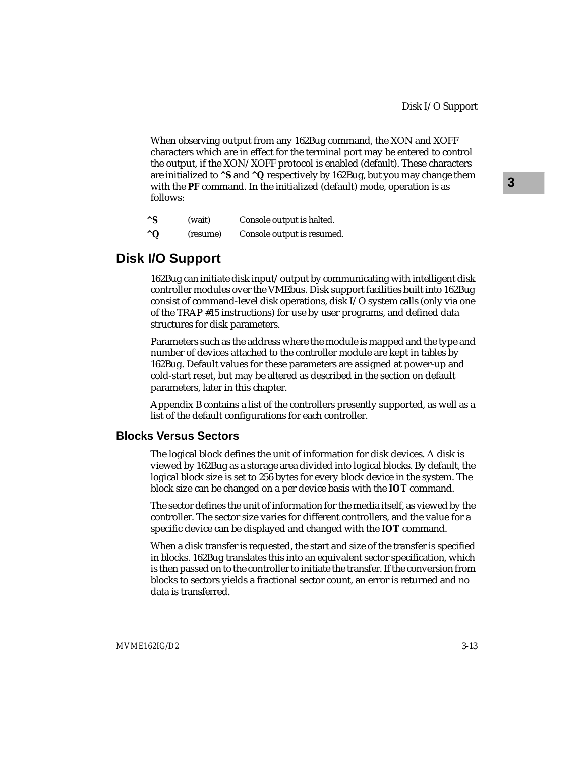When observing output from any 162Bug command, the XON and XOFF characters which are in effect for the terminal port may be entered to control the output, if the XON/XOFF protocol is enabled (default). These characters are initialized to **^S** and **^Q** respectively by 162Bug, but you may change them with the **PF** command. In the initialized (default) mode, operation is as follows:

| $^{\wedge}$ S | (wait)   | Console output is halted.  |
|---------------|----------|----------------------------|
| $^{\wedge}$ Q | (resume) | Console output is resumed. |

# **Disk I/O Support**

162Bug can initiate disk input/output by communicating with intelligent disk controller modules over the VMEbus. Disk support facilities built into 162Bug consist of command-level disk operations, disk I/O system calls (only via one of the TRAP #15 instructions) for use by user programs, and defined data structures for disk parameters.

Parameters such as the address where the module is mapped and the type and number of devices attached to the controller module are kept in tables by 162Bug. Default values for these parameters are assigned at power-up and cold-start reset, but may be altered as described in the section on default parameters, later in this chapter.

Appendix B contains a list of the controllers presently supported, as well as a list of the default configurations for each controller.

### **Blocks Versus Sectors**

The logical block defines the unit of information for disk devices. A disk is viewed by 162Bug as a storage area divided into logical blocks. By default, the logical block size is set to 256 bytes for every block device in the system. The block size can be changed on a per device basis with the **IOT** command.

The sector defines the unit of information for the media itself, as viewed by the controller. The sector size varies for different controllers, and the value for a specific device can be displayed and changed with the **IOT** command.

When a disk transfer is requested, the start and size of the transfer is specified in blocks. 162Bug translates this into an equivalent sector specification, which is then passed on to the controller to initiate the transfer. If the conversion from blocks to sectors yields a fractional sector count, an error is returned and no data is transferred.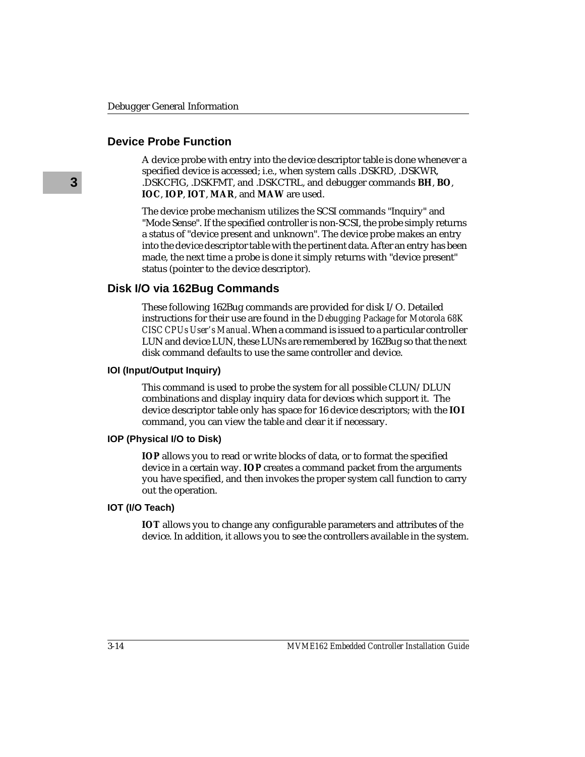### **Device Probe Function**

A device probe with entry into the device descriptor table is done whenever a specified device is accessed; i.e., when system calls .DSKRD, .DSKWR, .DSKCFIG, .DSKFMT, and .DSKCTRL, and debugger commands **BH**, **BO**, **IOC**, **IOP**, **IOT**, **MAR**, and **MAW** are used.

The device probe mechanism utilizes the SCSI commands "Inquiry" and "Mode Sense". If the specified controller is non-SCSI, the probe simply returns a status of "device present and unknown". The device probe makes an entry into the device descriptor table with the pertinent data. After an entry has been made, the next time a probe is done it simply returns with "device present" status (pointer to the device descriptor).

### **Disk I/O via 162Bug Commands**

These following 162Bug commands are provided for disk I/O. Detailed instructions for their use are found in the *Debugging Package for Motorola 68K CISC CPUs User's Manual*. When a command is issued to a particular controller LUN and device LUN, these LUNs are remembered by 162Bug so that the next disk command defaults to use the same controller and device.

#### **IOI (Input/Output Inquiry)**

This command is used to probe the system for all possible CLUN/DLUN combinations and display inquiry data for devices which support it. The device descriptor table only has space for 16 device descriptors; with the **IOI** command, you can view the table and clear it if necessary.

#### **IOP (Physical I/O to Disk)**

**IOP** allows you to read or write blocks of data, or to format the specified device in a certain way. **IOP** creates a command packet from the arguments you have specified, and then invokes the proper system call function to carry out the operation.

#### **IOT (I/O Teach)**

**IOT** allows you to change any configurable parameters and attributes of the device. In addition, it allows you to see the controllers available in the system.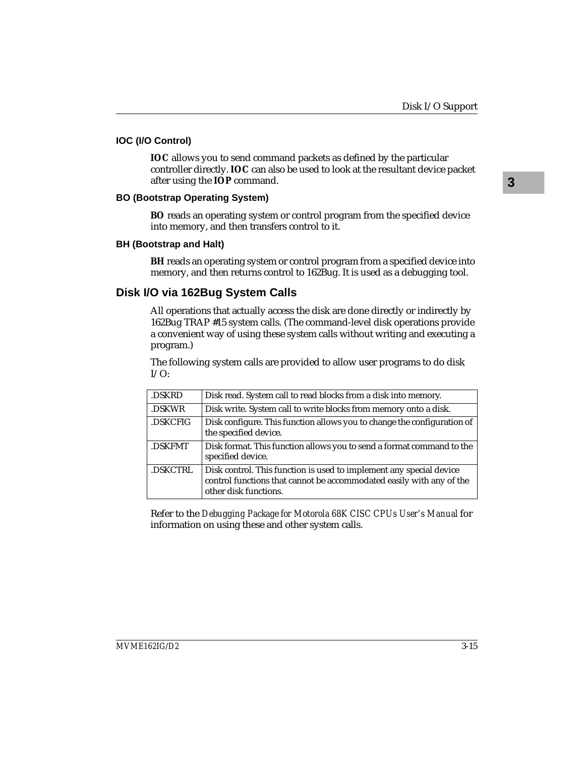#### **IOC (I/O Control)**

**IOC** allows you to send command packets as defined by the particular controller directly. **IOC** can also be used to look at the resultant device packet after using the **IOP** command.

#### **BO (Bootstrap Operating System)**

**BO** reads an operating system or control program from the specified device into memory, and then transfers control to it.

#### **BH (Bootstrap and Halt)**

**BH** reads an operating system or control program from a specified device into memory, and then returns control to 162Bug. It is used as a debugging tool.

## **Disk I/O via 162Bug System Calls**

All operations that actually access the disk are done directly or indirectly by 162Bug TRAP #15 system calls. (The command-level disk operations provide a convenient way of using these system calls without writing and executing a program.)

The following system calls are provided to allow user programs to do disk  $I/O$ :

| Disk read. System call to read blocks from a disk into memory.                                                                                                       |
|----------------------------------------------------------------------------------------------------------------------------------------------------------------------|
| Disk write. System call to write blocks from memory onto a disk.                                                                                                     |
| Disk configure. This function allows you to change the configuration of<br>the specified device.                                                                     |
| Disk format. This function allows you to send a format command to the<br>specified device.                                                                           |
| Disk control. This function is used to implement any special device<br>control functions that cannot be accommodated easily with any of the<br>other disk functions. |
|                                                                                                                                                                      |

Refer to the *Debugging Package for Motorola 68K CISC CPUs User's Manual* for information on using these and other system calls.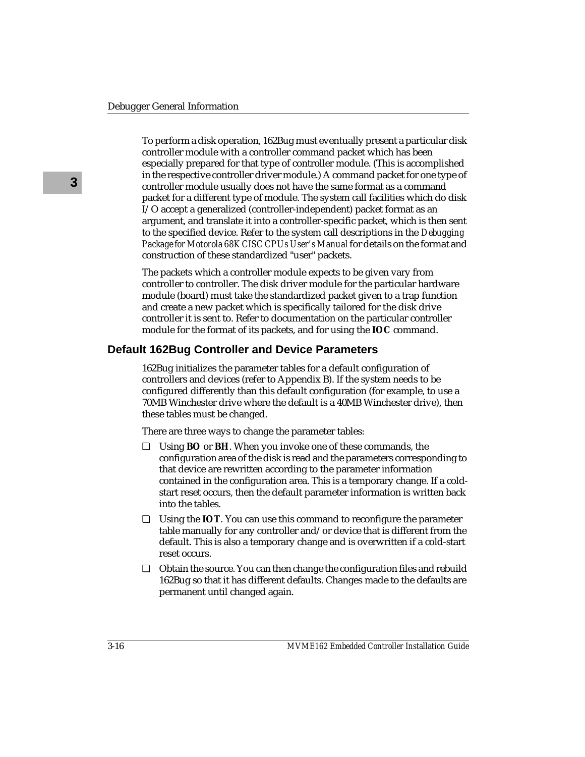To perform a disk operation, 162Bug must eventually present a particular disk controller module with a controller command packet which has been especially prepared for that type of controller module. (This is accomplished in the respective controller driver module.) A command packet for one type of controller module usually does not have the same format as a command packet for a different type of module. The system call facilities which do disk I/O accept a generalized (controller-independent) packet format as an argument, and translate it into a controller-specific packet, which is then sent to the specified device. Refer to the system call descriptions in the *Debugging Package for Motorola 68K CISC CPUs User's Manual* for details on the format and construction of these standardized "user" packets.

The packets which a controller module expects to be given vary from controller to controller. The disk driver module for the particular hardware module (board) must take the standardized packet given to a trap function and create a new packet which is specifically tailored for the disk drive controller it is sent to. Refer to documentation on the particular controller module for the format of its packets, and for using the **IOC** command.

### **Default 162Bug Controller and Device Parameters**

162Bug initializes the parameter tables for a default configuration of controllers and devices (refer to Appendix B). If the system needs to be configured differently than this default configuration (for example, to use a 70MB Winchester drive where the default is a 40MB Winchester drive), then these tables must be changed.

There are three ways to change the parameter tables:

- ❏ Using **BO** or **BH**. When you invoke one of these commands, the configuration area of the disk is read and the parameters corresponding to that device are rewritten according to the parameter information contained in the configuration area. This is a temporary change. If a coldstart reset occurs, then the default parameter information is written back into the tables.
- ❏ Using the **IOT**. You can use this command to reconfigure the parameter table manually for any controller and/or device that is different from the default. This is also a temporary change and is overwritten if a cold-start reset occurs.
- ❏ Obtain the source. You can then change the configuration files and rebuild 162Bug so that it has different defaults. Changes made to the defaults are permanent until changed again.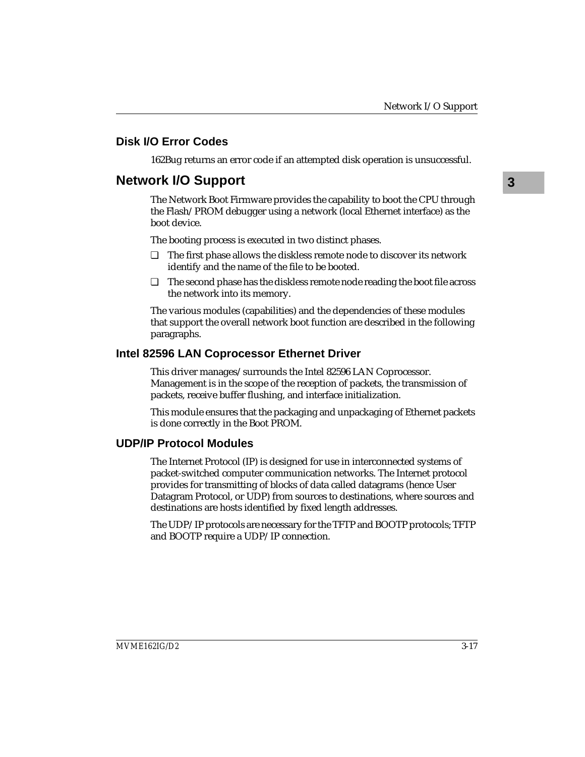# **Disk I/O Error Codes**

162Bug returns an error code if an attempted disk operation is unsuccessful.

# **Network I/O Support**

The Network Boot Firmware provides the capability to boot the CPU through the Flash/PROM debugger using a network (local Ethernet interface) as the boot device.

The booting process is executed in two distinct phases.

- ❏ The first phase allows the diskless remote node to discover its network identify and the name of the file to be booted.
- ❏ The second phase has the diskless remote node reading the boot file across the network into its memory.

The various modules (capabilities) and the dependencies of these modules that support the overall network boot function are described in the following paragraphs.

### **Intel 82596 LAN Coprocessor Ethernet Driver**

This driver manages/surrounds the Intel 82596 LAN Coprocessor. Management is in the scope of the reception of packets, the transmission of packets, receive buffer flushing, and interface initialization.

This module ensures that the packaging and unpackaging of Ethernet packets is done correctly in the Boot PROM.

### **UDP/IP Protocol Modules**

The Internet Protocol (IP) is designed for use in interconnected systems of packet-switched computer communication networks. The Internet protocol provides for transmitting of blocks of data called datagrams (hence User Datagram Protocol, or UDP) from sources to destinations, where sources and destinations are hosts identified by fixed length addresses.

The UDP/IP protocols are necessary for the TFTP and BOOTP protocols; TFTP and BOOTP require a UDP/IP connection.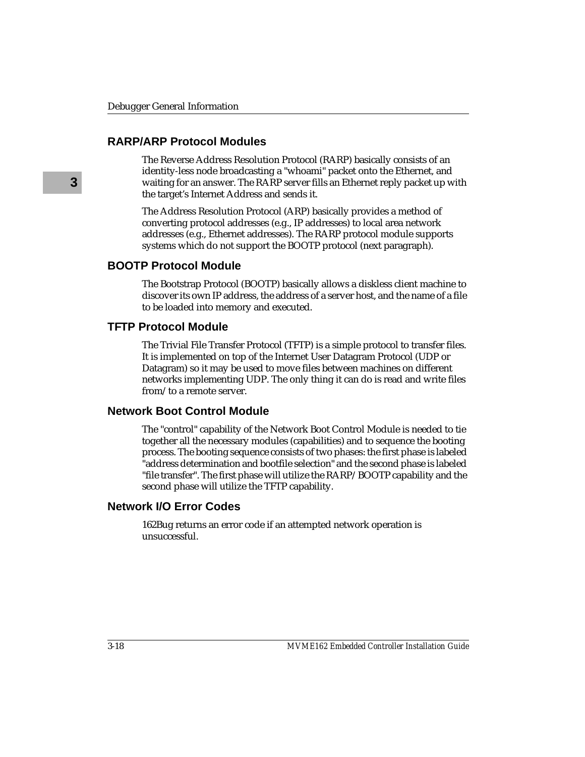### **RARP/ARP Protocol Modules**

The Reverse Address Resolution Protocol (RARP) basically consists of an identity-less node broadcasting a "whoami" packet onto the Ethernet, and waiting for an answer. The RARP server fills an Ethernet reply packet up with the target's Internet Address and sends it.

The Address Resolution Protocol (ARP) basically provides a method of converting protocol addresses (e.g., IP addresses) to local area network addresses (e.g., Ethernet addresses). The RARP protocol module supports systems which do not support the BOOTP protocol (next paragraph).

### **BOOTP Protocol Module**

The Bootstrap Protocol (BOOTP) basically allows a diskless client machine to discover its own IP address, the address of a server host, and the name of a file to be loaded into memory and executed.

#### **TFTP Protocol Module**

The Trivial File Transfer Protocol (TFTP) is a simple protocol to transfer files. It is implemented on top of the Internet User Datagram Protocol (UDP or Datagram) so it may be used to move files between machines on different networks implementing UDP. The only thing it can do is read and write files from/to a remote server.

#### **Network Boot Control Module**

The "control" capability of the Network Boot Control Module is needed to tie together all the necessary modules (capabilities) and to sequence the booting process. The booting sequence consists of two phases: the first phase is labeled "address determination and bootfile selection" and the second phase is labeled "file transfer". The first phase will utilize the RARP/BOOTP capability and the second phase will utilize the TFTP capability.

### **Network I/O Error Codes**

162Bug returns an error code if an attempted network operation is unsuccessful.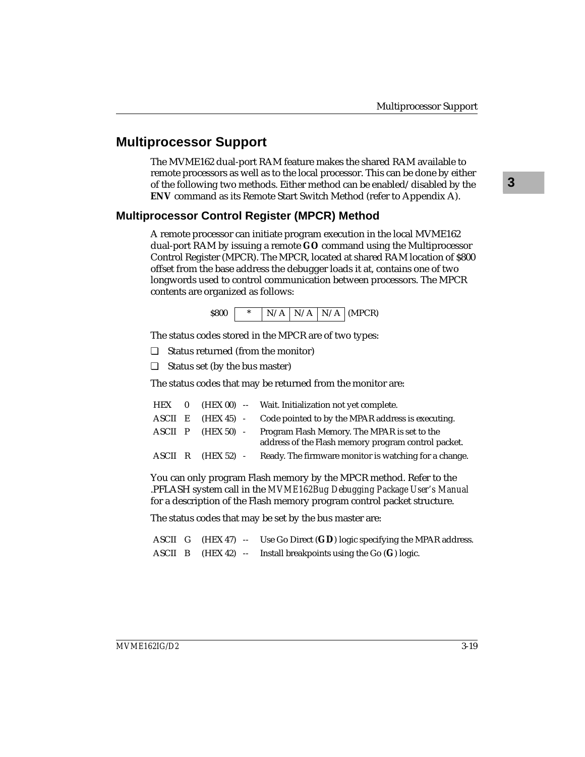# **Multiprocessor Support**

The MVME162 dual-port RAM feature makes the shared RAM available to remote processors as well as to the local processor. This can be done by either of the following two methods. Either method can be enabled/disabled by the **ENV** command as its Remote Start Switch Method (refer to Appendix A).

### **Multiprocessor Control Register (MPCR) Method**

A remote processor can initiate program execution in the local MVME162 dual-port RAM by issuing a remote **GO** command using the Multiprocessor Control Register (MPCR). The MPCR, located at shared RAM location of \$800 offset from the base address the debugger loads it at, contains one of two longwords used to control communication between processors. The MPCR contents are organized as follows:



The status codes stored in the MPCR are of two types:

❏ Status returned (from the monitor)

❏ Status set (by the bus master)

The status codes that may be returned from the monitor are:

| HEX 0   |              | (HEX 00) -- Wait. Initialization not yet complete.                                                  |
|---------|--------------|-----------------------------------------------------------------------------------------------------|
| ASCII E |              | (HEX 45) - Code pointed to by the MPAR address is executing.                                        |
| ASCII P | $(HEX 50)$ - | Program Flash Memory. The MPAR is set to the<br>address of the Flash memory program control packet. |
|         |              | ASCII R (HEX 52) - Ready. The firmware monitor is watching for a change.                            |

You can only program Flash memory by the MPCR method. Refer to the .PFLASH system call in the *MVME162Bug Debugging Package User's Manual* for a description of the Flash memory program control packet structure.

The status codes that may be set by the bus master are:

ASCII G (HEX 47) -- Use Go Direct (**GD**) logic specifying the MPAR address. ASCII B (HEX 42) -- Install breakpoints using the Go (**G**) logic.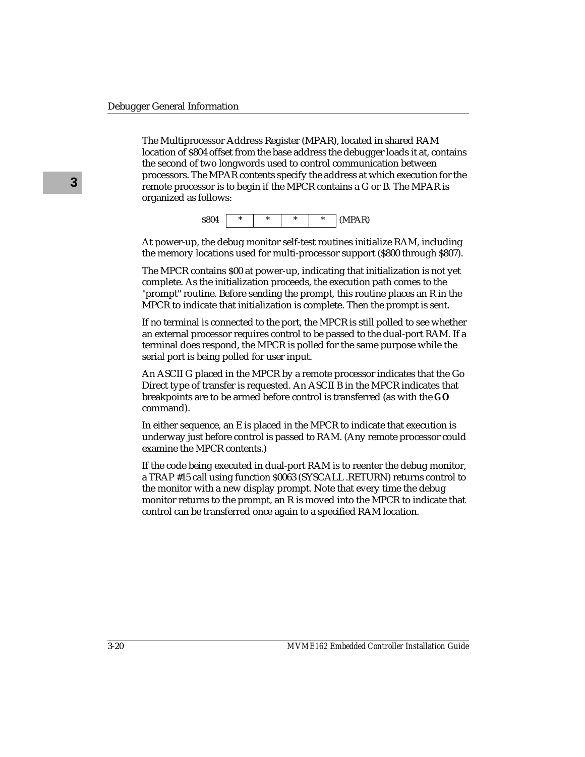The Multiprocessor Address Register (MPAR), located in shared RAM location of \$804 offset from the base address the debugger loads it at, contains the second of two longwords used to control communication between processors. The MPAR contents specify the address at which execution for the remote processor is to begin if the MPCR contains a G or B. The MPAR is organized as follows:

$$
\textbf{0.804} \quad \begin{array}{|c|c|c|c|c|c|} \hline \ast & \ast & \ast \end{array} \quad \begin{array}{|c|c|c|c|c|c|} \hline \ast & \ast & \ast \end{array} \quad (\textbf{MPAR})
$$

At power-up, the debug monitor self-test routines initialize RAM, including the memory locations used for multi-processor support (\$800 through \$807).

The MPCR contains \$00 at power-up, indicating that initialization is not yet complete. As the initialization proceeds, the execution path comes to the "prompt" routine. Before sending the prompt, this routine places an R in the MPCR to indicate that initialization is complete. Then the prompt is sent.

If no terminal is connected to the port, the MPCR is still polled to see whether an external processor requires control to be passed to the dual-port RAM. If a terminal does respond, the MPCR is polled for the same purpose while the serial port is being polled for user input.

An ASCII G placed in the MPCR by a remote processor indicates that the Go Direct type of transfer is requested. An ASCII B in the MPCR indicates that breakpoints are to be armed before control is transferred (as with the **GO** command).

In either sequence, an E is placed in the MPCR to indicate that execution is underway just before control is passed to RAM. (Any remote processor could examine the MPCR contents.)

If the code being executed in dual-port RAM is to reenter the debug monitor, a TRAP #15 call using function \$0063 (SYSCALL .RETURN) returns control to the monitor with a new display prompt. Note that every time the debug monitor returns to the prompt, an R is moved into the MPCR to indicate that control can be transferred once again to a specified RAM location.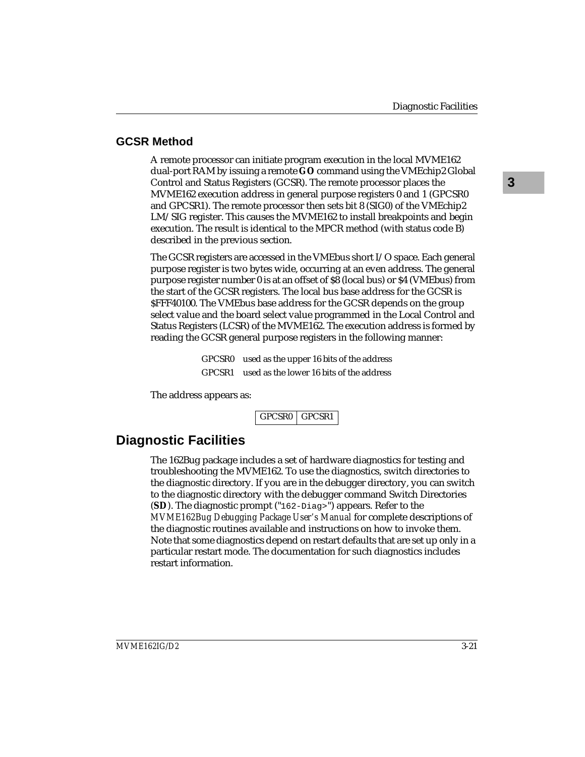# **GCSR Method**

A remote processor can initiate program execution in the local MVME162 dual-port RAM by issuing a remote **GO** command using the VMEchip2 Global Control and Status Registers (GCSR). The remote processor places the MVME162 execution address in general purpose registers 0 and 1 (GPCSR0 and GPCSR1). The remote processor then sets bit 8 (SIG0) of the VMEchip2 LM/SIG register. This causes the MVME162 to install breakpoints and begin execution. The result is identical to the MPCR method (with status code B) described in the previous section.

The GCSR registers are accessed in the VMEbus short I/O space. Each general purpose register is two bytes wide, occurring at an even address. The general purpose register number 0 is at an offset of \$8 (local bus) or \$4 (VMEbus) from the start of the GCSR registers. The local bus base address for the GCSR is \$FFF40100. The VMEbus base address for the GCSR depends on the group select value and the board select value programmed in the Local Control and Status Registers (LCSR) of the MVME162. The execution address is formed by reading the GCSR general purpose registers in the following manner:

> GPCSR0 used as the upper 16 bits of the address GPCSR1 used as the lower 16 bits of the address

The address appears as:

GPCSR0 GPCSR1

# **Diagnostic Facilities**

The 162Bug package includes a set of hardware diagnostics for testing and troubleshooting the MVME162. To use the diagnostics, switch directories to the diagnostic directory. If you are in the debugger directory, you can switch to the diagnostic directory with the debugger command Switch Directories (**SD**). The diagnostic prompt ("162-Diag>") appears. Refer to the *MVME162Bug Debugging Package User's Manual* for complete descriptions of the diagnostic routines available and instructions on how to invoke them. Note that some diagnostics depend on restart defaults that are set up only in a particular restart mode. The documentation for such diagnostics includes restart information.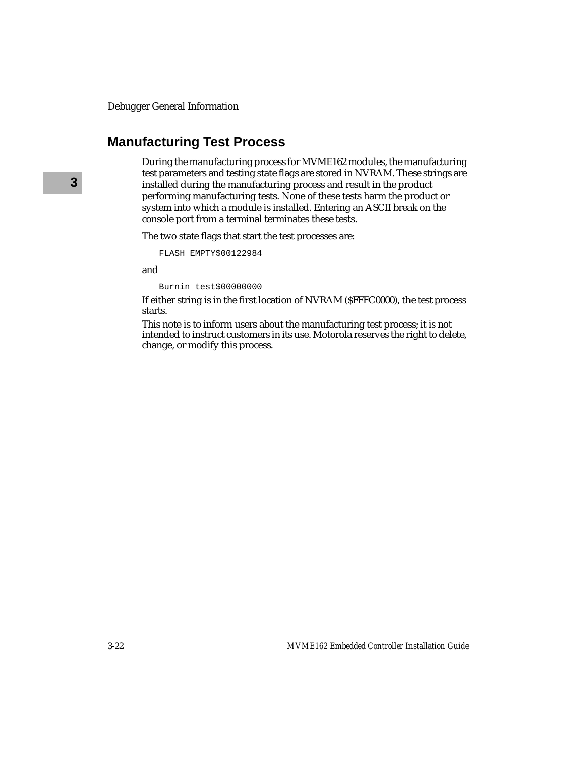# **Manufacturing Test Process**

During the manufacturing process for MVME162 modules, the manufacturing test parameters and testing state flags are stored in NVRAM. These strings are installed during the manufacturing process and result in the product performing manufacturing tests. None of these tests harm the product or system into which a module is installed. Entering an ASCII break on the console port from a terminal terminates these tests.

The two state flags that start the test processes are:

```
FLASH EMPTY$00122984
```
and

Burnin test\$00000000

If either string is in the first location of NVRAM (\$FFFC0000), the test process starts.

This note is to inform users about the manufacturing test process; it is not intended to instruct customers in its use. Motorola reserves the right to delete, change, or modify this process.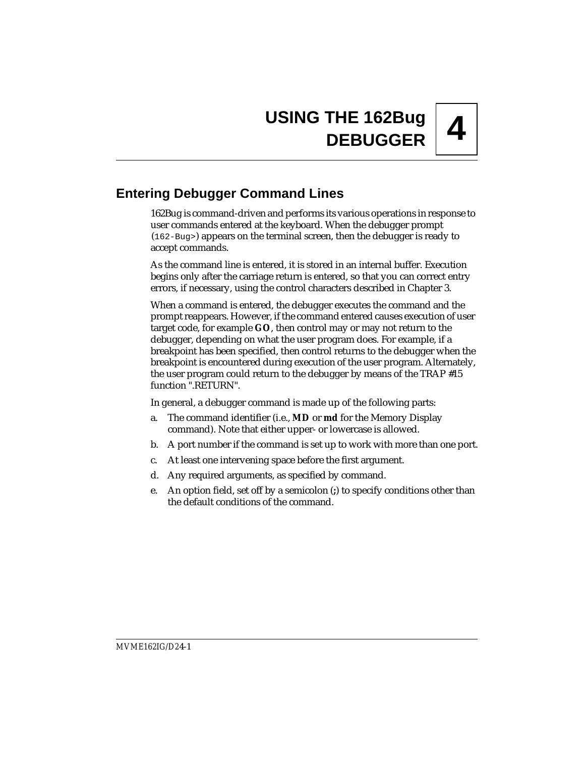# **Entering Debugger Command Lines**

162Bug is command-driven and performs its various operations in response to user commands entered at the keyboard. When the debugger prompt (162-Bug>) appears on the terminal screen, then the debugger is ready to accept commands.

As the command line is entered, it is stored in an internal buffer. Execution begins only after the carriage return is entered, so that you can correct entry errors, if necessary, using the control characters described in Chapter 3.

When a command is entered, the debugger executes the command and the prompt reappears. However, if the command entered causes execution of user target code, for example **GO**, then control may or may not return to the debugger, depending on what the user program does. For example, if a breakpoint has been specified, then control returns to the debugger when the breakpoint is encountered during execution of the user program. Alternately, the user program could return to the debugger by means of the TRAP #15 function ".RETURN".

In general, a debugger command is made up of the following parts:

- a. The command identifier (i.e., **MD** or **md** for the Memory Display command). Note that either upper- or lowercase is allowed.
- b. A port number if the command is set up to work with more than one port.
- c. At least one intervening space before the first argument.
- d. Any required arguments, as specified by command.
- e. An option field, set off by a semicolon (**;**) to specify conditions other than the default conditions of the command.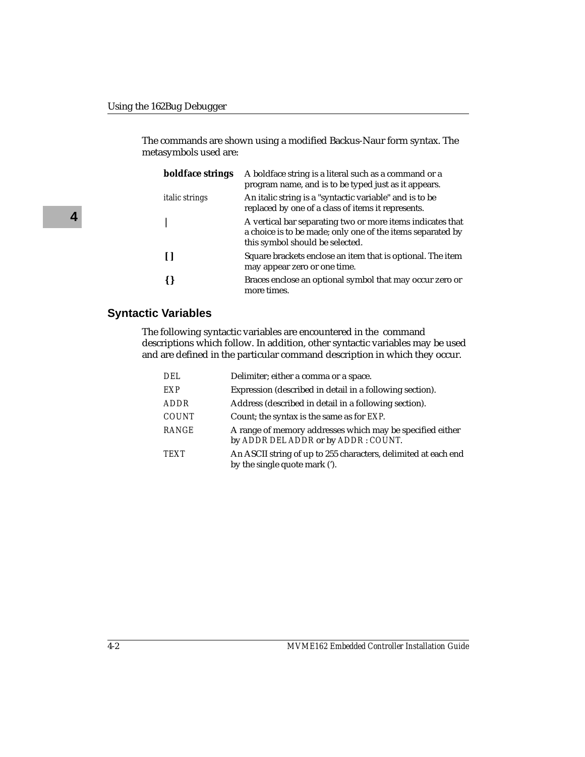The commands are shown using a modified Backus-Naur form syntax. The metasymbols used are:

| boldface strings      | A boldface string is a literal such as a command or a<br>program name, and is to be typed just as it appears.                                               |
|-----------------------|-------------------------------------------------------------------------------------------------------------------------------------------------------------|
| <i>italic strings</i> | An italic string is a "syntactic variable" and is to be<br>replaced by one of a class of items it represents.                                               |
|                       | A vertical bar separating two or more items indicates that<br>a choice is to be made; only one of the items separated by<br>this symbol should be selected. |
|                       | Square brackets enclose an item that is optional. The item<br>may appear zero or one time.                                                                  |
|                       | Braces enclose an optional symbol that may occur zero or<br>more times.                                                                                     |

### **Syntactic Variables**

The following syntactic variables are encountered in the command descriptions which follow. In addition, other syntactic variables may be used and are defined in the particular command description in which they occur.

| DEL          | Delimiter; either a comma or a space.                                                            |
|--------------|--------------------------------------------------------------------------------------------------|
| EXP          | Expression (described in detail in a following section).                                         |
| <b>ADDR</b>  | Address (described in detail in a following section).                                            |
| <b>COUNT</b> | Count; the syntax is the same as for <i>EXP</i> .                                                |
| <b>RANGE</b> | A range of memory addresses which may be specified either<br>by ADDR DEL ADDR or by ADDR: COUNT. |
| <b>TEXT</b>  | An ASCII string of up to 255 characters, delimited at each end<br>by the single quote mark (').  |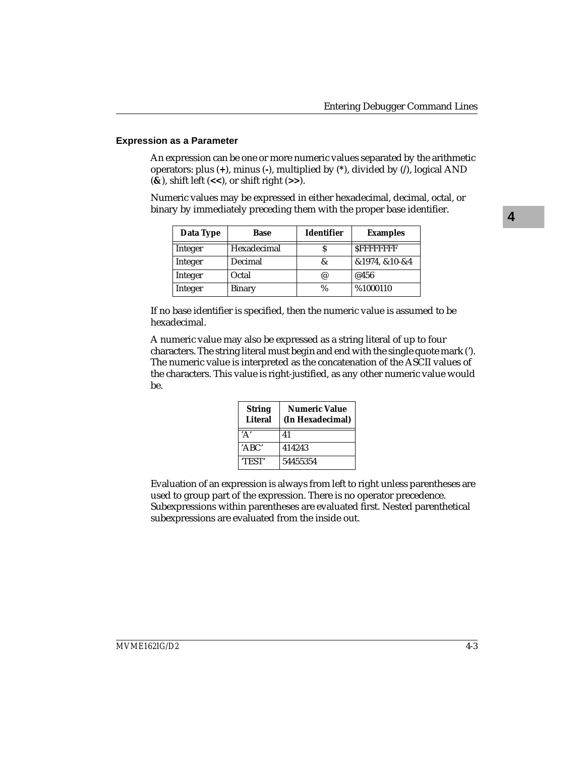#### **Expression as a Parameter**

An expression can be one or more numeric values separated by the arithmetic operators: plus (**+**), minus (**-**), multiplied by (**\***), divided by (**/**), logical AND (**&**), shift left (**<<**), or shift right (**>>**).

Numeric values may be expressed in either hexadecimal, decimal, octal, or binary by immediately preceding them with the proper base identifier.

| Data Type | Base        | <b>Identifier</b> | <b>Examples</b>   |
|-----------|-------------|-------------------|-------------------|
| Integer   | Hexadecimal |                   | <b>SFFFFFFFFF</b> |
| Integer   | Decimal     | &                 | &1974, &10-&4     |
| Integer   | Octal       | @                 | @456              |
| Integer   | Binary      | $\%$              | %1000110          |

If no base identifier is specified, then the numeric value is assumed to be hexadecimal.

A numeric value may also be expressed as a string literal of up to four characters. The string literal must begin and end with the single quote mark ('). The numeric value is interpreted as the concatenation of the ASCII values of the characters. This value is right-justified, as any other numeric value would be.

| <b>String</b><br><b>Literal</b> | <b>Numeric Value</b><br>(In Hexadecimal) |
|---------------------------------|------------------------------------------|
|                                 | 41                                       |
| 'ABC'                           | 414243                                   |
| <b>TEST'</b>                    | 54455354                                 |

Evaluation of an expression is always from left to right unless parentheses are used to group part of the expression. There is no operator precedence. Subexpressions within parentheses are evaluated first. Nested parenthetical subexpressions are evaluated from the inside out.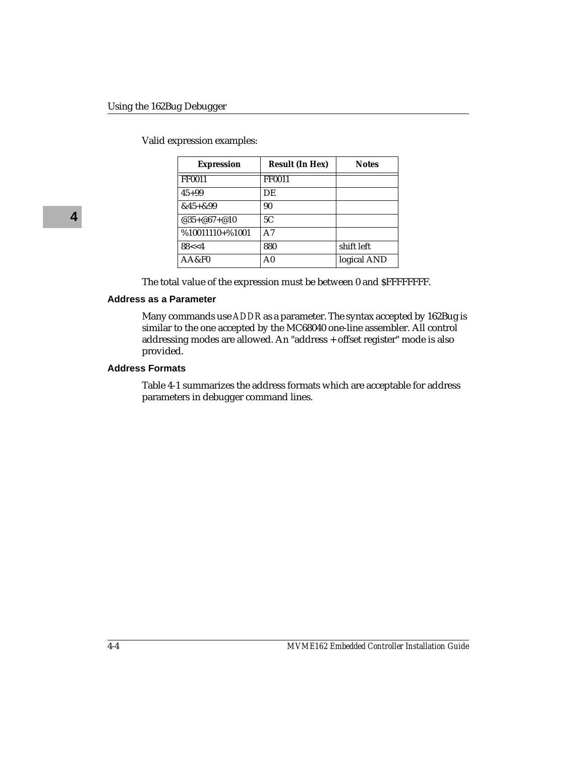Valid expression examples:

| <b>Expression</b> | <b>Result (In Hex)</b> | <b>Notes</b> |
|-------------------|------------------------|--------------|
| <b>FF0011</b>     | FF0011                 |              |
| $45 + 99$         | DE                     |              |
| $&45 + &99$       | 90                     |              |
| $@35 + @67 + @10$ | 5C                     |              |
| $%10011110+%1001$ | A7                     |              |
| 88 < 4            | 880                    | shift left   |
| AA&F0             | A <sub>0</sub>         | logical AND  |

The total value of the expression must be between 0 and \$FFFFFFFF.

#### **Address as a Parameter**

Many commands use *ADDR* as a parameter. The syntax accepted by 162Bug is similar to the one accepted by the MC68040 one-line assembler. All control addressing modes are allowed. An "address + offset register" mode is also provided.

#### **Address Formats**

Table 4-1 summarizes the address formats which are acceptable for address parameters in debugger command lines.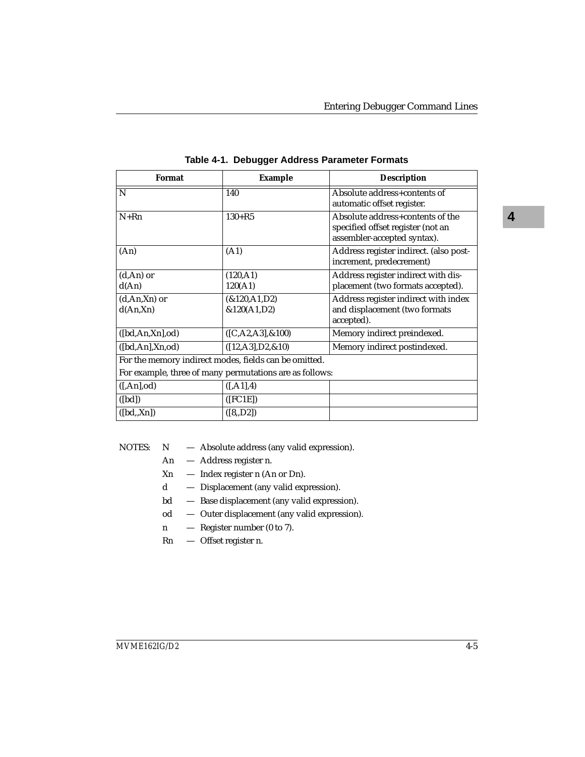| Format                                                | <b>Example</b>                                          | <b>Description</b>                                                                                   |
|-------------------------------------------------------|---------------------------------------------------------|------------------------------------------------------------------------------------------------------|
| N                                                     | 140                                                     | Absolute address+contents of<br>automatic offset register.                                           |
| $N+Rn$                                                | $130 + R5$                                              | Absolute address+contents of the<br>specified offset register (not an<br>assembler-accepted syntax). |
| (An)                                                  | (A1)                                                    | Address register indirect. (also post-<br>increment, predecrement)                                   |
| $(d, An)$ or                                          | (120, A1)                                               | Address register indirect with dis-                                                                  |
| d(An)                                                 | 120(A1)                                                 | placement (two formats accepted).                                                                    |
| $(d, An, Xn)$ or                                      | &120, A1, D2                                            | Address register indirect with index                                                                 |
| d(An,Xn)                                              | &120(A1,D2)                                             | and displacement (two formats<br>accepted).                                                          |
| ([bd, An, Xn], od)                                    | $([C, A2, A3], \& 100)$                                 | Memory indirect preindexed.                                                                          |
| ([bd, An], Xn, od)                                    | $([12, A3], D2, \& 10)$                                 | Memory indirect postindexed.                                                                         |
| For the memory indirect modes, fields can be omitted. |                                                         |                                                                                                      |
|                                                       | For example, three of many permutations are as follows: |                                                                                                      |
| ([An], od)                                            | ([, A1], 4)                                             |                                                                                                      |
| ([bd])                                                | ([FC1E])                                                |                                                                                                      |
| ([bd.,Xn])                                            | ([8, D2])                                               |                                                                                                      |

|  | Table 4-1. Debugger Address Parameter Formats |  |
|--|-----------------------------------------------|--|
|  |                                               |  |

| NOTES:<br>N | Absolute address (any valid expression). |  |  |
|-------------|------------------------------------------|--|--|
|-------------|------------------------------------------|--|--|

- An Address register n.
- Xn Index register n (An or Dn).
- d Displacement (any valid expression).
- bd Base displacement (any valid expression).
- od Outer displacement (any valid expression).
- n Register number (0 to 7).
- Rn Offset register n.

**4**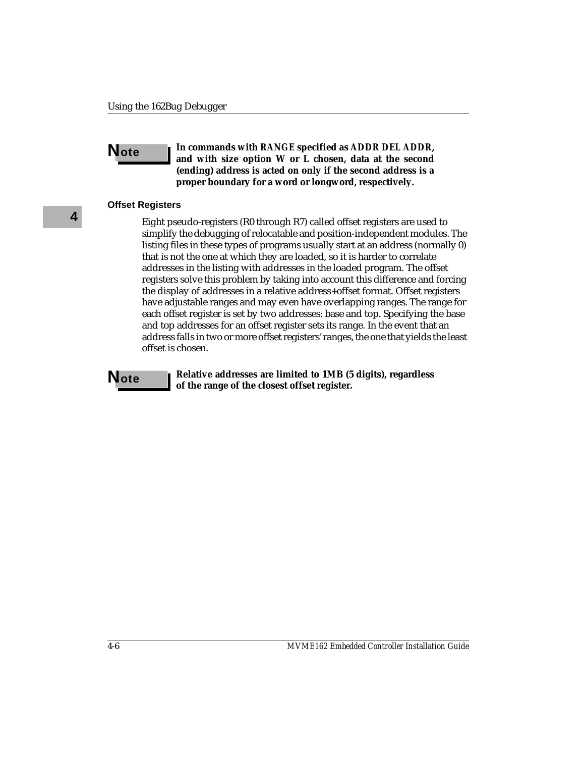**Note In commands with** *RANGE* **specified as** *ADDR DEL ADDR***, and with size option W or L chosen, data at the second (ending) address is acted on only if the second address is a proper boundary for a word or longword, respectively.**

#### **Offset Registers**

Eight pseudo-registers (R0 through R7) called offset registers are used to simplify the debugging of relocatable and position-independent modules. The listing files in these types of programs usually start at an address (normally 0) that is not the one at which they are loaded, so it is harder to correlate addresses in the listing with addresses in the loaded program. The offset registers solve this problem by taking into account this difference and forcing the display of addresses in a relative address+offset format. Offset registers have adjustable ranges and may even have overlapping ranges. The range for each offset register is set by two addresses: base and top. Specifying the base and top addresses for an offset register sets its range. In the event that an address falls in two or more offset registers' ranges, the one that yields the least offset is chosen.

**Note Relative addresses are limited to 1MB (5 digits), regardless of the range of the closest offset register.**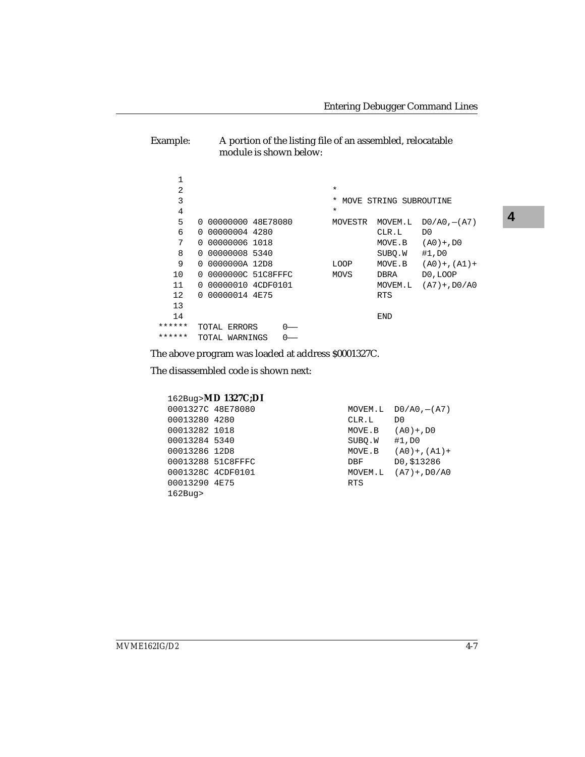Example: A portion of the listing file of an assembled, relocatable module is shown below:

| 1      |                               |                                         |  |
|--------|-------------------------------|-----------------------------------------|--|
| 2      |                               | $\star$                                 |  |
| 3      |                               | MOVE STRING SUBROUTINE<br>*             |  |
| 4      |                               | $\ast$                                  |  |
| 5      | 0 00000000 48E78080           | MOVEM.L<br>$D0/AO$ , $-(A7)$<br>MOVESTR |  |
| 6      | 0 00000004 4280               | CLR.L<br>D0                             |  |
| 7      | 00000006 1018<br><sup>n</sup> | $(AO) + DO$<br>MOVE.B                   |  |
| 8      | 0 00000008 5340               | SUBO.W<br>#1,D0                         |  |
| 9      | 0 0000000A 12D8               | MOVE.B<br>LOOP<br>$(AD) +$ , $(AI) +$   |  |
| 10     | 0 0000000C 51C8FFFC           | D0, LOOP<br>MOVS<br>DBRA                |  |
| 11     | 0 00000010 4CDF0101           | MOVEM.L<br>$(A7) + D0/A0$               |  |
| 12     | 0 00000014 4E75               | <b>RTS</b>                              |  |
| 13     |                               |                                         |  |
| 14     |                               | <b>END</b>                              |  |
| ****** | TOTAL ERRORS                  |                                         |  |
| ****** | TOTAL WARNINGS                |                                         |  |

The above program was loaded at address \$0001327C.

The disassembled code is shown next:

|                   | 162Bug>MD 1327C;DI |            |                    |
|-------------------|--------------------|------------|--------------------|
| 0001327C 48E78080 |                    | MOVEM.L    | $DO/AO$ , $- (A7)$ |
| 00013280 4280     |                    | CLR.L      | D <sub>0</sub>     |
| 00013282 1018     |                    | MOVE.B     | $(AO) + DO$        |
| 00013284 5340     |                    | SUBO.W     | #1,D0              |
| 00013286 12D8     |                    | MOVE.B     | $(AO) + (A1) +$    |
| 00013288 51C8FFFC |                    | DBF        | DO, \$13286        |
| 0001328C 4CDF0101 |                    | MOVEM.L    | $(A7) + D0/A0$     |
| 00013290 4E75     |                    | <b>RTS</b> |                    |
| $162$ Buq>        |                    |            |                    |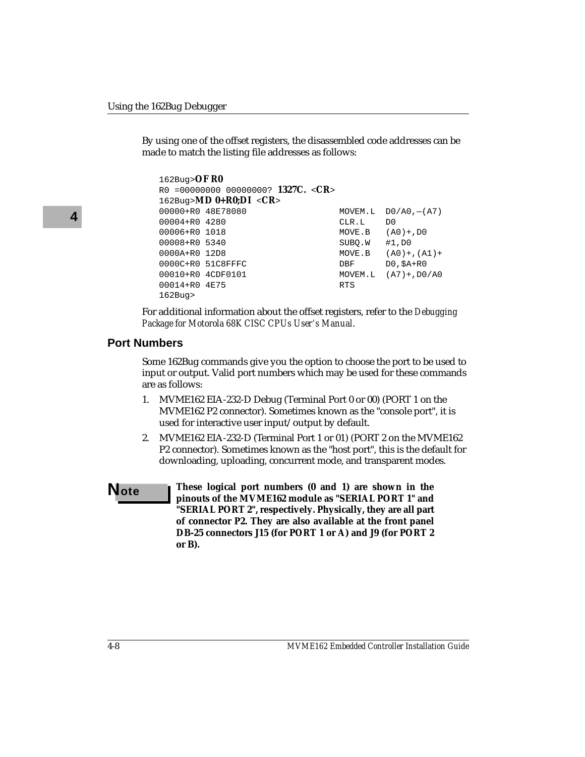By using one of the offset registers, the disassembled code addresses can be made to match the listing file addresses as follows:

```
162Bug>OF R0
R0 =00000000 00000000? 1327C. <CR>
162Bug>MD 0+R0;DI <CR>
00000+R0 48E78080 MOVEM.L D0/A0,-(A7)
00004+R0 4280 CLR.L D0
00006+R0 1018 MOVE.B (A0)+,D0
00008+R0 5340 SUBO.W #1, DO
0000A+R0 12D8 MOVE.B (A0)+, (A1)+
0000C+R0 51C8FFFC DBF DD, $A+R0
00010+R0 4CDF0101 MOVEM.L (A7)+,D0/A0
00014+R0 4E75 RTS
162Bug>
```
For additional information about the offset registers, refer to the *Debugging Package for Motorola 68K CISC CPUs User's Manual*.

#### **Port Numbers**

Some 162Bug commands give you the option to choose the port to be used to input or output. Valid port numbers which may be used for these commands are as follows:

- 1. MVME162 EIA-232-D Debug (Terminal Port 0 or 00) (PORT 1 on the MVME162 P2 connector). Sometimes known as the "console port", it is used for interactive user input/output by default.
- 2. MVME162 EIA-232-D (Terminal Port 1 or 01) (PORT 2 on the MVME162 P2 connector). Sometimes known as the "host port", this is the default for downloading, uploading, concurrent mode, and transparent modes.
- **Note These logical port numbers (0 and 1) are shown in the pinouts of the MVME162 module as "SERIAL PORT 1" and "SERIAL PORT 2", respectively. Physically, they are all part of connector P2. They are also available at the front panel DB-25 connectors J15 (for PORT 1 or A) and J9 (for PORT 2 or B).**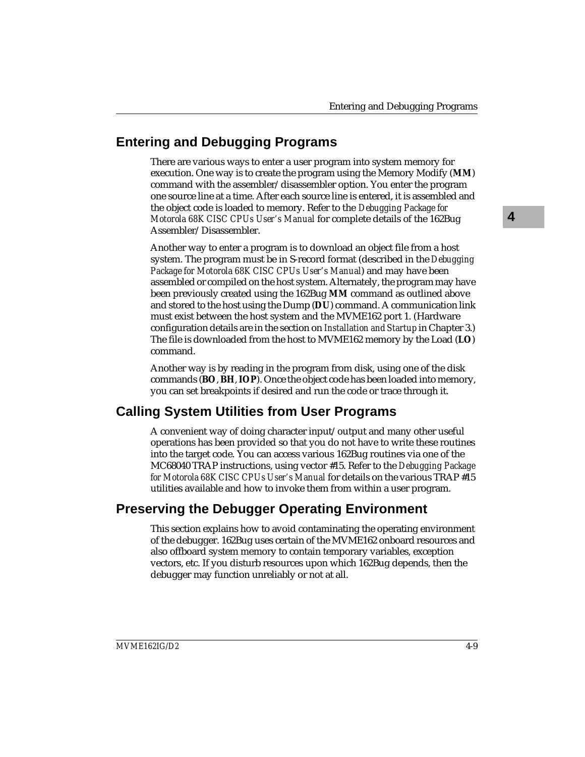# **Entering and Debugging Programs**

There are various ways to enter a user program into system memory for execution. One way is to create the program using the Memory Modify (**MM**) command with the assembler/disassembler option. You enter the program one source line at a time. After each source line is entered, it is assembled and the object code is loaded to memory. Refer to the *Debugging Package for Motorola 68K CISC CPUs User's Manual* for complete details of the 162Bug Assembler/Disassembler.

Another way to enter a program is to download an object file from a host system. The program must be in S-record format (described in the *Debugging Package for Motorola 68K CISC CPUs User's Manual*) and may have been assembled or compiled on the host system. Alternately, the program may have been previously created using the 162Bug **MM** command as outlined above and stored to the host using the Dump (**DU**) command. A communication link must exist between the host system and the MVME162 port 1. (Hardware configuration details are in the section on *Installation and Startup* in Chapter 3.) The file is downloaded from the host to MVME162 memory by the Load (**LO**) command.

Another way is by reading in the program from disk, using one of the disk commands (**BO**, **BH**, **IOP**). Once the object code has been loaded into memory, you can set breakpoints if desired and run the code or trace through it.

# **Calling System Utilities from User Programs**

A convenient way of doing character input/output and many other useful operations has been provided so that you do not have to write these routines into the target code. You can access various 162Bug routines via one of the MC68040 TRAP instructions, using vector #15. Refer to the *Debugging Package for Motorola 68K CISC CPUs User's Manual* for details on the various TRAP #15 utilities available and how to invoke them from within a user program.

# **Preserving the Debugger Operating Environment**

This section explains how to avoid contaminating the operating environment of the debugger. 162Bug uses certain of the MVME162 onboard resources and also offboard system memory to contain temporary variables, exception vectors, etc. If you disturb resources upon which 162Bug depends, then the debugger may function unreliably or not at all.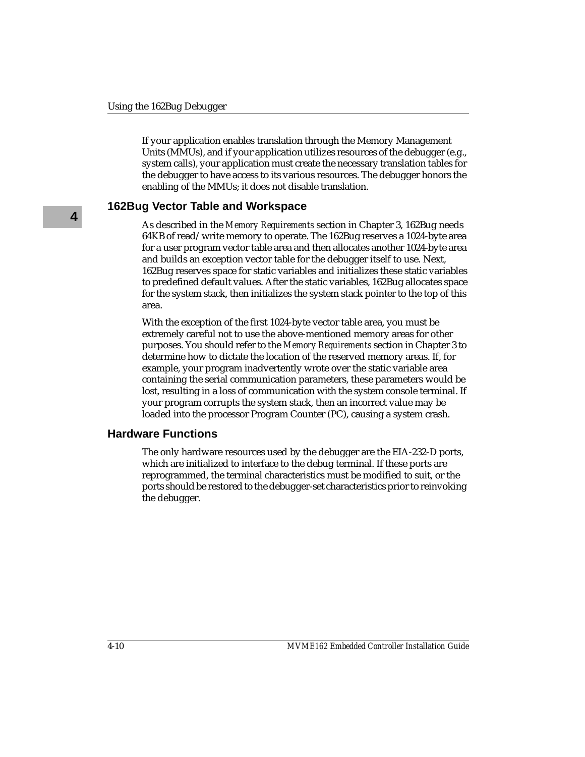If your application enables translation through the Memory Management Units (MMUs), and if your application utilizes resources of the debugger (e.g., system calls), your application must create the necessary translation tables for the debugger to have access to its various resources. The debugger honors the enabling of the MMUs; it does not disable translation.

### **162Bug Vector Table and Workspace**

As described in the *Memory Requirements* section in Chapter 3, 162Bug needs 64KB of read/write memory to operate. The 162Bug reserves a 1024-byte area for a user program vector table area and then allocates another 1024-byte area and builds an exception vector table for the debugger itself to use. Next, 162Bug reserves space for static variables and initializes these static variables to predefined default values. After the static variables, 162Bug allocates space for the system stack, then initializes the system stack pointer to the top of this area.

With the exception of the first 1024-byte vector table area, you must be extremely careful not to use the above-mentioned memory areas for other purposes. You should refer to the *Memory Requirements* section in Chapter 3 to determine how to dictate the location of the reserved memory areas. If, for example, your program inadvertently wrote over the static variable area containing the serial communication parameters, these parameters would be lost, resulting in a loss of communication with the system console terminal. If your program corrupts the system stack, then an incorrect value may be loaded into the processor Program Counter (PC), causing a system crash.

### **Hardware Functions**

The only hardware resources used by the debugger are the EIA-232-D ports, which are initialized to interface to the debug terminal. If these ports are reprogrammed, the terminal characteristics must be modified to suit, or the ports should be restored to the debugger-set characteristics prior to reinvoking the debugger.

**4**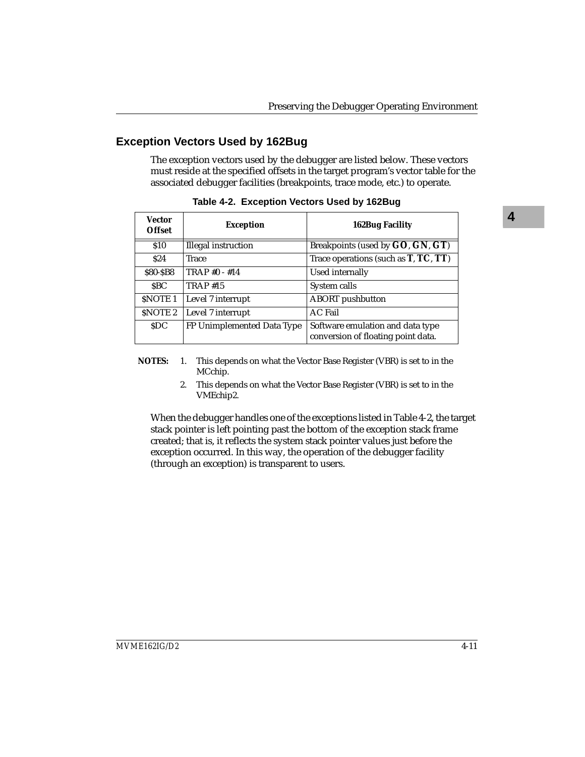# **Exception Vectors Used by 162Bug**

The exception vectors used by the debugger are listed below. These vectors must reside at the specified offsets in the target program's vector table for the associated debugger facilities (breakpoints, trace mode, etc.) to operate.

| Vector<br><b>Offset</b> | <b>Exception</b>           | <b>162Bug Facility</b>                                                 |
|-------------------------|----------------------------|------------------------------------------------------------------------|
| \$10                    | Illegal instruction        | Breakpoints (used by GO, GN, GT)                                       |
| \$24                    | Trace                      | Trace operations (such as $T, TC, TT$ )                                |
| \$80-\$B8               | TRAP #0 - #14              | Used internally                                                        |
| <b>SBC</b>              | <b>TRAP #15</b>            | System calls                                                           |
| <b>SNOTE 1</b>          | Level 7 interrupt          | <b>ABORT</b> pushbutton                                                |
| SNOTE <sub>2</sub>      | Level 7 interrupt          | <b>AC Fail</b>                                                         |
| <b>SDC</b>              | FP Unimplemented Data Type | Software emulation and data type<br>conversion of floating point data. |

**Table 4-2. Exception Vectors Used by 162Bug**

- **NOTES:** 1. This depends on what the Vector Base Register (VBR) is set to in the MCchip.
	- 2. This depends on what the Vector Base Register (VBR) is set to in the VMEchip2.

When the debugger handles one of the exceptions listed in Table 4-2, the target stack pointer is left pointing past the bottom of the exception stack frame created; that is, it reflects the system stack pointer values just before the exception occurred. In this way, the operation of the debugger facility (through an exception) is transparent to users.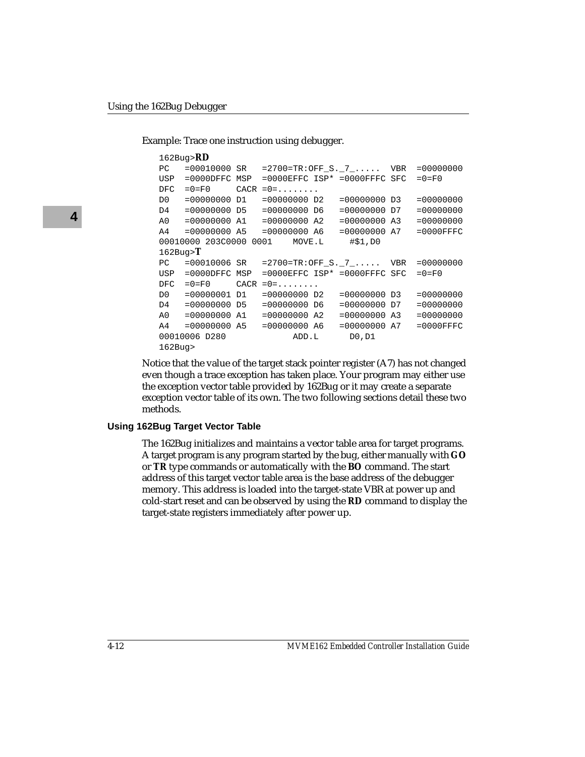Example: Trace one instruction using debugger.

```
162Bug>RD
PC =00010000 SR =2700=TR:OFF S. 7 ..... VBR =00000000
USP =0000DFFC MSP =0000EFFC ISP* =0000FFFC SFC =0=F0
DFC = 0 = F0 CACR = 0 = \ldots \ldotsD0 =00000000 D1 =00000000 D2 =00000000 D3 =00000000
D4 =00000000 D5 =00000000 D6 =00000000 D7 =00000000
A0 =00000000 A1 =00000000 A2 =00000000 A3 =00000000
A4 =00000000 A5 =00000000 A6 =00000000 A7 =0000FFFC
00010000 203C0000 0001 MOVE.L #$1,D0
162Bug>T
PC =00010006 SR =2700=TR:OFF_S._7_..... VBR =00000000
USP =0000DFFC MSP =0000EFFC ISP* =0000FFFC SFC =0=F0
DFC =0=F0 CACR =0=......D0 =00000001 D1 =00000000 D2 =00000000 D3 =00000000
D4 =00000000 D5 =00000000 D6 =00000000 D7 =00000000
A0 =00000000 A1 =00000000 A2 =00000000 A3 =00000000
A4 =00000000 A5 =00000000 A6 =00000000 A7 =0000FFFC
00010006 D280 ADD.L D0,D1
162Bug>
```
Notice that the value of the target stack pointer register (A7) has not changed even though a trace exception has taken place. Your program may either use the exception vector table provided by 162Bug or it may create a separate exception vector table of its own. The two following sections detail these two methods.

#### **Using 162Bug Target Vector Table**

The 162Bug initializes and maintains a vector table area for target programs. A target program is any program started by the bug, either manually with **GO** or **TR** type commands or automatically with the **BO** command. The start address of this target vector table area is the base address of the debugger memory. This address is loaded into the target-state VBR at power up and cold-start reset and can be observed by using the **RD** command to display the target-state registers immediately after power up.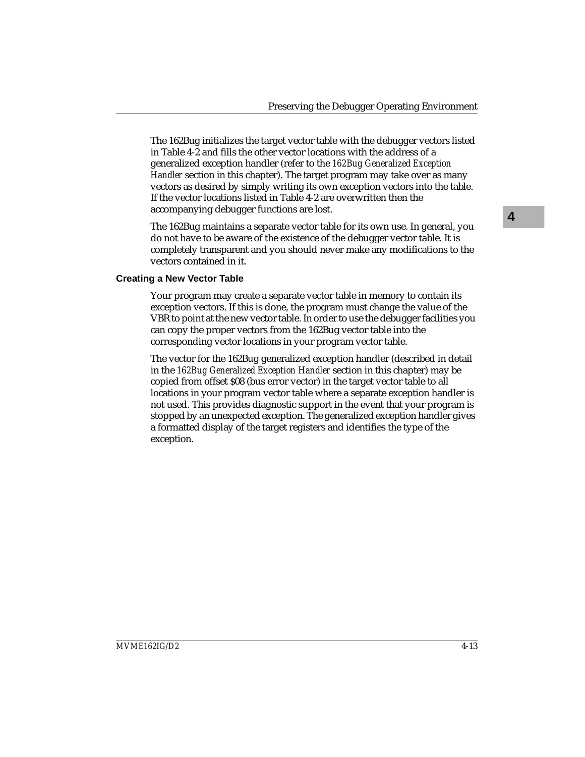The 162Bug initializes the target vector table with the debugger vectors listed in Table 4-2 and fills the other vector locations with the address of a generalized exception handler (refer to the *162Bug Generalized Exception Handler* section in this chapter). The target program may take over as many vectors as desired by simply writing its own exception vectors into the table. If the vector locations listed in Table 4-2 are overwritten then the accompanying debugger functions are lost.

The 162Bug maintains a separate vector table for its own use. In general, you do not have to be aware of the existence of the debugger vector table. It is completely transparent and you should never make any modifications to the vectors contained in it.

#### **Creating a New Vector Table**

Your program may create a separate vector table in memory to contain its exception vectors. If this is done, the program must change the value of the VBR to point at the new vector table. In order to use the debugger facilities you can copy the proper vectors from the 162Bug vector table into the corresponding vector locations in your program vector table.

The vector for the 162Bug generalized exception handler (described in detail in the *162Bug Generalized Exception Handler* section in this chapter) may be copied from offset \$08 (bus error vector) in the target vector table to all locations in your program vector table where a separate exception handler is not used. This provides diagnostic support in the event that your program is stopped by an unexpected exception. The generalized exception handler gives a formatted display of the target registers and identifies the type of the exception.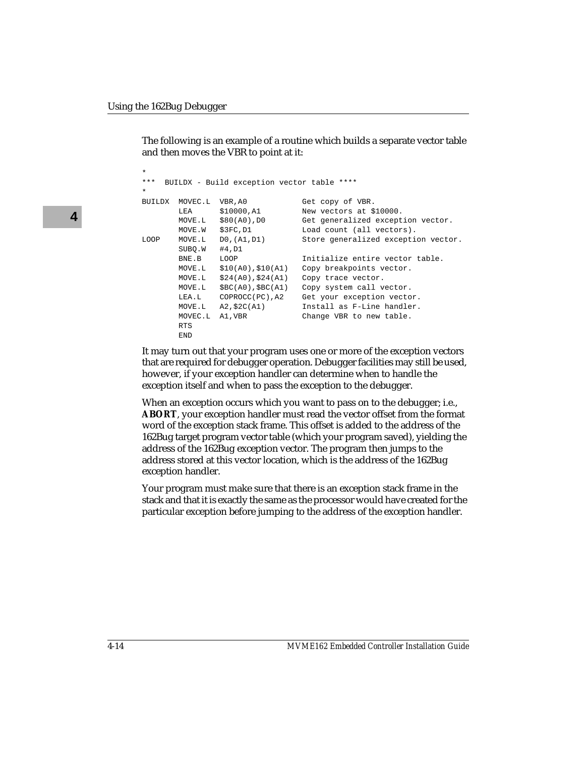The following is an example of a routine which builds a separate vector table and then moves the VBR to point at it:

```
*
*** BUILDX - Build exception vector table ****
*
BUILDX MOVEC.L VBR,A0 Get copy of VBR.<br>LEA $10000,A1 New vectors at $
        LEA $10000, A1 New vectors at $10000.<br>MOVE.L $80(A0), D0 Get generalized except
                                       Get generalized exception vector.<br>Load count (all vectors).
      \begin{array}{lll} \text{MOVE.W} & \text{\$3FC},\text{D1} \ \text{MOVE.L} & \text{D0},(\text{A1},\text{D1}) \end{array}LOOP MOVE.L D0,(A1,D1) Store generalized exception vector.
          SUBQ.W #4,D1
         BNE.B LOOP Initialize entire vector table.
          MOVE.L $10(A0),$10(A1) Copy breakpoints vector.
          MOVE.L $24(A0),$24(A1) Copy trace vector.
          MOVE.L $BC(A0),$BC(A1) Copy system call vector.
          LEA.L COPROCC(PC),A2 Get your exception vector.
          MOVE.L A2,$2C(A1) Install as F-Line handler.
         MOVEC.L A1, VBR Change VBR to new table.
          RTS
          END
```
It may turn out that your program uses one or more of the exception vectors that are required for debugger operation. Debugger facilities may still be used, however, if your exception handler can determine when to handle the exception itself and when to pass the exception to the debugger.

When an exception occurs which you want to pass on to the debugger; i.e., **ABORT**, your exception handler must read the vector offset from the format word of the exception stack frame. This offset is added to the address of the 162Bug target program vector table (which your program saved), yielding the address of the 162Bug exception vector. The program then jumps to the address stored at this vector location, which is the address of the 162Bug exception handler.

Your program must make sure that there is an exception stack frame in the stack and that it is exactly the same as the processor would have created for the particular exception before jumping to the address of the exception handler.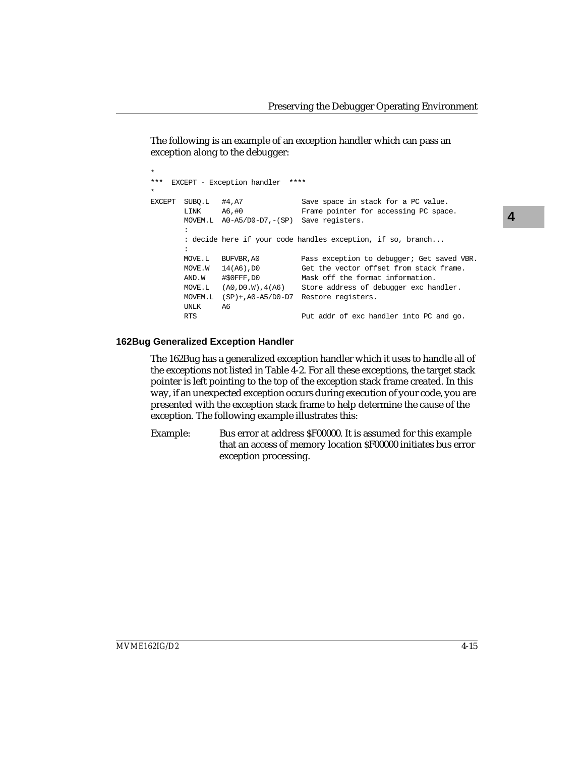The following is an example of an exception handler which can pass an exception along to the debugger:

```
*
*** EXCEPT - Exception handler ****
*
EXCEPT SUBQ.L #4,A7 Save space in stack for a PC value.
       LINK A6,#0 Frame pointer for accessing PC space.
       MOVEM.L A0-A5/D0-D7,-(SP) Save registers.
: 100 minutes
        : decide here if your code handles exception, if so, branch...
        :
       MOVE.L BUFVBR,A0 Pass exception to debugger; Get saved VBR.
      MOVE.W 14(A6), D0 Get the vector offset from stack frame.
       AND.W #$0FFF,D0 Mask off the format information.
       MOVE.L (A0,D0.W),4(A6) Store address of debugger exc handler.
       MOVEM.L (SP)+,A0-A5/D0-D7 Restore registers.
       UNLK A6
       RTS Put addr of exc handler into PC and go.
```
#### **162Bug Generalized Exception Handler**

The 162Bug has a generalized exception handler which it uses to handle all of the exceptions not listed in Table 4-2. For all these exceptions, the target stack pointer is left pointing to the top of the exception stack frame created. In this way, if an unexpected exception occurs during execution of your code, you are presented with the exception stack frame to help determine the cause of the exception. The following example illustrates this:

Example: Bus error at address \$F00000. It is assumed for this example that an access of memory location \$F00000 initiates bus error exception processing.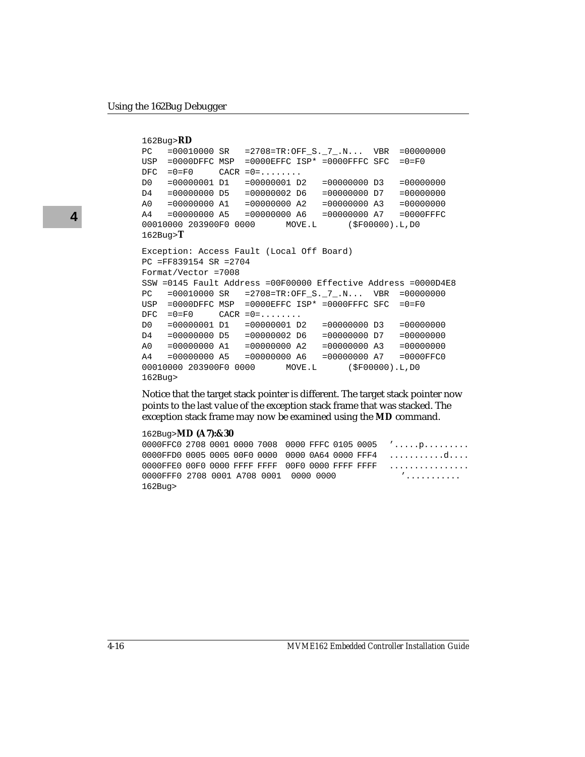```
162Bug>RD
PC = 00010000 SR = 2708=TR: OFF S. 7 .N... VBR = 00000000
USP =0000DFFC MSP =0000EFFC ISP* =0000FFFC SFC =0=F0
DFC = 0 = F0 CACR = 0 = \ldots \ldotsD0 =00000001 D1 =00000001 D2 =00000000 D3 =00000000
D4 =00000000 D5 =00000002 D6 =00000000 D7 =00000000
A0 =00000000 A1 =00000000 A2 =00000000 A3 =00000000
A4 =00000000 A5 =00000000 A6 =00000000 A7 =0000FFFC
00010000 203900F0 0000 MOVE.L ($F00000).L,D0
162Bug>T
Exception: Access Fault (Local Off Board)
PC =FF839154 SR =2704
Format/Vector =7008
SSW =0145 Fault Address =00F00000 Effective Address =0000D4E8
PC =00010000 SR =2708=TR:OFF_S._7_.N... VBR =00000000
USP =0000DFFC MSP =0000EFFC ISP* =0000FFFC SFC =0=F0
DFC = 0 = F0 CACR = 0 = \ldots \ldotsD0 =00000001 D1 =00000001 D2 =00000000 D3 =00000000
D4 =00000000 D5 =00000002 D6 =00000000 D7 =00000000
A0 =00000000 A1 =00000000 A2 =00000000 A3 =00000000
A4 =00000000 A5 =00000000 A6 =00000000 A7 =0000FFC0
00010000 203900F0 0000 MOVE.L ($F00000).L,D0
162Bug>
```
Notice that the target stack pointer is different. The target stack pointer now points to the last value of the exception stack frame that was stacked. The exception stack frame may now be examined using the **MD** command.

#### 162Bug>**MD (A7):&30**

0000FFC0 2708 0001 0000 7008 0000 FFFC 0105 0005 '.....p......... 0000FFD0 0005 0005 00F0 0000 0000 0A64 0000 FFF4 ...........d.... 0000FFE0 00F0 0000 FFFF FFFF 00F0 0000 FFFF FFFF ................ 0000FFF0 2708 0001 A708 0001 0000 0000 '............ 162Bug>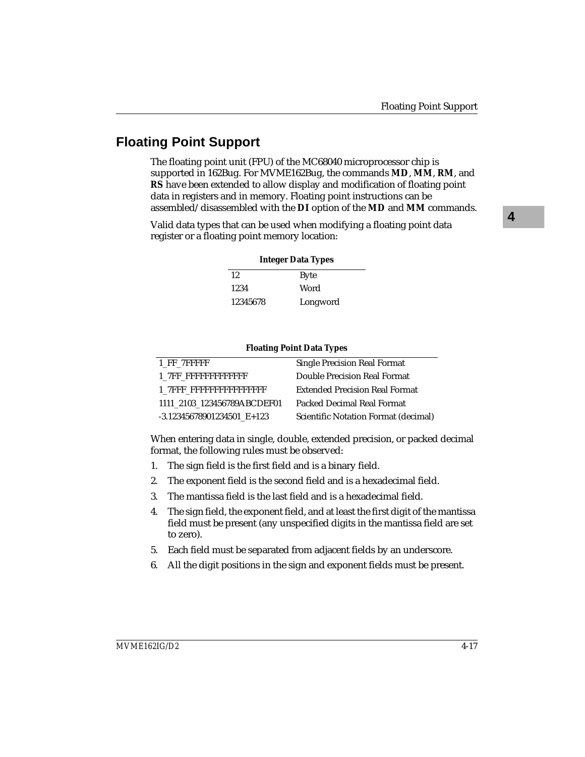# **Floating Point Support**

The floating point unit (FPU) of the MC68040 microprocessor chip is supported in 162Bug. For MVME162Bug, the commands **MD**, **MM**, **RM**, and **RS** have been extended to allow display and modification of floating point data in registers and in memory. Floating point instructions can be assembled/disassembled with the **DI** option of the **MD** and **MM** commands.

Valid data types that can be used when modifying a floating point data register or a floating point memory location:

| <b>Integer Data Types</b> |             |  |
|---------------------------|-------------|--|
| 12                        | <b>Byte</b> |  |
| 1234                      | Word        |  |
| 12345678                  | Longword    |  |

#### **Floating Point Data Types**

| 1 FF 7FFFFF                  | <b>Single Precision Real Format</b>   |
|------------------------------|---------------------------------------|
| 1 7FF FFFFFFFFFFFFFF         | Double Precision Real Format          |
| 1 7FFF FFFFFFFFFFFFFFFFFF    | <b>Extended Precision Real Format</b> |
| 1111 2103 123456789ABCDEF01  | Packed Decimal Real Format            |
| $-3.12345678901234501$ E+123 | Scientific Notation Format (decimal)  |

When entering data in single, double, extended precision, or packed decimal format, the following rules must be observed:

- 1. The sign field is the first field and is a binary field.
- 2. The exponent field is the second field and is a hexadecimal field.
- 3. The mantissa field is the last field and is a hexadecimal field.
- 4. The sign field, the exponent field, and at least the first digit of the mantissa field must be present (any unspecified digits in the mantissa field are set to zero).
- 5. Each field must be separated from adjacent fields by an underscore.
- 6. All the digit positions in the sign and exponent fields must be present.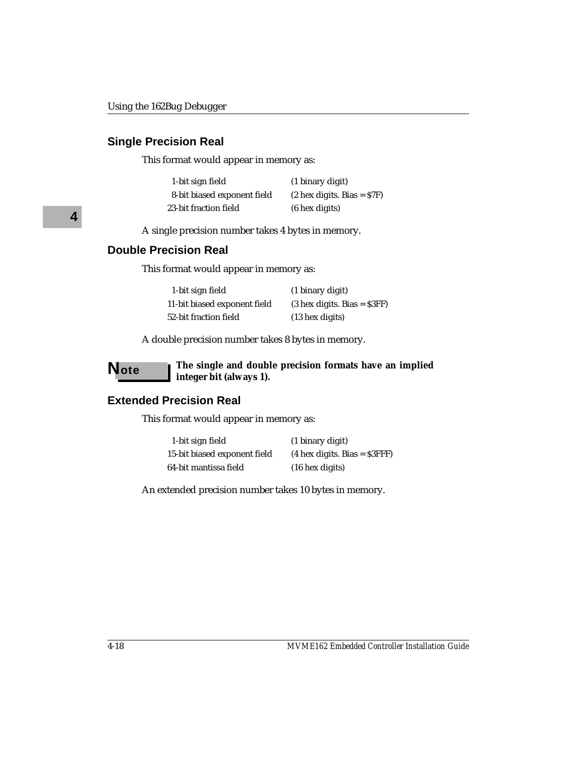### **Single Precision Real**

This format would appear in memory as:

| 1-bit sign field            | (1 binary digit)                     |
|-----------------------------|--------------------------------------|
| 8-bit biased exponent field | $(2 \text{ hex digits. Bias} = $7F)$ |
| 23-bit fraction field       | $(6 \text{ hex digits})$             |

A single precision number takes 4 bytes in memory.

## **Double Precision Real**

This format would appear in memory as:

| 1-bit sign field             | (1 binary digit)                      |
|------------------------------|---------------------------------------|
| 11-bit biased exponent field | $(3 \text{ hex digits. Bias} = $3FF)$ |
| 52-bit fraction field        | $(13$ hex digits)                     |

A double precision number takes 8 bytes in memory.

**Note The single and double precision formats have an implied integer bit (always 1).**

#### **Extended Precision Real**

This format would appear in memory as:

| 1-bit sign field             | (1 binary digit)                       |
|------------------------------|----------------------------------------|
| 15-bit biased exponent field | $(4 \text{ hex digits. Bias} = $3FFF)$ |
| 64-bit mantissa field        | $(16$ hex digits)                      |

An extended precision number takes 10 bytes in memory.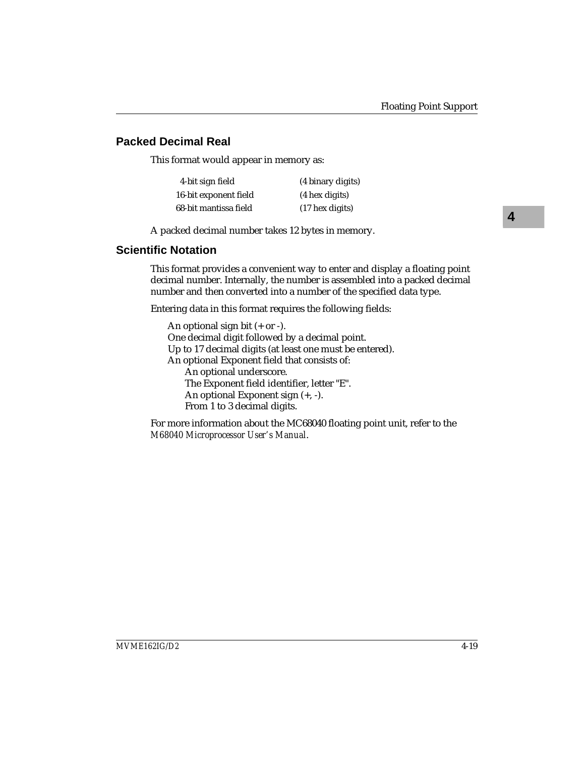# **Packed Decimal Real**

This format would appear in memory as:

| 4-bit sign field      | (4 binary digits) |
|-----------------------|-------------------|
| 16-bit exponent field | (4 hex digits)    |
| 68-bit mantissa field | $(17$ hex digits) |

A packed decimal number takes 12 bytes in memory.

# **Scientific Notation**

This format provides a convenient way to enter and display a floating point decimal number. Internally, the number is assembled into a packed decimal number and then converted into a number of the specified data type.

Entering data in this format requires the following fields:

An optional sign bit  $(+ or -).$ One decimal digit followed by a decimal point. Up to 17 decimal digits (at least one must be entered). An optional Exponent field that consists of: An optional underscore. The Exponent field identifier, letter "E". An optional Exponent sign (+, -). From 1 to 3 decimal digits.

For more information about the MC68040 floating point unit, refer to the *M68040 Microprocessor User's Manual*.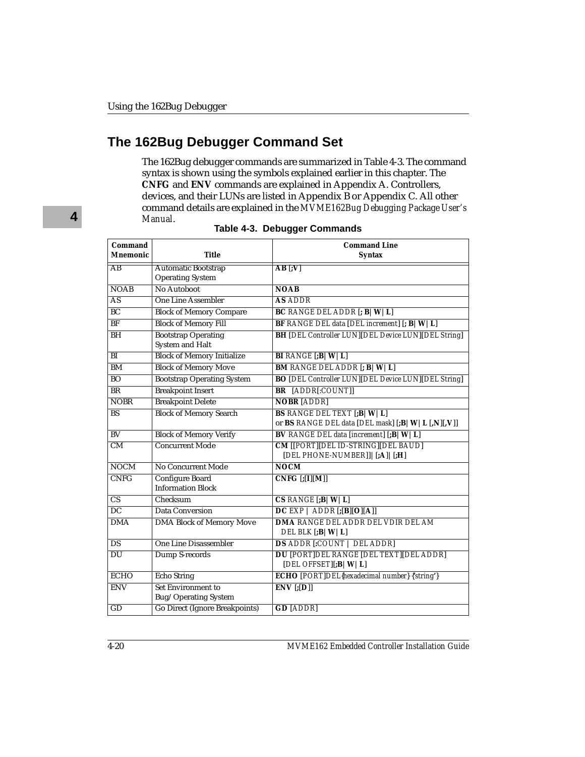# **The 162Bug Debugger Command Set**

The 162Bug debugger commands are summarized in Table 4-3. The command syntax is shown using the symbols explained earlier in this chapter. The **CNFG** and **ENV** commands are explained in Appendix A. Controllers, devices, and their LUNs are listed in Appendix B or Appendix C. All other command details are explained in the *MVME162Bug Debugging Package User's Manual*. **Table 4-3. Debugger Commands**

| Command                |                                                      | <b>Command Line</b>                                                                            |
|------------------------|------------------------------------------------------|------------------------------------------------------------------------------------------------|
| <b>Mnemonic</b>        | Title                                                | <b>Syntax</b>                                                                                  |
| AB                     | <b>Automatic Bootstrap</b>                           | $AB$ [;V]                                                                                      |
|                        | <b>Operating System</b>                              |                                                                                                |
| <b>NOAB</b>            | No Autoboot                                          | <b>NOAB</b>                                                                                    |
| AS                     | <b>One Line Assembler</b>                            | <b>AS ADDR</b>                                                                                 |
| BC                     | <b>Block of Memory Compare</b>                       | <b>BC</b> RANGE DEL ADDR [; <b>B</b>   <b>W</b>   <b>L</b> ]                                   |
| BF                     | <b>Block of Memory Fill</b>                          | <b>BF</b> RANGE DEL data [DEL increment] $[$ ; <b>B</b> $ W L]$                                |
| BH                     | <b>Bootstrap</b> Operating<br><b>System and Halt</b> | <b>BH</b> [DEL Controller LUN][DEL Device LUN][DEL String]                                     |
| BI                     | <b>Block of Memory Initialize</b>                    | <b>BI</b> RANGE $[$ <b>;B</b> $ $ <b>W</b> $ $ <b>L</b> $]$                                    |
| BM                     | <b>Block of Memory Move</b>                          | <b>BM RANGE DEL ADDR [; B   W   L]</b>                                                         |
| BO                     | <b>Bootstrap Operating System</b>                    | <b>BO</b> [DEL Controller LUN][DEL Device LUN][DEL String]                                     |
| BR                     | <b>Breakpoint Insert</b>                             | <b>BR</b> [ADDR[:COUNT]]                                                                       |
| <b>NOBR</b>            | <b>Breakpoint Delete</b>                             | <b>NOBR</b> [ADDR]                                                                             |
| BS                     | <b>Block of Memory Search</b>                        | <b>BS RANGE DEL TEXT [;B   W   L]</b><br>or BS RANGE DEL data [DEL mask] [;B   W   L [,N][,V]] |
| $\overline{BV}$        | <b>Block of Memory Verify</b>                        | <b>BV</b> RANGE DEL data [increment] [;B   W   L]                                              |
| CM                     | <b>Concurrent Mode</b>                               | CM [[PORT][DEL ID-STRING][DEL BAUD]                                                            |
|                        |                                                      | [DEL PHONE-NUMBER]] $ $ [;A] $ $ [;H]                                                          |
| NOCM                   | <b>No Concurrent Mode</b>                            | NOCM                                                                                           |
| <b>CNFG</b>            | <b>Configure Board</b>                               | $CNFG$ [;[I][M]]                                                                               |
|                        | <b>Information Block</b>                             |                                                                                                |
| $\overline{\text{CS}}$ | Checksum                                             | $CS$ RANGE [;B   W   L]                                                                        |
| $\overline{DC}$        | <b>Data Conversion</b>                               | DC EXP   ADDR  ; [B][O][A]]                                                                    |
| <b>DMA</b>             | <b>DMA Block of Memory Move</b>                      | <b>DMA RANGE DEL ADDR DEL VDIR DEL AM</b><br>DEL BLK $[:B \mid W \mid L]$                      |
| DS                     | One Line Disassembler                                | <b>DS ADDR [:COUNT   DEL ADDR]</b>                                                             |
| $\overline{DU}$        | Dump S-records                                       | <b>DU [PORT DEL RANGE [DEL TEXT [DEL ADDR]</b><br>[DEL OFFSET][; $B \mid W \mid L$ ]           |
| <b>ECHO</b>            | <b>Echo String</b>                                   | <b>ECHO</b> [PORT]DEL{hexadecimal number} {'string'}                                           |
| <b>ENV</b>             | Set Environment to<br>Bug/Operating System           | $ENV$ $[$ : $[D]$                                                                              |
| GD                     | <b>Go Direct (Ignore Breakpoints)</b>                | <b>GD</b> [ADDR]                                                                               |

**4**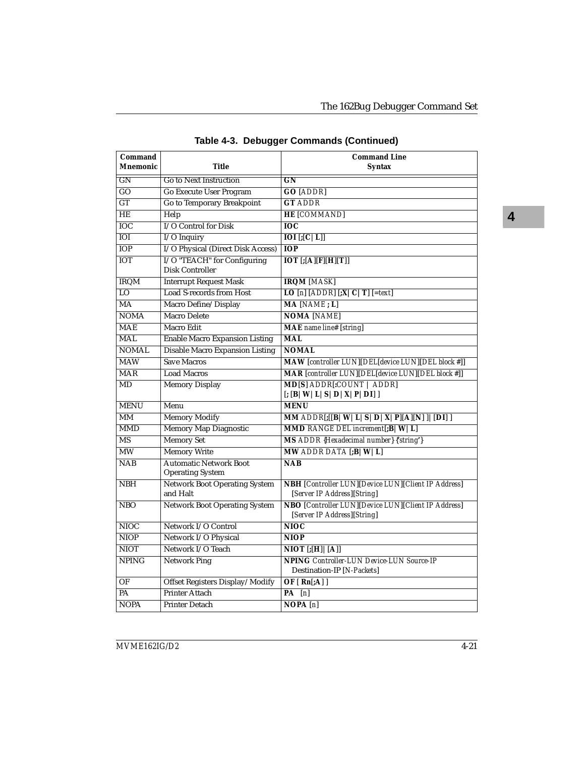| Command                 |                                                          | <b>Command Line</b>                                                                       |  |  |
|-------------------------|----------------------------------------------------------|-------------------------------------------------------------------------------------------|--|--|
| <b>Mnemonic</b>         | Title                                                    | Syntax                                                                                    |  |  |
| GN                      | <b>Go to Next Instruction</b>                            | GN                                                                                        |  |  |
| GO                      | <b>Go Execute User Program</b>                           | <b>GO [ADDR]</b>                                                                          |  |  |
| GT                      | Go to Temporary Breakpoint                               | <b>GT ADDR</b>                                                                            |  |  |
| HE                      | Help                                                     | <b>HE [COMMAND]</b>                                                                       |  |  |
| <b>IOC</b>              | I/O Control for Disk                                     | <b>IOC</b>                                                                                |  |  |
| IOI                     | I/O Inquiry                                              | $\overline{IOI}$ $[;[C]L]$                                                                |  |  |
| <b>IOP</b>              | I/O Physical (Direct Disk Access)                        | <b>IOP</b>                                                                                |  |  |
| <b>IOT</b>              | I/O "TEACH" for Configuring<br><b>Disk Controller</b>    | $IOT$ $[$ ; $[A][F][H][T]]$                                                               |  |  |
| <b>IRQM</b>             | <b>Interrupt Request Mask</b>                            | <b>IRQM</b> [MASK]                                                                        |  |  |
| $\overline{10}$         | <b>Load S-records from Host</b>                          | LO [n] [ADDR] $\left[ \cdot X \mid C \mid T \right]$ [=text]                              |  |  |
| $\overline{MA}$         | Macro Define/Display                                     | MA [NAME; L]                                                                              |  |  |
| <b>NOMA</b>             | <b>Macro Delete</b>                                      | <b>NOMA [NAME]</b>                                                                        |  |  |
| <b>MAE</b>              | Macro Edit                                               | <b>MAE</b> name line# [string]                                                            |  |  |
| <b>MAL</b>              | <b>Enable Macro Expansion Listing</b>                    | <b>MAL</b>                                                                                |  |  |
| <b>NOMAL</b>            | <b>Disable Macro Expansion Listing</b>                   | <b>NOMAL</b>                                                                              |  |  |
| <b>MAW</b>              | <b>Save Macros</b>                                       | MAW [controller LUN][DEL[device LUN][DEL block #]]                                        |  |  |
| $\overline{\text{MAR}}$ | <b>Load Macros</b>                                       | <b>MAR</b> [controller LUN][DEL[device LUN][DEL block #]]                                 |  |  |
| MD                      | <b>Memory Display</b>                                    | MD[S] ADDR[:COUNT   ADDR]<br>$[$ ; [B   W   L   S   D   X   P   DI] ]                     |  |  |
| <b>MENU</b>             | Menu                                                     | <b>MENU</b>                                                                               |  |  |
| MM                      | <b>Memory Modify</b>                                     | MM $ADDR[;[[B   W   L   S   D   X   P] [A] [N]]   [DI]]$                                  |  |  |
| <b>MMD</b>              | <b>Memory Map Diagnostic</b>                             | MMD RANGE DEL increment[;B   W   L]                                                       |  |  |
| MS                      | <b>Memory Set</b>                                        | MS ADDR {Hexadecimal number} {'string'}                                                   |  |  |
| MW                      | <b>Memory Write</b>                                      | MW ADDR DATA $[:B W L]$                                                                   |  |  |
| <b>NAB</b>              | <b>Automatic Network Boot</b><br><b>Operating System</b> | <b>NAB</b>                                                                                |  |  |
| <b>NBH</b>              | <b>Network Boot Operating System</b><br>and Halt         | <b>NBH</b> [Controller LUN][Device LUN][Client IP Address]<br>[Server IP Address][String] |  |  |
| <b>NBO</b>              | <b>Network Boot Operating System</b>                     | NBO [Controller LUN][Device LUN][Client IP Address]<br>[Server IP Address] [String]       |  |  |
| <b>NIOC</b>             | Network I/O Control                                      | <b>NIOC</b>                                                                               |  |  |
| <b>NIOP</b>             | Network I/O Physical                                     | <b>NIOP</b>                                                                               |  |  |
| <b>NIOT</b>             | Network I/O Teach                                        | $\overline{\text{NIOT}}$ [;[H] $\overline{\text{[A]}}$                                    |  |  |
| <b>NPING</b>            | <b>Network Ping</b>                                      | <b>NPING</b> Controller-LUN Device-LUN Source-IP<br>Destination-IP [N-Packets]            |  |  |
| OF                      | Offset Registers Display/Modify                          | OF $[ Rn[:A] ]$                                                                           |  |  |
| PA                      | <b>Printer Attach</b>                                    | $\overline{PA}$ [n]                                                                       |  |  |
| <b>NOPA</b>             | <b>Printer Detach</b>                                    | NOPA[n]                                                                                   |  |  |

**Table 4-3. Debugger Commands (Continued)**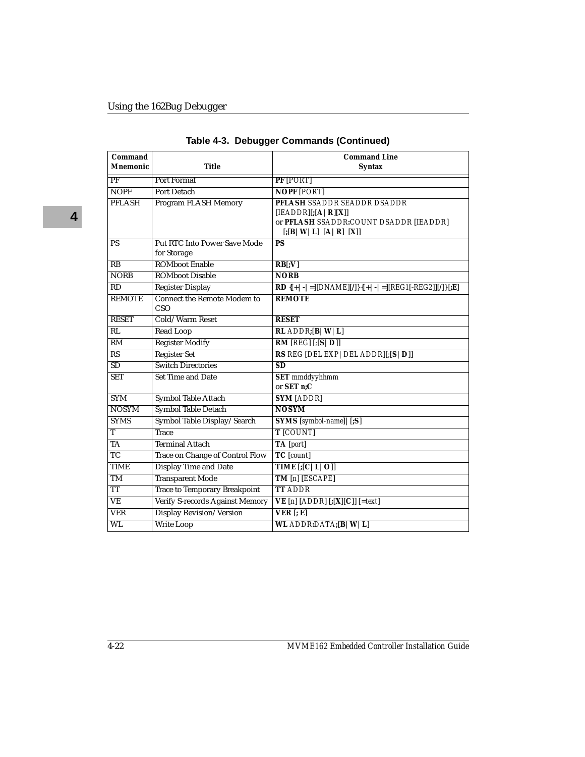| Command<br><b>Mnemonic</b> | <b>Title</b>                                       | <b>Command Line</b><br><b>Syntax</b>                                                                                                  |  |
|----------------------------|----------------------------------------------------|---------------------------------------------------------------------------------------------------------------------------------------|--|
| PF                         | Port Format                                        | $PF$ $ PORT $                                                                                                                         |  |
| <b>NOPF</b>                | Port Detach                                        | <b>NOPF [PORT]</b>                                                                                                                    |  |
| <b>PFLASH</b>              | Program FLASH Memory                               | PFLASH SSADDR SEADDR DSADDR<br>$[IEADDR]$ $[;[A   R]$ $[X]]$<br>or PFLASH SSADDR:COUNT DSADDR [IEADDR]<br>[; [B   W   L] [A   R] [X]] |  |
| <b>PS</b>                  | <b>Put RTC Into Power Save Mode</b><br>for Storage | $\overline{PS}$                                                                                                                       |  |
| $\overline{RB}$            | <b>ROMboot Enable</b>                              | RB[;V]                                                                                                                                |  |
| <b>NORB</b>                | <b>ROMboot Disable</b>                             | <b>NORB</b>                                                                                                                           |  |
| $\overline{RD}$            | <b>Register Display</b>                            | <b>RD</b> { $[+  -   =  [DNAME][/]\}$ { $[+  -   =  [REG1[-REG2]]][/]\}$ [; <b>E</b> ]                                                |  |
| <b>REMOTE</b>              | <b>Connect the Remote Modem to</b><br>CSO          | <b>REMOTE</b>                                                                                                                         |  |
| <b>RESET</b>               | Cold/Warm Reset                                    | <b>RESET</b>                                                                                                                          |  |
| $\overline{RL}$            | <b>Read Loop</b>                                   | $RL$ ADDR; $[B W L]$                                                                                                                  |  |
| RM                         | <b>Register Modify</b>                             | RM [REG] [S D]]                                                                                                                       |  |
| $\overline{\text{RS}}$     | <b>Register Set</b>                                | RS REG [DEL EXP   DEL ADDR][; [S   D]]                                                                                                |  |
| $\overline{SD}$            | <b>Switch Directories</b>                          | $\overline{\text{SD}}$                                                                                                                |  |
| <b>SET</b>                 | <b>Set Time and Date</b>                           | <b>SET</b> mmddyyhhmm<br>or SET n;C                                                                                                   |  |
| <b>SYM</b>                 | Symbol Table Attach                                | <b>SYM [ADDR]</b>                                                                                                                     |  |
| <b>NOSYM</b>               | Symbol Table Detach                                | <b>NOSYM</b>                                                                                                                          |  |
| <b>SYMS</b>                | Symbol Table Display/Search                        | SYMS [symbol-name] [[;S]                                                                                                              |  |
| T                          | <b>Trace</b>                                       | T [COUNT]                                                                                                                             |  |
| <b>TA</b>                  | <b>Terminal Attach</b>                             | TA [port]                                                                                                                             |  |
| $\overline{TC}$            | <b>Trace on Change of Control Flow</b>             | <b>TC</b> [count]                                                                                                                     |  |
| <b>TIME</b>                | <b>Display Time and Date</b>                       | TIME $[$ ; $[C L O]]$                                                                                                                 |  |
| TM                         | <b>Transparent Mode</b>                            | TM [n] [ESCAPE]                                                                                                                       |  |
| <b>TT</b>                  | <b>Trace to Temporary Breakpoint</b>               | <b>TT ADDR</b>                                                                                                                        |  |
| $\overline{\text{VE}}$     | Verify S-records Against Memory                    | $VE[n] [ADDR] [;[X][C]] [=\text{text}]$                                                                                               |  |
| <b>VER</b>                 | <b>Display Revision/Version</b>                    | $VER$ $[;E]$                                                                                                                          |  |
| WL                         | <b>Write Loop</b>                                  | WL ADDR:DATA; $[B W L]$                                                                                                               |  |

|  |  | Table 4-3.  Debugger Commands (Continued) |  |
|--|--|-------------------------------------------|--|
|--|--|-------------------------------------------|--|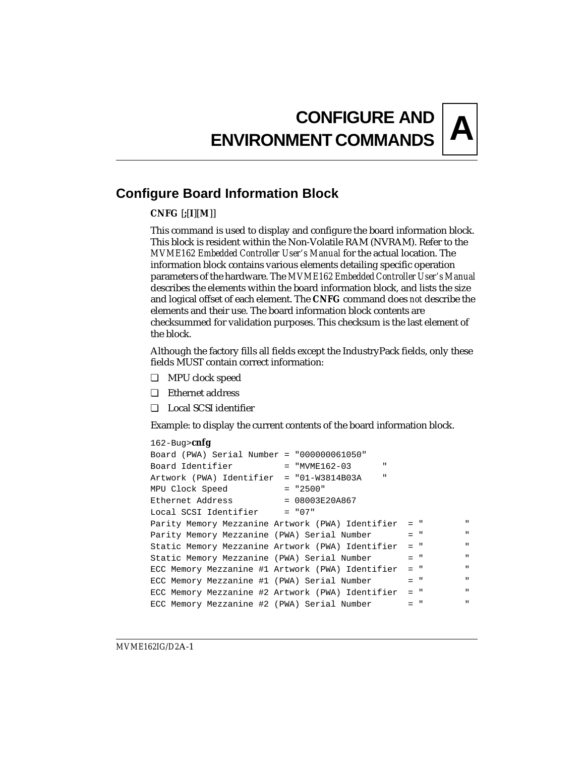# **A CONFIGURE AND ENVIRONMENT COMMANDS**

# **Configure Board Information Block**

### **CNFG** [**;**[**I**][**M**]]

This command is used to display and configure the board information block. This block is resident within the Non-Volatile RAM (NVRAM). Refer to the *MVME162 Embedded Controller User's Manual* for the actual location. The information block contains various elements detailing specific operation parameters of the hardware. The *MVME162 Embedded Controller User's Manual* describes the elements within the board information block, and lists the size and logical offset of each element. The **CNFG** command does *not* describe the elements and their use. The board information block contents are checksummed for validation purposes. This checksum is the last element of the block.

Although the factory fills all fields except the IndustryPack fields, only these fields MUST contain correct information:

- ❏ MPU clock speed
- ❏ Ethernet address
- ❏ Local SCSI identifier

Example: to display the current contents of the board information block.

```
162-Bug>cnfg
Board (PWA) Serial Number = "000000061050" 
Board Identifier = "MVME162-03
Artwork (PWA) Identifier = "01-W3814B03A " 
MPU Clock Speed = "2500"
Ethernet Address = 08003E20A867Local SCSI Identifier = "07"
Parity Memory Mezzanine Artwork (PWA) Identifier
Parity Memory Mezzanine (PWA) Serial Number = "
Static Memory Mezzanine Artwork (PWA) Identifier = " " 
Static Memory Mezzanine (PWA) Serial Number = "
ECC Memory Mezzanine #1 Artwork (PWA) Identifier = " " 
ECC Memory Mezzanine #1 (PWA) Serial Number = "
ECC Memory Mezzanine #2 Artwork (PWA) Identifier = " " 
ECC Memory Mezzanine #2 (PWA) Serial Number = "
```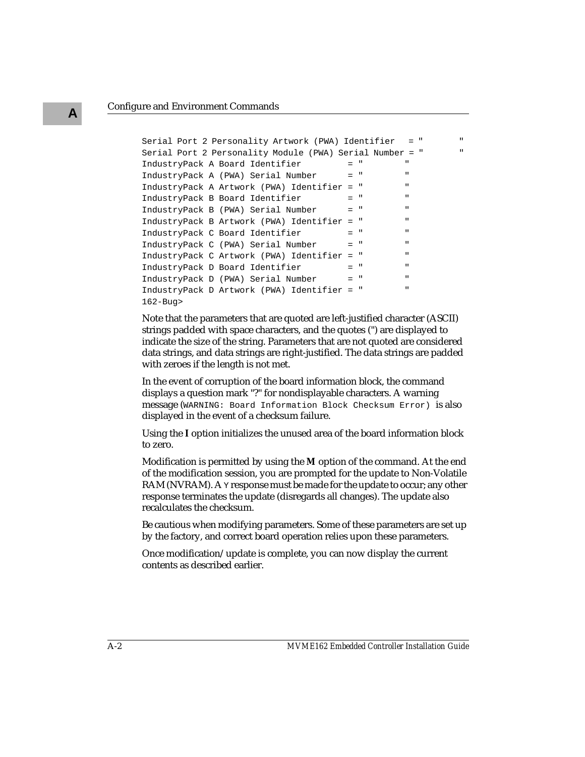**A**

```
Serial Port 2 Personality Artwork (PWA) Identifier = " " 
Serial Port 2 Personality Module (PWA) Serial Number = " " 
IndustryPack A Board Identifier = " "
IndustryPack A (PWA) Serial Number = "
IndustryPack A Artwork (PWA) Identifier = " " 
IndustryPack B Board Identifier = "
IndustryPack B (PWA) Serial Number = "IndustryPack B Artwork (PWA) Identifier = " " 
IndustryPack C Board Identifier = "
IndustryPack C (PWA) Serial Number = "IndustryPack C Artwork (PWA) Identifier = " " 
IndustryPack D Board Identifier = "
IndustryPack D (PWA) Serial Number = "IndustryPack D Artwork (PWA) Identifier = " " 
162-Bug>
```
Note that the parameters that are quoted are left-justified character (ASCII) strings padded with space characters, and the quotes (") are displayed to indicate the size of the string. Parameters that are not quoted are considered data strings, and data strings are right-justified. The data strings are padded with zeroes if the length is not met.

In the event of corruption of the board information block, the command displays a question mark "?" for nondisplayable characters. A warning message (WARNING: Board Information Block Checksum Error) is also displayed in the event of a checksum failure.

Using the **I** option initializes the unused area of the board information block to zero.

Modification is permitted by using the **M** option of the command. At the end of the modification session, you are prompted for the update to Non-Volatile RAM (NVRAM). A *y* response must be made for the update to occur; any other response terminates the update (disregards all changes). The update also recalculates the checksum.

Be cautious when modifying parameters. Some of these parameters are set up by the factory, and correct board operation relies upon these parameters.

Once modification/update is complete, you can now display the current contents as described earlier.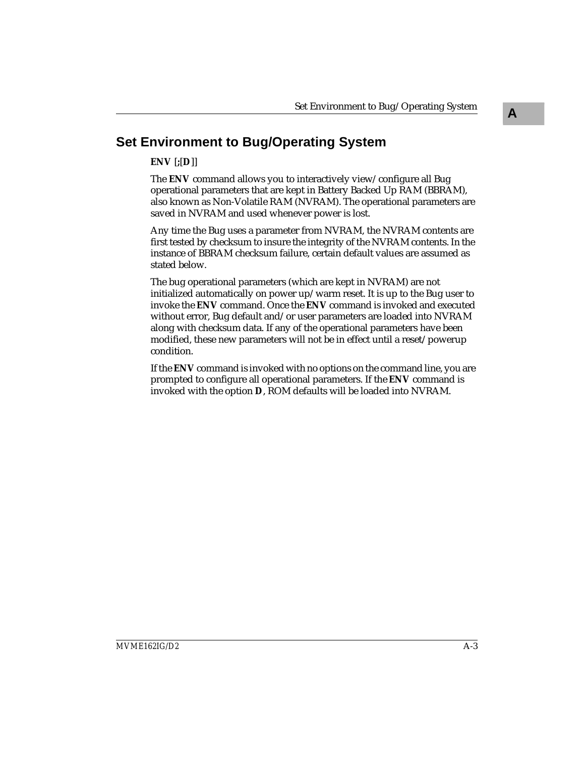# **Set Environment to Bug/Operating System**

## **ENV** [**;**[**D**]]

The **ENV** command allows you to interactively view/configure all Bug operational parameters that are kept in Battery Backed Up RAM (BBRAM), also known as Non-Volatile RAM (NVRAM). The operational parameters are saved in NVRAM and used whenever power is lost.

Any time the Bug uses a parameter from NVRAM, the NVRAM contents are first tested by checksum to insure the integrity of the NVRAM contents. In the instance of BBRAM checksum failure, certain default values are assumed as stated below.

The bug operational parameters (which are kept in NVRAM) are not initialized automatically on power up/warm reset. It is up to the Bug user to invoke the **ENV** command. Once the **ENV** command is invoked and executed without error, Bug default and/or user parameters are loaded into NVRAM along with checksum data. If any of the operational parameters have been modified, these new parameters will not be in effect until a reset/powerup condition.

If the **ENV** command is invoked with no options on the command line, you are prompted to configure all operational parameters. If the **ENV** command is invoked with the option **D**, ROM defaults will be loaded into NVRAM.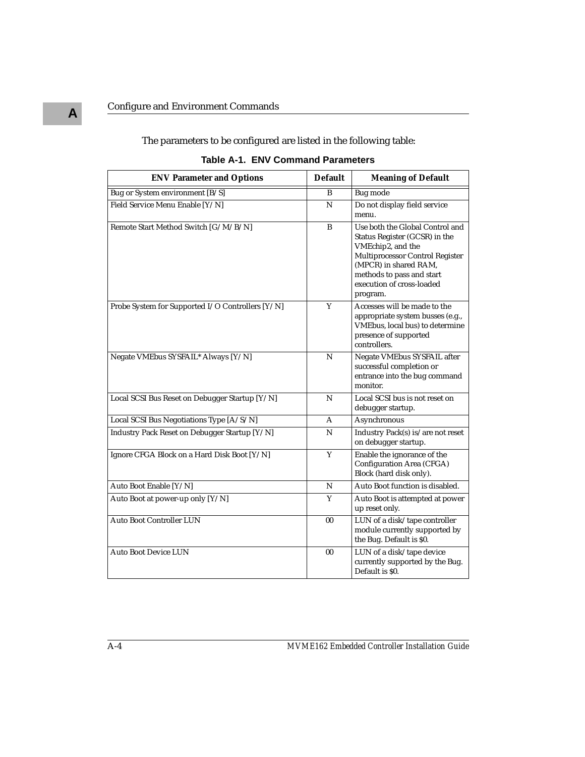The parameters to be configured are listed in the following table:

| <b>ENV Parameter and Options</b>                 | <b>Default</b> | <b>Meaning of Default</b>                                                                                                                                                                                               |
|--------------------------------------------------|----------------|-------------------------------------------------------------------------------------------------------------------------------------------------------------------------------------------------------------------------|
| Bug or System environment [B/S]                  | $\overline{B}$ | <b>Bug</b> mode                                                                                                                                                                                                         |
| Field Service Menu Enable [Y/N]                  | N              | Do not display field service<br>menu.                                                                                                                                                                                   |
| Remote Start Method Switch [G/M/B/N]             | B              | Use both the Global Control and<br>Status Register (GCSR) in the<br>VMEchip2, and the<br>Multiprocessor Control Register<br>(MPCR) in shared RAM,<br>methods to pass and start<br>execution of cross-loaded<br>program. |
| Probe System for Supported I/O Controllers [Y/N] | Y              | Accesses will be made to the<br>appropriate system busses (e.g.,<br>VMEbus, local bus) to determine<br>presence of supported<br>controllers.                                                                            |
| Negate VMEbus SYSFAIL* Always [Y/N]              | ${\bf N}$      | Negate VMEbus SYSFAIL after<br>successful completion or<br>entrance into the bug command<br>monitor.                                                                                                                    |
| Local SCSI Bus Reset on Debugger Startup [Y/N]   | N              | Local SCSI bus is not reset on<br>debugger startup.                                                                                                                                                                     |
| Local SCSI Bus Negotiations Type [A/S/N]         | A              | Asynchronous                                                                                                                                                                                                            |
| Industry Pack Reset on Debugger Startup [Y/N]    | N              | Industry $\mathop{\mathrm{Pack}}\nolimits(\mathbf{s})$ is/are not reset<br>on debugger startup.                                                                                                                         |
| Ignore CFGA Block on a Hard Disk Boot [Y/N]      | Y              | Enable the ignorance of the<br>Configuration Area (CFGA)<br>Block (hard disk only).                                                                                                                                     |
| Auto Boot Enable [Y/N]                           | N              | Auto Boot function is disabled.                                                                                                                                                                                         |
| Auto Boot at power-up only [Y/N]                 | Y              | Auto Boot is attempted at power<br>up reset only.                                                                                                                                                                       |
| <b>Auto Boot Controller LUN</b>                  | 00             | LUN of a disk/tape controller<br>module currently supported by<br>the Bug. Default is \$0.                                                                                                                              |
| <b>Auto Boot Device LUN</b>                      | 00             | LUN of a disk/tape device<br>currently supported by the Bug.<br>Default is \$0.                                                                                                                                         |

#### **Table A-1. ENV Command Parameters**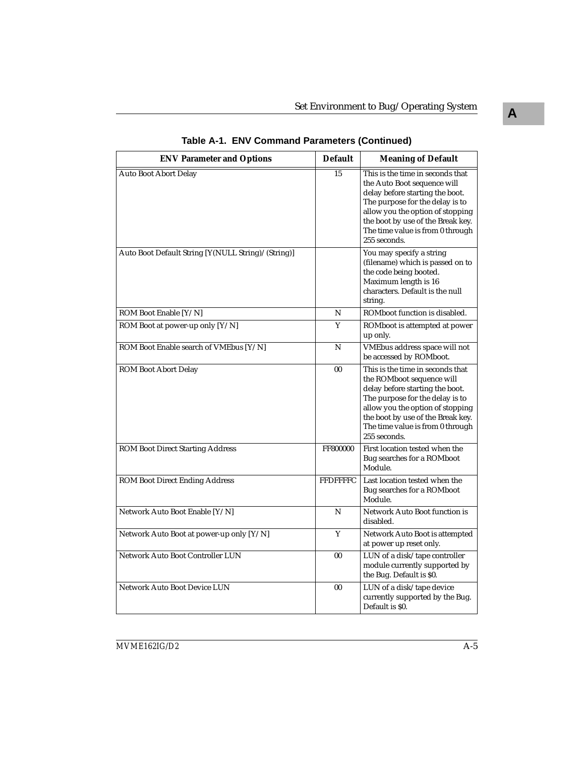| <b>ENV Parameter and Options</b>                   | <b>Default</b>  | <b>Meaning of Default</b>                                                                                                                                                                                                                                          |
|----------------------------------------------------|-----------------|--------------------------------------------------------------------------------------------------------------------------------------------------------------------------------------------------------------------------------------------------------------------|
| <b>Auto Boot Abort Delay</b>                       | 15              | This is the time in seconds that<br>the Auto Boot sequence will<br>delay before starting the boot.<br>The purpose for the delay is to<br>allow you the option of stopping<br>the boot by use of the Break key.<br>The time value is from 0 through<br>255 seconds. |
| Auto Boot Default String [Y(NULL String)/(String)] |                 | You may specify a string<br>(filename) which is passed on to<br>the code being booted.<br>Maximum length is 16<br>characters. Default is the null<br>string.                                                                                                       |
| ROM Boot Enable [Y/N]                              | N               | ROMboot function is disabled.                                                                                                                                                                                                                                      |
| ROM Boot at power-up only [Y/N]                    | Y               | ROMboot is attempted at power<br>up only.                                                                                                                                                                                                                          |
| ROM Boot Enable search of VMEbus [Y/N]             | N               | VMEbus address space will not<br>be accessed by ROMboot.                                                                                                                                                                                                           |
| <b>ROM Boot Abort Delay</b>                        | 0 <sub>0</sub>  | This is the time in seconds that<br>the ROMboot sequence will<br>delay before starting the boot.<br>The purpose for the delay is to<br>allow you the option of stopping<br>the boot by use of the Break key.<br>The time value is from 0 through<br>255 seconds.   |
| <b>ROM Boot Direct Starting Address</b>            | FF800000        | First location tested when the<br>Bug searches for a ROMboot<br>Module.                                                                                                                                                                                            |
| <b>ROM Boot Direct Ending Address</b>              | <b>FFDFFFFC</b> | Last location tested when the<br>Bug searches for a ROMboot<br>Module.                                                                                                                                                                                             |
| Network Auto Boot Enable [Y/N]                     | N               | Network Auto Boot function is<br>disabled.                                                                                                                                                                                                                         |
| Network Auto Boot at power-up only [Y/N]           | Y               | Network Auto Boot is attempted<br>at power up reset only.                                                                                                                                                                                                          |
| <b>Network Auto Boot Controller LUN</b>            | 00              | LUN of a disk/tape controller<br>module currently supported by<br>the Bug. Default is \$0.                                                                                                                                                                         |
| Network Auto Boot Device LUN                       | 00              | LUN of a disk/tape device<br>currently supported by the Bug.<br>Default is \$0.                                                                                                                                                                                    |

**Table A-1. ENV Command Parameters (Continued)**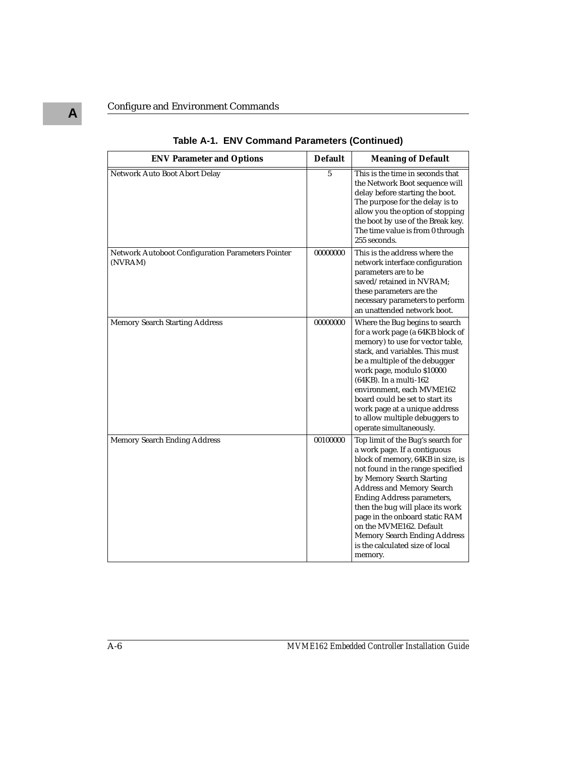| <b>ENV Parameter and Options</b>                             | <b>Default</b> | <b>Meaning of Default</b>                                                                                                                                                                                                                                                                                                                                                                                                       |
|--------------------------------------------------------------|----------------|---------------------------------------------------------------------------------------------------------------------------------------------------------------------------------------------------------------------------------------------------------------------------------------------------------------------------------------------------------------------------------------------------------------------------------|
| Network Auto Boot Abort Delay                                | 5              | This is the time in seconds that<br>the Network Boot sequence will<br>delay before starting the boot.<br>The purpose for the delay is to<br>allow you the option of stopping<br>the boot by use of the Break key.<br>The time value is from 0 through<br>255 seconds.                                                                                                                                                           |
| Network Autoboot Configuration Parameters Pointer<br>(NVRAM) | 00000000       | This is the address where the<br>network interface configuration<br>parameters are to be<br>saved/retained in NVRAM;<br>these parameters are the<br>necessary parameters to perform<br>an unattended network boot.                                                                                                                                                                                                              |
| <b>Memory Search Starting Address</b>                        | 00000000       | Where the Bug begins to search<br>for a work page (a 64KB block of<br>memory) to use for vector table,<br>stack, and variables. This must<br>be a multiple of the debugger<br>work page, modulo \$10000<br>(64KB). In a multi-162<br>environment, each MVME162<br>board could be set to start its<br>work page at a unique address<br>to allow multiple debuggers to<br>operate simultaneously.                                 |
| <b>Memory Search Ending Address</b>                          | 00100000       | Top limit of the Bug's search for<br>a work page. If a contiguous<br>block of memory, 64KB in size, is<br>not found in the range specified<br>by Memory Search Starting<br><b>Address and Memory Search</b><br>Ending Address parameters,<br>then the bug will place its work<br>page in the onboard static RAM<br>on the MVME162. Default<br><b>Memory Search Ending Address</b><br>is the calculated size of local<br>memory. |

**Table A-1. ENV Command Parameters (Continued)**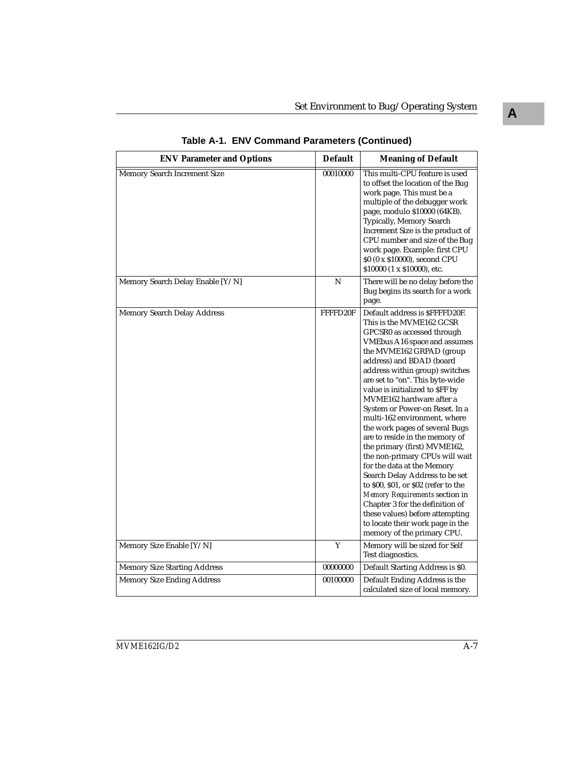| <b>ENV Parameter and Options</b>    | <b>Default</b> | <b>Meaning of Default</b>                                                                                                                                                                                                                                                                                                                                                                                                                                                                                                                                                                                                                                                                                                                                                                                      |
|-------------------------------------|----------------|----------------------------------------------------------------------------------------------------------------------------------------------------------------------------------------------------------------------------------------------------------------------------------------------------------------------------------------------------------------------------------------------------------------------------------------------------------------------------------------------------------------------------------------------------------------------------------------------------------------------------------------------------------------------------------------------------------------------------------------------------------------------------------------------------------------|
| <b>Memory Search Increment Size</b> | 00010000       | This multi-CPU feature is used<br>to offset the location of the Bug<br>work page. This must be a<br>multiple of the debugger work<br>page, modulo \$10000 (64KB).<br>Typically, Memory Search<br>Increment Size is the product of<br>CPU number and size of the Bug<br>work page. Example: first CPU<br>\$0 (0 x \$10000), second CPU<br>\$10000 (1 x \$10000), etc.                                                                                                                                                                                                                                                                                                                                                                                                                                           |
| Memory Search Delay Enable [Y/N]    | N              | There will be no delay before the<br>Bug begins its search for a work<br>page.                                                                                                                                                                                                                                                                                                                                                                                                                                                                                                                                                                                                                                                                                                                                 |
| <b>Memory Search Delay Address</b>  | FFFFD20F       | Default address is \$FFFFD20F.<br>This is the MVME162 GCSR<br>GPCSR0 as accessed through<br>VMEbus A16 space and assumes<br>the MVME162 GRPAD (group<br>address) and BDAD (board<br>address within group) switches<br>are set to "on". This byte-wide<br>value is initialized to \$FF by<br>MVME162 hardware after a<br>System or Power-on Reset. In a<br>multi-162 environment, where<br>the work pages of several Bugs<br>are to reside in the memory of<br>the primary (first) MVME162,<br>the non-primary CPUs will wait<br>for the data at the Memory<br>Search Delay Address to be set<br>to \$00, \$01, or \$02 (refer to the<br>Memory Requirements section in<br>Chapter 3 for the definition of<br>these values) before attempting<br>to locate their work page in the<br>memory of the primary CPU. |
| Memory Size Enable [Y/N]            | Y              | Memory will be sized for Self<br>Test diagnostics.                                                                                                                                                                                                                                                                                                                                                                                                                                                                                                                                                                                                                                                                                                                                                             |
| <b>Memory Size Starting Address</b> | 00000000       | Default Starting Address is \$0.                                                                                                                                                                                                                                                                                                                                                                                                                                                                                                                                                                                                                                                                                                                                                                               |
| <b>Memory Size Ending Address</b>   | 00100000       | Default Ending Address is the<br>calculated size of local memory.                                                                                                                                                                                                                                                                                                                                                                                                                                                                                                                                                                                                                                                                                                                                              |

**Table A-1. ENV Command Parameters (Continued)**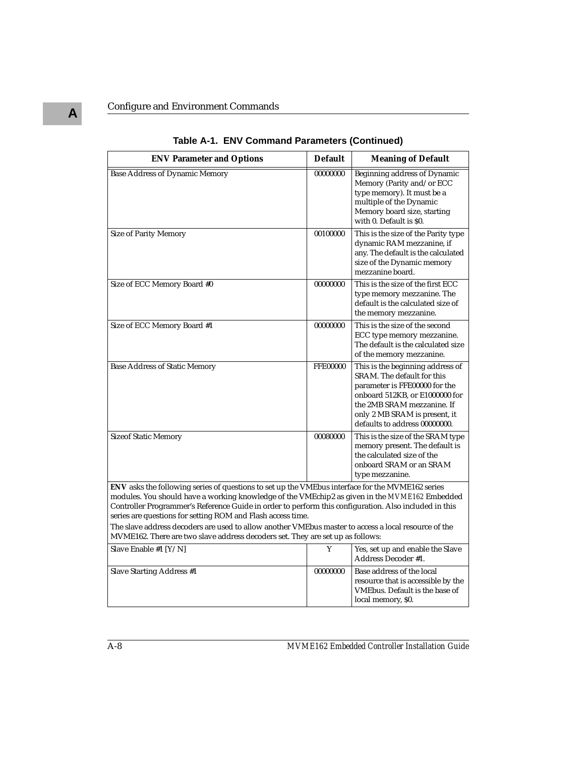| <b>ENV Parameter and Options</b>                                                                                                                                                                                                                                                                                                                                                                                                                                                  | <b>Default</b>  | <b>Meaning of Default</b>                                                                                                                                                                                                         |
|-----------------------------------------------------------------------------------------------------------------------------------------------------------------------------------------------------------------------------------------------------------------------------------------------------------------------------------------------------------------------------------------------------------------------------------------------------------------------------------|-----------------|-----------------------------------------------------------------------------------------------------------------------------------------------------------------------------------------------------------------------------------|
| <b>Base Address of Dynamic Memory</b>                                                                                                                                                                                                                                                                                                                                                                                                                                             | 00000000        | Beginning address of Dynamic<br>Memory (Parity and/or ECC<br>type memory). It must be a<br>multiple of the Dynamic<br>Memory board size, starting<br>with 0. Default is \$0.                                                      |
| <b>Size of Parity Memory</b>                                                                                                                                                                                                                                                                                                                                                                                                                                                      | 00100000        | This is the size of the Parity type<br>dynamic RAM mezzanine, if<br>any. The default is the calculated<br>size of the Dynamic memory<br>mezzanine board.                                                                          |
| Size of ECC Memory Board #0                                                                                                                                                                                                                                                                                                                                                                                                                                                       | 00000000        | This is the size of the first ECC<br>type memory mezzanine. The<br>default is the calculated size of<br>the memory mezzanine.                                                                                                     |
| Size of ECC Memory Board #1                                                                                                                                                                                                                                                                                                                                                                                                                                                       | 00000000        | This is the size of the second<br>ECC type memory mezzanine.<br>The default is the calculated size<br>of the memory mezzanine.                                                                                                    |
| <b>Base Address of Static Memory</b>                                                                                                                                                                                                                                                                                                                                                                                                                                              | <b>FFE00000</b> | This is the beginning address of<br>SRAM. The default for this<br>parameter is FFE00000 for the<br>onboard 512KB, or E1000000 for<br>the 2MB SRAM mezzanine. If<br>only 2 MB SRAM is present, it<br>defaults to address 00000000. |
| <b>Sizeof Static Memory</b>                                                                                                                                                                                                                                                                                                                                                                                                                                                       | 00080000        | This is the size of the SRAM type<br>memory present. The default is<br>the calculated size of the<br>onboard SRAM or an SRAM<br>type mezzanine.                                                                                   |
| ENV asks the following series of questions to set up the VMEbus interface for the MVME162 series<br>modules. You should have a working knowledge of the VMEchip2 as given in the MVME162 Embedded<br>Controller Programmer's Reference Guide in order to perform this configuration. Also included in this<br>series are questions for setting ROM and Flash access time.<br>The slave address decoders are used to allow another VMEbus master to access a local resource of the |                 |                                                                                                                                                                                                                                   |
| MVME162. There are two slave address decoders set. They are set up as follows:                                                                                                                                                                                                                                                                                                                                                                                                    |                 |                                                                                                                                                                                                                                   |
| Slave Enable #1 [Y/N]                                                                                                                                                                                                                                                                                                                                                                                                                                                             | Y               | Yes, set up and enable the Slave<br>Address Decoder #1.                                                                                                                                                                           |
| <b>Slave Starting Address #1</b>                                                                                                                                                                                                                                                                                                                                                                                                                                                  | 00000000        | Base address of the local<br>resource that is accessible by the<br>VMEbus. Default is the base of<br>local memory, \$0.                                                                                                           |

**Table A-1. ENV Command Parameters (Continued)**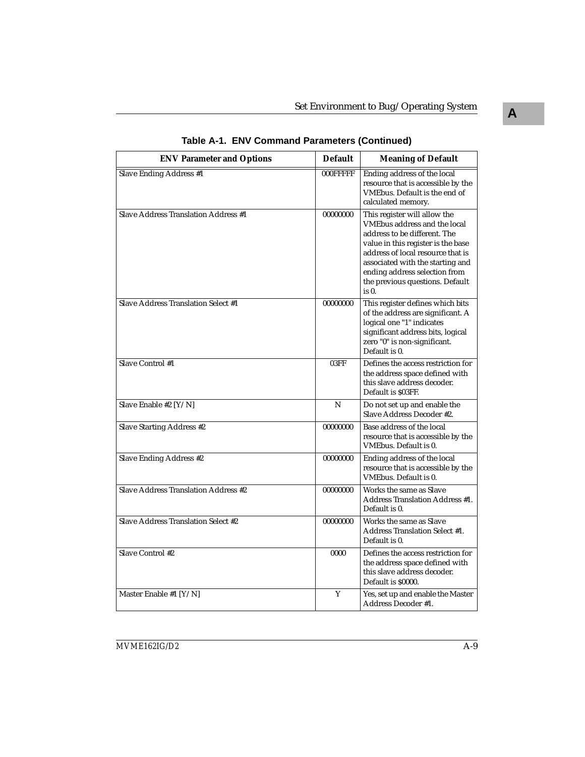| <b>ENV Parameter and Options</b>           | <b>Default</b> | <b>Meaning of Default</b>                                                                                                                                                                                                                                                                         |
|--------------------------------------------|----------------|---------------------------------------------------------------------------------------------------------------------------------------------------------------------------------------------------------------------------------------------------------------------------------------------------|
| Slave Ending Address #1                    | 000FFFFF       | Ending address of the local<br>resource that is accessible by the<br>VMEbus. Default is the end of<br>calculated memory.                                                                                                                                                                          |
| Slave Address Translation Address #1       | 00000000       | This register will allow the<br><b>VMEbus address and the local</b><br>address to be different. The<br>value in this register is the base<br>address of local resource that is<br>associated with the starting and<br>ending address selection from<br>the previous questions. Default<br>$is0$ . |
| <b>Slave Address Translation Select #1</b> | 00000000       | This register defines which bits<br>of the address are significant. A<br>logical one "1" indicates<br>significant address bits, logical<br>zero "0" is non-significant.<br>Default is 0.                                                                                                          |
| Slave Control #1                           | 03FF           | Defines the access restriction for<br>the address space defined with<br>this slave address decoder.<br>Default is \$03FF.                                                                                                                                                                         |
| Slave Enable #2 [Y/N]                      | N              | Do not set up and enable the<br>Slave Address Decoder #2.                                                                                                                                                                                                                                         |
| Slave Starting Address #2                  | 00000000       | Base address of the local<br>resource that is accessible by the<br>VMEbus. Default is 0.                                                                                                                                                                                                          |
| Slave Ending Address #2                    | 00000000       | Ending address of the local<br>resource that is accessible by the<br>VMEbus. Default is 0.                                                                                                                                                                                                        |
| Slave Address Translation Address #2       | 00000000       | Works the same as Slave<br>Address Translation Address #1.<br>Default is 0.                                                                                                                                                                                                                       |
| <b>Slave Address Translation Select #2</b> | 00000000       | Works the same as Slave<br><b>Address Translation Select #1.</b><br>Default is 0.                                                                                                                                                                                                                 |
| Slave Control #2                           | 0000           | Defines the access restriction for<br>the address space defined with<br>this slave address decoder.<br>Default is \$0000.                                                                                                                                                                         |
| Master Enable #1 [Y/N]                     | Y              | Yes, set up and enable the Master<br>Address Decoder #1.                                                                                                                                                                                                                                          |

**Table A-1. ENV Command Parameters (Continued)**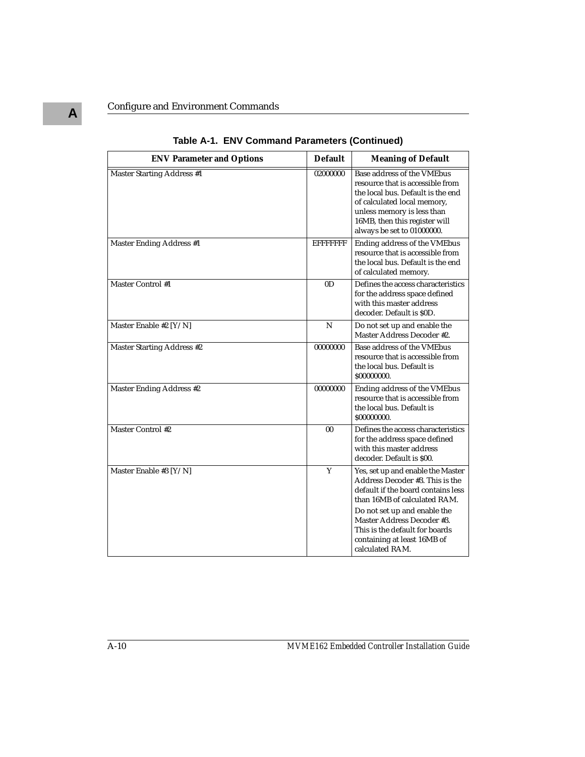| <b>ENV Parameter and Options</b>  | <b>Default</b>   | <b>Meaning of Default</b>                                                                                                                                                                                                                  |
|-----------------------------------|------------------|--------------------------------------------------------------------------------------------------------------------------------------------------------------------------------------------------------------------------------------------|
| <b>Master Starting Address #1</b> | 02000000         | Base address of the VMEbus<br>resource that is accessible from<br>the local bus. Default is the end<br>of calculated local memory,<br>unless memory is less than<br>16MB, then this register will<br>always be set to 01000000.            |
| <b>Master Ending Address #1</b>   | <b>EFFFFFFFF</b> | Ending address of the VMEbus<br>resource that is accessible from<br>the local bus. Default is the end<br>of calculated memory.                                                                                                             |
| Master Control #1                 | 0 <sub>D</sub>   | Defines the access characteristics<br>for the address space defined<br>with this master address<br>decoder. Default is \$0D.                                                                                                               |
| Master Enable #2 [Y/N]            | N                | Do not set up and enable the<br>Master Address Decoder #2.                                                                                                                                                                                 |
| <b>Master Starting Address #2</b> | 00000000         | Base address of the VMEbus<br>resource that is accessible from<br>the local bus. Default is<br>\$00000000.                                                                                                                                 |
| Master Ending Address #2          | 00000000         | Ending address of the VMEbus<br>resource that is accessible from<br>the local bus. Default is<br>\$00000000.                                                                                                                               |
| <b>Master Control #2</b>          | 0 <sub>0</sub>   | Defines the access characteristics<br>for the address space defined<br>with this master address<br>decoder. Default is \$00.                                                                                                               |
| Master Enable #3 [Y/N]            | Y                | Yes, set up and enable the Master<br>Address Decoder #3. This is the<br>default if the board contains less<br>than 16MB of calculated RAM.<br>Do not set up and enable the<br>Master Address Decoder #3.<br>This is the default for boards |
|                                   |                  | containing at least 16MB of<br>calculated RAM.                                                                                                                                                                                             |

**Table A-1. ENV Command Parameters (Continued)**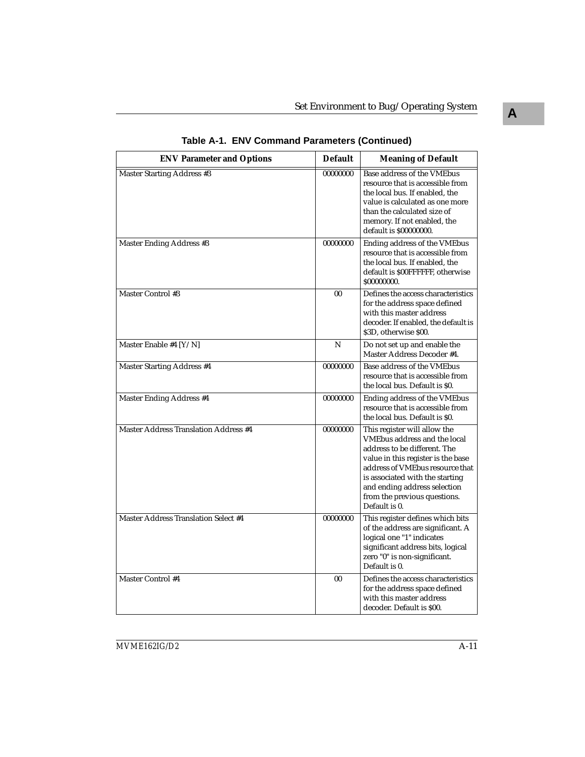| <b>ENV Parameter and Options</b>             | <b>Default</b> | <b>Meaning of Default</b>                                                                                                                                                                                                                                                                 |
|----------------------------------------------|----------------|-------------------------------------------------------------------------------------------------------------------------------------------------------------------------------------------------------------------------------------------------------------------------------------------|
| <b>Master Starting Address #3</b>            | 00000000       | Base address of the VMEbus<br>resource that is accessible from<br>the local bus. If enabled, the<br>value is calculated as one more<br>than the calculated size of<br>memory. If not enabled, the<br>default is \$00000000.                                                               |
| Master Ending Address #3                     | 00000000       | Ending address of the VMEbus<br>resource that is accessible from<br>the local bus. If enabled, the<br>default is \$00FFFFFF, otherwise<br>\$00000000.                                                                                                                                     |
| Master Control #3                            | 00             | Defines the access characteristics<br>for the address space defined<br>with this master address<br>decoder. If enabled, the default is<br>\$3D, otherwise \$00.                                                                                                                           |
| Master Enable #4 [Y/N]                       | N              | Do not set up and enable the<br>Master Address Decoder #4.                                                                                                                                                                                                                                |
| <b>Master Starting Address #4</b>            | 00000000       | Base address of the VMEbus<br>resource that is accessible from<br>the local bus. Default is \$0.                                                                                                                                                                                          |
| Master Ending Address #4                     | 00000000       | Ending address of the VMEbus<br>resource that is accessible from<br>the local bus. Default is \$0.                                                                                                                                                                                        |
| <b>Master Address Translation Address #4</b> | 00000000       | This register will allow the<br>VMEbus address and the local<br>address to be different. The<br>value in this register is the base<br>address of VMEbus resource that<br>is associated with the starting<br>and ending address selection<br>from the previous questions.<br>Default is 0. |
| <b>Master Address Translation Select #4</b>  | 00000000       | This register defines which bits<br>of the address are significant. A<br>logical one "1" indicates<br>significant address bits, logical<br>zero "0" is non-significant.<br>Default is 0.                                                                                                  |
| <b>Master Control #4</b>                     | 0 <sub>0</sub> | Defines the access characteristics<br>for the address space defined<br>with this master address<br>decoder. Default is \$00.                                                                                                                                                              |

**Table A-1. ENV Command Parameters (Continued)**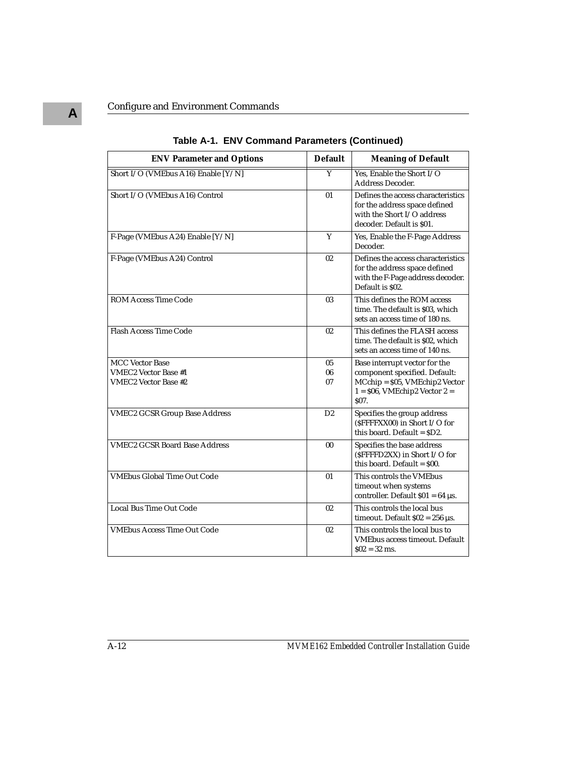| <b>ENV Parameter and Options</b>                                                     | <b>Default</b> | <b>Meaning of Default</b>                                                                                                                                  |
|--------------------------------------------------------------------------------------|----------------|------------------------------------------------------------------------------------------------------------------------------------------------------------|
| Short I/O (VMEbus A16) Enable [Y/N]                                                  | Ÿ              | Yes. Enable the Short I/O<br><b>Address Decoder.</b>                                                                                                       |
| Short I/O (VMEbus A16) Control                                                       | 01             | Defines the access characteristics<br>for the address space defined<br>with the Short I/O address<br>decoder. Default is \$01.                             |
| F-Page (VMEbus A24) Enable [Y/N]                                                     | Y              | Yes, Enable the F-Page Address<br>Decoder.                                                                                                                 |
| F-Page (VMEbus A24) Control                                                          | 02             | Defines the access characteristics<br>for the address space defined<br>with the F-Page address decoder.<br>Default is \$02.                                |
| <b>ROM Access Time Code</b>                                                          | 03             | This defines the ROM access<br>time. The default is \$03, which<br>sets an access time of 180 ns.                                                          |
| <b>Flash Access Time Code</b>                                                        | 02             | This defines the FLASH access<br>time. The default is \$02, which<br>sets an access time of 140 ns.                                                        |
| <b>MCC Vector Base</b><br><b>VMEC2 Vector Base #1</b><br><b>VMEC2 Vector Base #2</b> | 05<br>06<br>07 | Base interrupt vector for the<br>component specified. Default:<br>MCchip = \$05, VMEchip2 Vector<br>$1 = $06$ , VMEchip2 Vector $2 =$<br>S <sub>07</sub> . |
| <b>VMEC2 GCSR Group Base Address</b>                                                 | D2             | Specifies the group address<br>(\$FFFFXX00) in Short I/O for<br>this board. Default = $SD2$ .                                                              |
| <b>VMEC2 GCSR Board Base Address</b>                                                 | 0 <sub>0</sub> | Specifies the base address<br>(\$FFFFD2XX) in Short I/O for<br>this board. Default = $$00$ .                                                               |
| <b>VMEbus Global Time Out Code</b>                                                   | 01             | This controls the VMEbus<br>timeout when systems<br>controller. Default $$01 = 64 \,\mu s$ .                                                               |
| Local Bus Time Out Code                                                              | 02             | This controls the local bus<br>timeout. Default $$02 = 256 \,\mu s$ .                                                                                      |
| <b>VMEbus Access Time Out Code</b>                                                   | 02             | This controls the local bus to<br><b>VMEbus access timeout. Default</b><br>$$02 = 32$ ms.                                                                  |

**Table A-1. ENV Command Parameters (Continued)**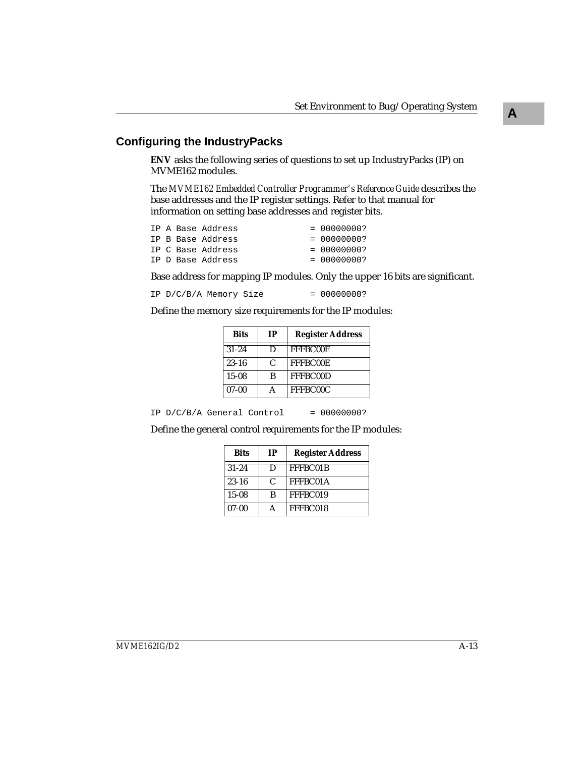## **Configuring the IndustryPacks**

**ENV** asks the following series of questions to set up IndustryPacks (IP) on MVME162 modules.

The *MVME162 Embedded Controller Programmer's Reference Guide* describes the base addresses and the IP register settings. Refer to that manual for information on setting base addresses and register bits.

|  | IP A Base Address | $= 00000000?$ |
|--|-------------------|---------------|
|  | IP B Base Address | $= 00000000?$ |
|  | IP C Base Address | $= 00000000?$ |
|  | IP D Base Address | $= 00000000?$ |

Base address for mapping IP modules. Only the upper 16 bits are significant.

```
IP D/C/B/A Memory Size = 00000000?
```
Define the memory size requirements for the IP modules:

| <b>Bits</b> | <b>IP</b>     | <b>Register Address</b> |
|-------------|---------------|-------------------------|
| $31 - 24$   | Ð             | FFFBC00F                |
| $23 - 16$   | $\mathcal{C}$ | <b>FFFBC00E</b>         |
| $15-08$     | B             | FFFBC00D                |
| $07-00$     |               | FFFBC00C                |

IP  $D/C/B/A$  General Control = 00000000?

Define the general control requirements for the IP modules:

| <b>Bits</b> | <b>IP</b>     | <b>Register Address</b> |
|-------------|---------------|-------------------------|
| $31 - 24$   | D             | FFFBC01B                |
| $23 - 16$   | $\mathcal{C}$ | FFFBC01A                |
| $15-08$     | B             | FFFBC019                |
| $07-00$     |               | FFFBC018                |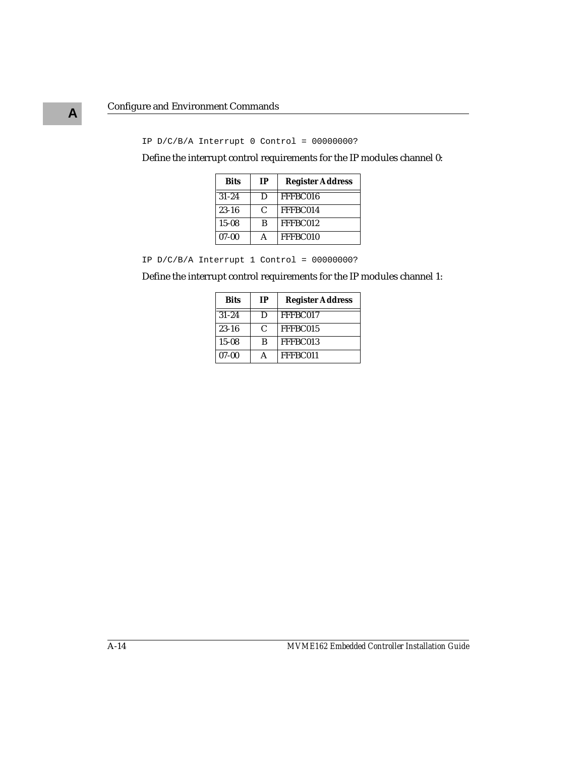#### IP  $D/C/B/A$  Interrupt 0 Control = 00000000?

Define the interrupt control requirements for the IP modules channel 0:

| <b>Bits</b> | <b>IP</b> | <b>Register Address</b> |
|-------------|-----------|-------------------------|
| $31 - 24$   | D         | FFFBC016                |
| $23 - 16$   | C         | FFFBC014                |
| $15 - 08$   | B         | FFFBC012                |
| $07 - 00$   |           | FFFBC010                |

IP D/C/B/A Interrupt 1 Control = 00000000?

Define the interrupt control requirements for the IP modules channel 1:

| <b>Bits</b> | <b>IP</b>     | <b>Register Address</b> |  |  |  |
|-------------|---------------|-------------------------|--|--|--|
| $31 - 24$   | Ð             | FFFBC017                |  |  |  |
| $23 - 16$   | $\mathcal{C}$ | FFFBC015                |  |  |  |
| $15 - 08$   | B             | FFFBC013                |  |  |  |
| $07-00$     |               | FFFBC011                |  |  |  |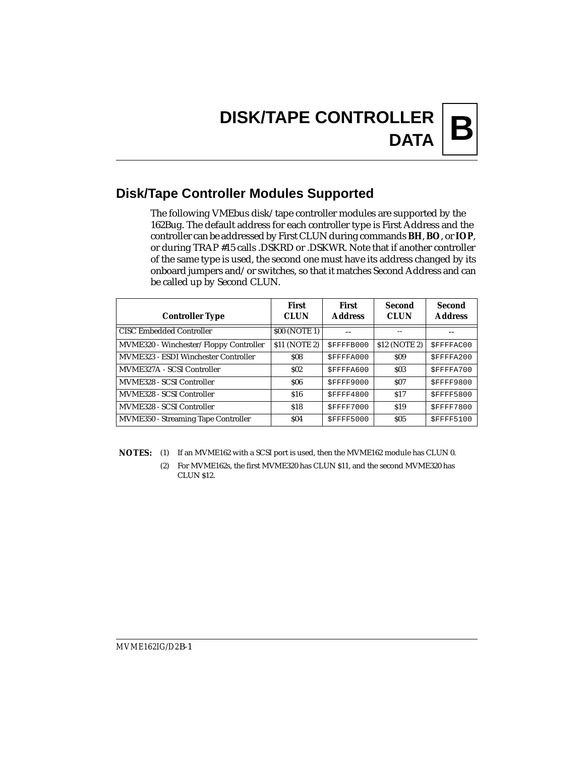# **Disk/Tape Controller Modules Supported**

The following VMEbus disk/tape controller modules are supported by the 162Bug. The default address for each controller type is First Address and the controller can be addressed by First CLUN during commands **BH**, **BO**, or **IOP**, or during TRAP #15 calls .DSKRD or .DSKWR. Note that if another controller of the same type is used, the second one must have its address changed by its onboard jumpers and/or switches, so that it matches Second Address and can be called up by Second CLUN.

| <b>Controller Type</b>                     | First<br><b>CLUN</b> | <b>First</b><br><b>Address</b> | Second<br><b>CLUN</b> | <b>Second</b><br><b>Address</b> |
|--------------------------------------------|----------------------|--------------------------------|-----------------------|---------------------------------|
| <b>CISC Embedded Controller</b>            | \$00 (NOTE 1)        |                                |                       |                                 |
| MVME320 - Winchester/Floppy Controller     | \$11 (NOTE 2)        | SFFFFB000                      | \$12 (NOTE 2)         | SFFFFAC00                       |
| MVME323 - ESDI Winchester Controller       | \$08                 | SFFFFA000                      | \$09                  | SFFFFA200                       |
| MVME327A - SCSI Controller                 | S <sub>02</sub>      | SFFFFA600                      | \$03                  | SFFFFA700                       |
| MVME328 - SCSI Controller                  | \$06                 | SFFFF9000                      | <b>S07</b>            | SFFFF9800                       |
| MVME328 - SCSI Controller                  | \$16                 | SFFFF4800                      | \$17                  | <b>\$FFFF5800</b>               |
| MVME328 - SCSI Controller                  | \$18                 | \$FFFF7000                     | \$19                  | \$FFFF7800                      |
| <b>MVME350 - Streaming Tape Controller</b> | \$04                 | SFFFF5000                      | \$05                  | SFFFF5100                       |

**NOTES:** (1) If an MVME162 with a SCSI port is used, then the MVME162 module has CLUN 0.

(2) For MVME162s, the first MVME320 has CLUN \$11, and the second MVME320 has CLUN \$12.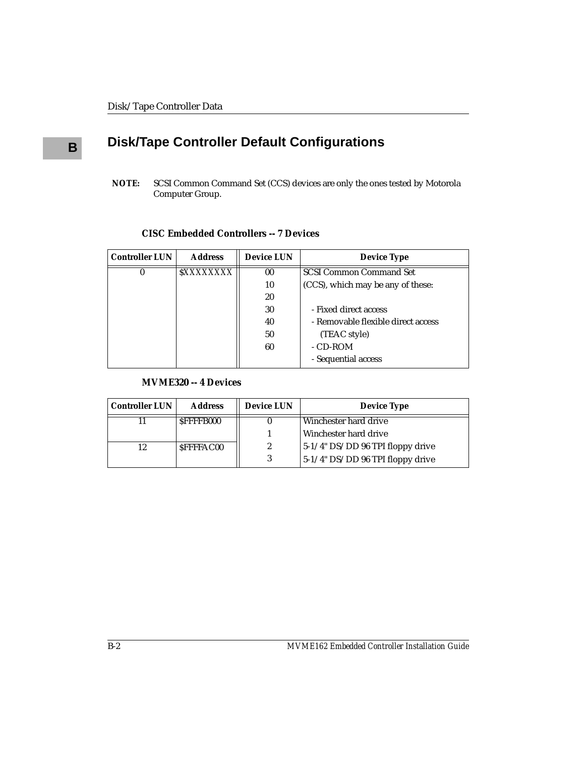# **<sup>B</sup> Disk/Tape Controller Default Configurations**

**NOTE:** SCSI Common Command Set (CCS) devices are only the ones tested by Motorola Computer Group.

#### **CISC Embedded Controllers -- 7 Devices**

| <b>Controller LUN</b> | <b>Address</b> | <b>Device LUN</b>                        | <b>Device Type</b>                |  |
|-----------------------|----------------|------------------------------------------|-----------------------------------|--|
|                       | SXXXXXXXX      | 00                                       | <b>SCSI Common Command Set</b>    |  |
|                       |                | 10                                       | (CCS), which may be any of these: |  |
|                       |                | 20                                       |                                   |  |
|                       |                | 30                                       | - Fixed direct access             |  |
|                       |                | - Removable flexible direct access<br>40 |                                   |  |
|                       |                | 50                                       | (TEAC style)                      |  |
|                       |                | 60                                       | - CD-ROM                          |  |
|                       |                |                                          | - Sequential access               |  |

#### **MVME320 -- 4 Devices**

| <b>Controller LUN</b> | <b>Address</b>   | <b>Device LUN</b>                                   | <b>Device Type</b>                  |
|-----------------------|------------------|-----------------------------------------------------|-------------------------------------|
|                       | SFFFFB000        |                                                     | Winchester hard drive               |
|                       |                  |                                                     | l Winchester hard drive             |
| 12                    | <b>SFFFFAC00</b> | $5-1/4$ " DS/DD 96 TPI floppy drive<br>$\mathbf{2}$ |                                     |
|                       |                  |                                                     | $5-1/4$ " DS/DD 96 TPI floppy drive |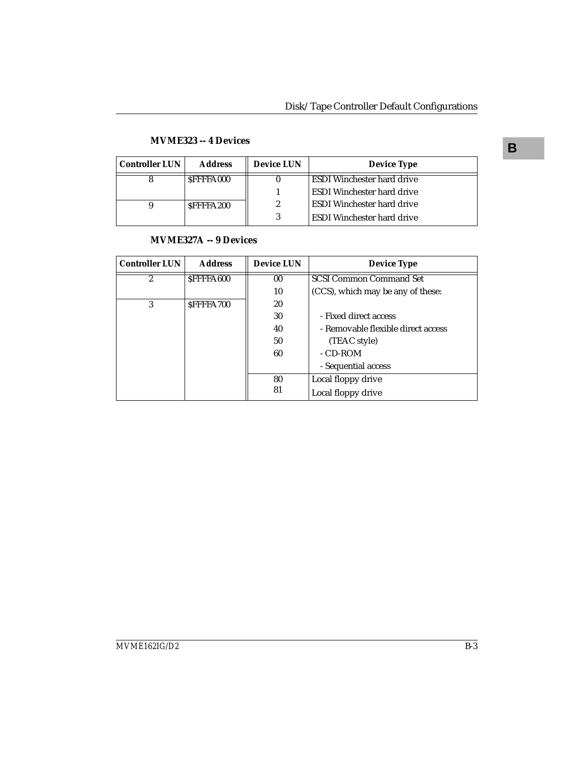| <b>Controller LUN</b> | <b>Address</b>   | <b>Device LUN</b> | <b>Device Type</b>                |
|-----------------------|------------------|-------------------|-----------------------------------|
|                       | <b>SFFFFA000</b> |                   | <b>ESDI</b> Winchester hard drive |
|                       |                  |                   | <b>ESDI</b> Winchester hard drive |
|                       | SFFFFA200        | 2                 | <b>ESDI</b> Winchester hard drive |
|                       |                  |                   | <b>ESDI</b> Winchester hard drive |

# **B MVME323 -- 4 Devices**

#### **MVME327A -- 9 Devices**

| <b>Controller LUN</b> | <b>Address</b>   | <b>Device LUN</b> | <b>Device Type</b>                 |
|-----------------------|------------------|-------------------|------------------------------------|
| $\overline{2}$        | <b>SFFFFA600</b> | $00\,$            | <b>SCSI Common Command Set</b>     |
|                       |                  | 10                | (CCS), which may be any of these:  |
| 3                     | SFFFFA700        | 20                |                                    |
|                       |                  | 30                | - Fixed direct access              |
|                       |                  | 40                | - Removable flexible direct access |
|                       |                  | 50                | (TEAC style)                       |
|                       |                  | 60                | - CD-ROM                           |
|                       |                  |                   | - Sequential access                |
|                       |                  | 80                | Local floppy drive                 |
|                       |                  | 81                | Local floppy drive                 |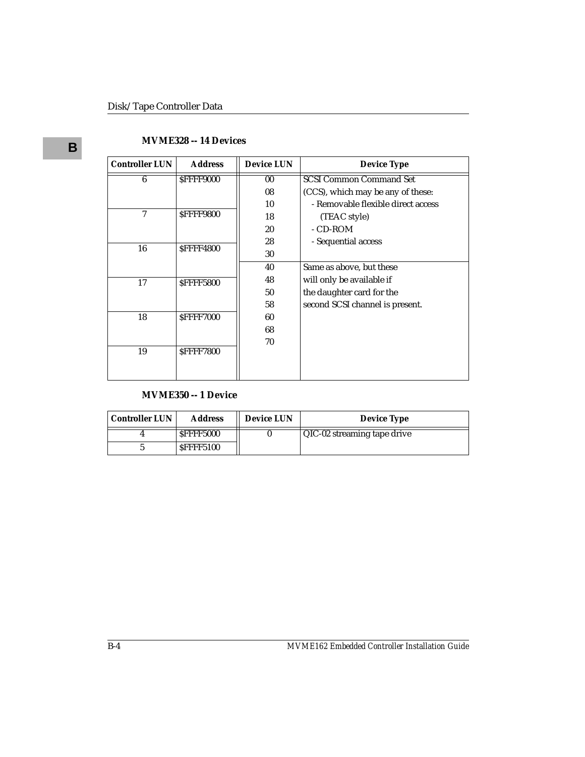# **B MVME328 -- 14 Devices**

| <b>Address</b>   | <b>Device LUN</b>                    | <b>Device Type</b>                 |
|------------------|--------------------------------------|------------------------------------|
| SFFFF9000        | $00\,$                               | <b>SCSI Common Command Set</b>     |
|                  | 08                                   | (CCS), which may be any of these:  |
|                  | 10                                   | - Removable flexible direct access |
| SFFFF9800        | 18                                   | (TEAC style)                       |
|                  | 20                                   | - CD-ROM                           |
|                  | 28                                   | - Sequential access                |
|                  | 30                                   |                                    |
|                  | 40                                   | Same as above, but these           |
|                  | 48                                   | will only be available if          |
|                  | 50                                   | the daughter card for the          |
|                  | 58                                   | second SCSI channel is present.    |
| SFFFF7000        | 60                                   |                                    |
|                  | 68                                   |                                    |
|                  | 70                                   |                                    |
| <b>SFFFF7800</b> |                                      |                                    |
|                  |                                      |                                    |
|                  | <b>SFFFF4800</b><br><b>SFFFF5800</b> |                                    |

#### **MVME350 -- 1 Device**

| <b>Controller LUN</b> | <b>Address</b>   | <b>Device LUN</b> | <b>Device Type</b>          |
|-----------------------|------------------|-------------------|-----------------------------|
|                       | SFFFF5000        |                   | QIC-02 streaming tape drive |
|                       | <b>SFFFF5100</b> |                   |                             |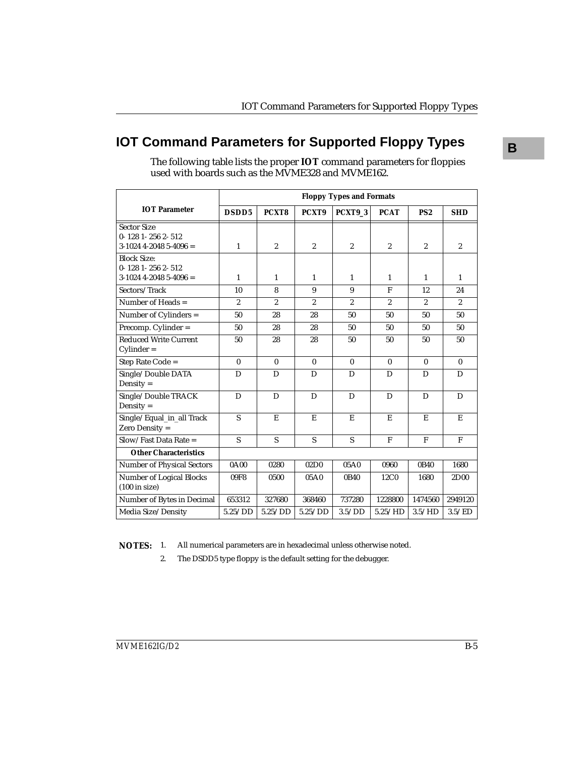# **IOT Command Parameters for Supported Floppy Types**

|                                                                           |                | <b>Floppy Types and Formats</b> |                  |                |                |                 |                  |  |
|---------------------------------------------------------------------------|----------------|---------------------------------|------------------|----------------|----------------|-----------------|------------------|--|
| <b>IOT Parameter</b>                                                      | DSDD5          | PCXT8                           | PCXT9            | PCXT9 3        | <b>PCAT</b>    | PS <sub>2</sub> | <b>SHD</b>       |  |
| <b>Sector Size</b><br>$0 - 1281 - 2562 - 512$<br>$3-1024$ 4-2048 5-4096 = | $\mathbf{1}$   | $\boldsymbol{2}$                | $\overline{2}$   | $\overline{2}$ | $\overline{2}$ | $\overline{2}$  | $\overline{2}$   |  |
| <b>Block Size:</b><br>$0 - 1281 - 2562 - 512$<br>$3-1024$ 4-2048 5-4096 = | $\mathbf{1}$   | $\mathbf{1}$                    | 1                | 1              | $\mathbf{1}$   | 1               | 1                |  |
| Sectors/Track                                                             | 10             | 8                               | 9                | 9              | $\mathbf{F}$   | 12              | 24               |  |
| Number of Heads $=$                                                       | $\overline{2}$ | $\overline{2}$                  | $\overline{2}$   | $\overline{2}$ | $\overline{2}$ | $\overline{2}$  | $\overline{2}$   |  |
| Number of Cylinders =                                                     | 50             | 28                              | 28               | 50             | 50             | 50              | 50               |  |
| Precomp. Cylinder =                                                       | 50             | 28                              | 28               | 50             | 50             | 50              | 50               |  |
| <b>Reduced Write Current</b><br>$Cylinder =$                              | 50             | 28                              | 28               | 50             | 50             | 50              | 50               |  |
| Step Rate Code =                                                          | $\mathbf{0}$   | $\mathbf{0}$                    | $\mathbf{0}$     | $\mathbf{0}$   | $\mathbf{0}$   | $\mathbf{0}$    | $\bf{0}$         |  |
| Single/Double DATA<br>Density $=$                                         | D              | D                               | D                | D              | D              | D               | D                |  |
| Single/Double TRACK<br>Density $=$                                        | D              | D                               | D                | D              | D              | D               | D                |  |
| Single/Equal_in_all Track<br>Zero Density =                               | S              | E                               | E                | E              | E              | E               | E                |  |
| $Slow/Fast Data Rate =$                                                   | S              | S                               | S                | S              | $\mathbf{F}$   | F               | F                |  |
| <b>Other Characteristics</b>                                              |                |                                 |                  |                |                |                 |                  |  |
| <b>Number of Physical Sectors</b>                                         | 0A00           | 0280                            | 02D <sub>0</sub> | 05A0           | 0960           | 0B40            | 1680             |  |
| Number of Logical Blocks<br>$(100 \text{ in size})$                       | 09F8           | 0500                            | 05A0             | 0B40           | 12C0           | 1680            | 2D <sub>00</sub> |  |
| Number of Bytes in Decimal                                                | 653312         | 327680                          | 368460           | 737280         | 1228800        | 1474560         | 2949120          |  |
| Media Size/Density                                                        | 5.25/DD        | 5.25/DD                         | 5.25/DD          | 3.5/DD         | 5.25/HD        | 3.5/HD          | 3.5/ED           |  |

The following table lists the proper **IOT** command parameters for floppies used with boards such as the MVME328 and MVME162.

**NOTES:** 1. All numerical parameters are in hexadecimal unless otherwise noted.

2. The DSDD5 type floppy is the default setting for the debugger.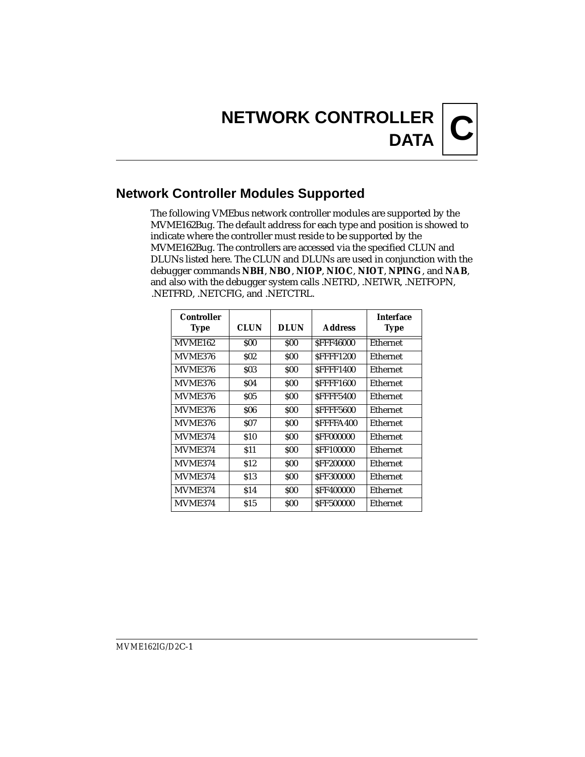# **Network Controller Modules Supported**

The following VMEbus network controller modules are supported by the MVME162Bug. The default address for each type and position is showed to indicate where the controller must reside to be supported by the MVME162Bug. The controllers are accessed via the specified CLUN and DLUNs listed here. The CLUN and DLUNs are used in conjunction with the debugger commands **NBH**, **NBO**, **NIOP**, **NIOC**, **NIOT**, **NPING**, and **NAB**, and also with the debugger system calls .NETRD, .NETWR, .NETFOPN, .NETFRD, .NETCFIG, and .NETCTRL.

| Controller<br><b>Type</b> | <b>CLUN</b> | <b>DLUN</b> | <b>Address</b>   | <b>Interface</b><br>Type |
|---------------------------|-------------|-------------|------------------|--------------------------|
| <b>MVME162</b>            | SOO         | \$00        | <b>SFFF46000</b> | Ethernet                 |
| MVME376                   | SO2         | \$00        | <b>SFFFF1200</b> | Ethernet                 |
| <b>MVME376</b>            | \$03        | SOO         | <b>SFFFF1400</b> | Ethernet                 |
| MVME376                   | \$04        | \$00        | <b>SFFFF1600</b> | Ethernet                 |
| MVME376                   | SO 5        | SOO         | <b>SFFFF5400</b> | Ethernet                 |
| MVME376                   | \$06        | SOO         | <b>SFFFF5600</b> | Ethernet                 |
| MVME376                   | SO 7        | \$00        | SFFFFA400        | Ethernet                 |
| <b>MVME374</b>            | <b>\$10</b> | SOO         | <b>SFF000000</b> | Ethernet                 |
| MVME374                   | \$11        | SOO         | <b>SFF100000</b> | Ethernet                 |
| <b>MVME374</b>            | \$12        | SOO         | <b>SFF200000</b> | Ethernet                 |
| MVME374                   | \$13        | SOO         | <b>SFF300000</b> | Ethernet                 |
| <b>MVME374</b>            | \$14        | SOO         | <b>SFF400000</b> | Ethernet                 |
| MVME374                   | \$15        | SOO         | <b>SFF500000</b> | Ethernet                 |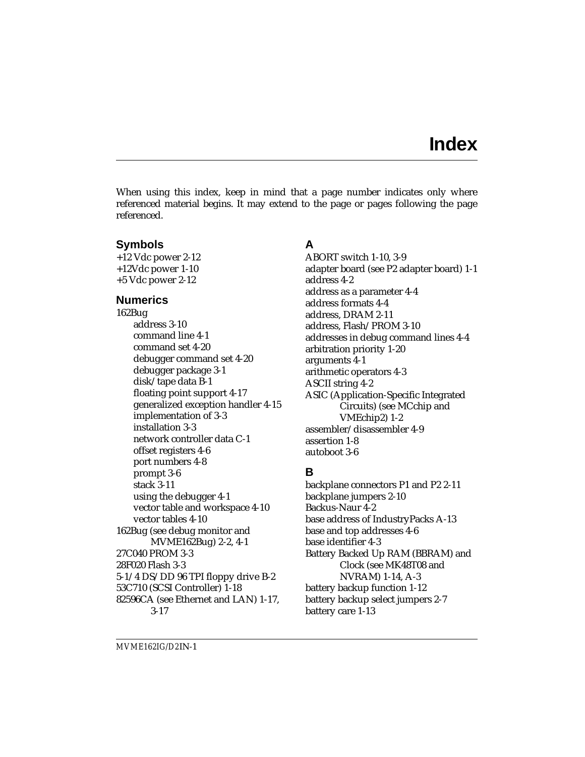When using this index, keep in mind that a page number indicates only where referenced material begins. It may extend to the page or pages following the page referenced.

## **Symbols**

+12 Vdc power 2-12 +12Vdc power 1-10 +5 Vdc power 2-12

## **Numerics**

162Bug address 3-10 command line 4-1 command set 4-20 debugger command set 4-20 debugger package 3-1 disk/tape data B-1 floating point support 4-17 generalized exception handler 4-15 implementation of 3-3 installation 3-3 network controller data C-1 offset registers 4-6 port numbers 4-8 prompt 3-6 stack 3-11 using the debugger 4-1 vector table and workspace 4-10 vector tables 4-10 162Bug (see debug monitor and MVME162Bug) 2-2, 4-1 27C040 PROM 3-3 28F020 Flash 3-3 5-1/4 DS/DD 96 TPI floppy drive B-2 53C710 (SCSI Controller) 1-18 82596CA (see Ethernet and LAN) 1-17, 3-17

# **A**

ABORT switch 1-10, 3-9 adapter board (see P2 adapter board) 1-1 address 4-2 address as a parameter 4-4 address formats 4-4 address, DRAM 2-11 address, Flash/PROM 3-10 addresses in debug command lines 4-4 arbitration priority 1-20 arguments 4-1 arithmetic operators 4-3 ASCII string 4-2 ASIC (Application-Specific Integrated Circuits) (see MCchip and VMEchip2) 1-2 assembler/disassembler 4-9 assertion 1-8 autoboot 3-6

# **B**

backplane connectors P1 and P2 2-11 backplane jumpers 2-10 Backus-Naur 4-2 base address of IndustryPacks A-13 base and top addresses 4-6 base identifier 4-3 Battery Backed Up RAM (BBRAM) and Clock (see MK48T08 and NVRAM) 1-14, A-3 battery backup function 1-12 battery backup select jumpers 2-7 battery care 1-13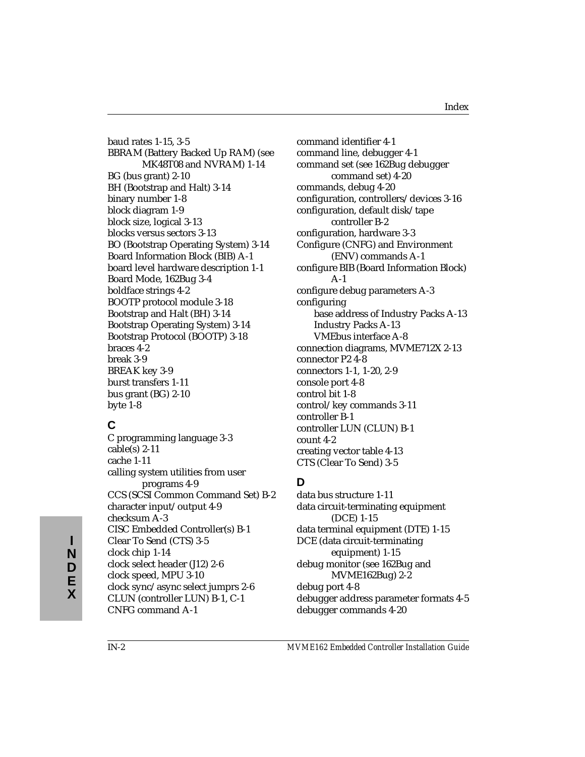baud rates 1-15, 3-5 BBRAM (Battery Backed Up RAM) (see MK48T08 and NVRAM) 1-14 BG (bus grant) 2-10 BH (Bootstrap and Halt) 3-14 binary number 1-8 block diagram 1-9 block size, logical 3-13 blocks versus sectors 3-13 BO (Bootstrap Operating System) 3-14 Board Information Block (BIB) A-1 board level hardware description 1-1 Board Mode, 162Bug 3-4 boldface strings 4-2 BOOTP protocol module 3-18 Bootstrap and Halt (BH) 3-14 Bootstrap Operating System) 3-14 Bootstrap Protocol (BOOTP) 3-18 braces 4-2 break 3-9 BREAK key 3-9 burst transfers 1-11 bus grant (BG) 2-10 byte 1-8

# **C**

C programming language 3-3 cable(s) 2-11 cache 1-11 calling system utilities from user programs 4-9 CCS (SCSI Common Command Set) B-2 character input/output 4-9 checksum A-3 CISC Embedded Controller(s) B-1 Clear To Send (CTS) 3-5 clock chip 1-14 clock select header (J12) 2-6 clock speed, MPU 3-10 clock sync/async select jumprs 2-6 CLUN (controller LUN) B-1, C-1 CNFG command A-1

command identifier 4-1 command line, debugger 4-1 command set (see 162Bug debugger command set) 4-20 commands, debug 4-20 configuration, controllers/devices 3-16 configuration, default disk/tape controller B-2 configuration, hardware 3-3 Configure (CNFG) and Environment (ENV) commands A-1 configure BIB (Board Information Block) A-1 configure debug parameters A-3 configuring base address of Industry Packs A-13 Industry Packs A-13 VMEbus interface A-8 connection diagrams, MVME712X 2-13 connector P2 4-8 connectors 1-1, 1-20, 2-9 console port 4-8 control bit 1-8 control/key commands 3-11 controller B-1 controller LUN (CLUN) B-1 count 4-2 creating vector table 4-13 CTS (Clear To Send) 3-5

# **D**

data bus structure 1-11 data circuit-terminating equipment (DCE) 1-15 data terminal equipment (DTE) 1-15 DCE (data circuit-terminating equipment) 1-15 debug monitor (see 162Bug and MVME162Bug) 2-2 debug port 4-8 debugger address parameter formats 4-5 debugger commands 4-20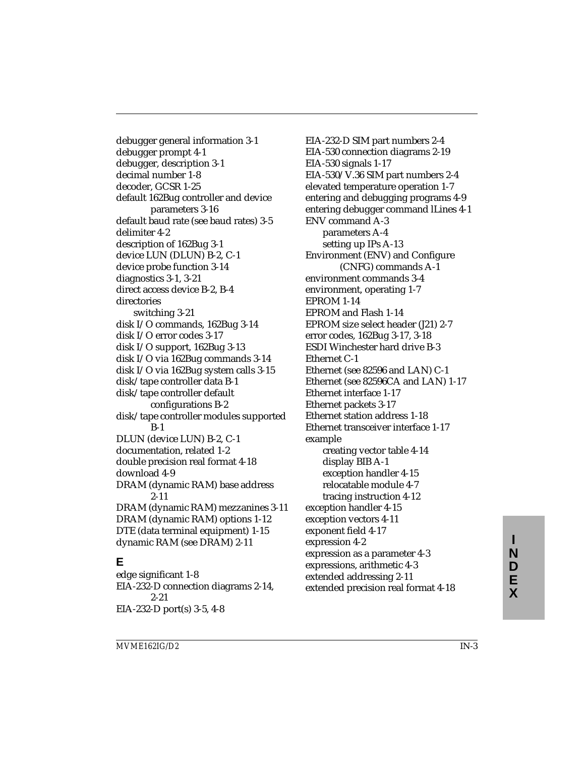debugger general information 3-1 debugger prompt 4-1 debugger, description 3-1 decimal number 1-8 decoder, GCSR 1-25 default 162Bug controller and device parameters 3-16 default baud rate (see baud rates) 3-5 delimiter 4-2 description of 162Bug 3-1 device LUN (DLUN) B-2, C-1 device probe function 3-14 diagnostics 3-1, 3-21 direct access device B-2, B-4 directories switching 3-21 disk I/O commands, 162Bug 3-14 disk I/O error codes 3-17 disk I/O support, 162Bug 3-13 disk I/O via 162Bug commands 3-14 disk I/O via 162Bug system calls 3-15 disk/tape controller data B-1 disk/tape controller default configurations B-2 disk/tape controller modules supported B-1 DLUN (device LUN) B-2, C-1 documentation, related 1-2 double precision real format 4-18 download 4-9 DRAM (dynamic RAM) base address 2-11 DRAM (dynamic RAM) mezzanines 3-11 DRAM (dynamic RAM) options 1-12 DTE (data terminal equipment) 1-15 dynamic RAM (see DRAM) 2-11

# **E**

edge significant 1-8 EIA-232-D connection diagrams 2-14, 2-21 EIA-232-D port(s) 3-5, 4-8

EIA-232-D SIM part numbers 2-4 EIA-530 connection diagrams 2-19 EIA-530 signals 1-17 EIA-530/V.36 SIM part numbers 2-4 elevated temperature operation 1-7 entering and debugging programs 4-9 entering debugger command lLines 4-1 ENV command A-3 parameters A-4 setting up IPs A-13 Environment (ENV) and Configure (CNFG) commands A-1 environment commands 3-4 environment, operating 1-7 EPROM 1-14 EPROM and Flash 1-14 EPROM size select header (J21) 2-7 error codes, 162Bug 3-17, 3-18 ESDI Winchester hard drive B-3 Ethernet C-1 Ethernet (see 82596 and LAN) C-1 Ethernet (see 82596CA and LAN) 1-17 Ethernet interface 1-17 Ethernet packets 3-17 Ethernet station address 1-18 Ethernet transceiver interface 1-17 example creating vector table 4-14 display BIB A-1 exception handler 4-15 relocatable module 4-7 tracing instruction 4-12 exception handler 4-15 exception vectors 4-11 exponent field 4-17 expression 4-2 expression as a parameter 4-3 expressions, arithmetic 4-3 extended addressing 2-11 extended precision real format 4-18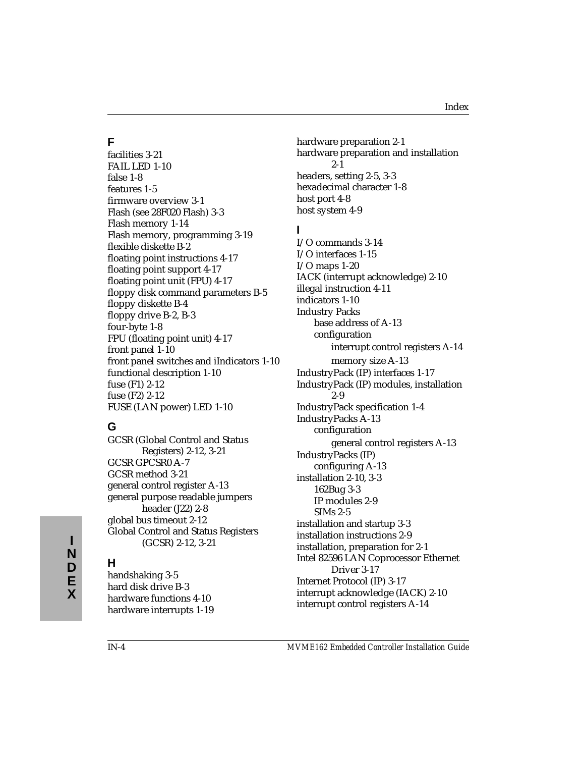# **F**

facilities 3-21 FAIL LED 1-10 false 1-8 features 1-5 firmware overview 3-1 Flash (see 28F020 Flash) 3-3 Flash memory 1-14 Flash memory, programming 3-19 flexible diskette B-2 floating point instructions 4-17 floating point support 4-17 floating point unit (FPU) 4-17 floppy disk command parameters B-5 floppy diskette B-4 floppy drive B-2, B-3 four-byte 1-8 FPU (floating point unit) 4-17 front panel 1-10 front panel switches and iIndicators 1-10 functional description 1-10 fuse (F1) 2-12 fuse (F2) 2-12 FUSE (LAN power) LED 1-10

# **G**

GCSR (Global Control and Status Registers) 2-12, 3-21 GCSR GPCSR0 A-7 GCSR method 3-21 general control register A-13 general purpose readable jumpers header (J22) 2-8 global bus timeout 2-12 Global Control and Status Registers (GCSR) 2-12, 3-21

## **H**

handshaking 3-5 hard disk drive B-3 hardware functions 4-10 hardware interrupts 1-19 hardware preparation 2-1 hardware preparation and installation 2-1 headers, setting 2-5, 3-3 hexadecimal character 1-8 host port 4-8 host system 4-9

## **I**

I/O commands 3-14 I/O interfaces 1-15 I/O maps 1-20 IACK (interrupt acknowledge) 2-10 illegal instruction 4-11 indicators 1-10 Industry Packs base address of A-13 configuration interrupt control registers A-14 memory size A-13 IndustryPack (IP) interfaces 1-17 IndustryPack (IP) modules, installation 2-9 IndustryPack specification 1-4 IndustryPacks A-13 configuration general control registers A-13 IndustryPacks (IP) configuring A-13 installation 2-10, 3-3 162Bug 3-3 IP modules 2-9 SIMs 2-5 installation and startup 3-3 installation instructions 2-9 installation, preparation for 2-1 Intel 82596 LAN Coprocessor Ethernet Driver 3-17 Internet Protocol (IP) 3-17 interrupt acknowledge (IACK) 2-10 interrupt control registers A-14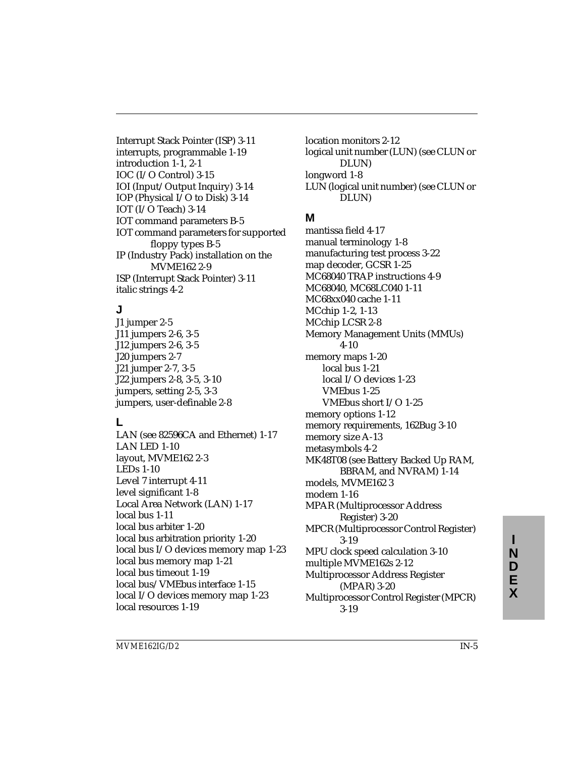Interrupt Stack Pointer (ISP) 3-11 interrupts, programmable 1-19 introduction 1-1, 2-1 IOC (I/O Control) 3-15 IOI (Input/Output Inquiry) 3-14 IOP (Physical I/O to Disk) 3-14 IOT (I/O Teach) 3-14 IOT command parameters B-5 IOT command parameters for supported floppy types B-5 IP (Industry Pack) installation on the MVME162 2-9 ISP (Interrupt Stack Pointer) 3-11 italic strings 4-2

# **J**

J1 jumper 2-5 J11 jumpers 2-6, 3-5 J12 jumpers 2-6, 3-5 J20 jumpers 2-7 J21 jumper 2-7, 3-5 J22 jumpers 2-8, 3-5, 3-10 jumpers, setting 2-5, 3-3 jumpers, user-definable 2-8

#### **L**

LAN (see 82596CA and Ethernet) 1-17 LAN LED 1-10 layout, MVME162 2-3 LEDs 1-10 Level 7 interrupt 4-11 level significant 1-8 Local Area Network (LAN) 1-17 local bus 1-11 local bus arbiter 1-20 local bus arbitration priority 1-20 local bus I/O devices memory map 1-23 local bus memory map 1-21 local bus timeout 1-19 local bus/VMEbus interface 1-15 local I/O devices memory map 1-23 local resources 1-19

location monitors 2-12 logical unit number (LUN) (see CLUN or DLUN) longword 1-8 LUN (logical unit number) (see CLUN or DLUN)

## **M**

mantissa field 4-17 manual terminology 1-8 manufacturing test process 3-22 map decoder, GCSR 1-25 MC68040 TRAP instructions 4-9 MC68040, MC68LC040 1-11 MC68xx040 cache 1-11 MCchip 1-2, 1-13 MCchip LCSR 2-8 Memory Management Units (MMUs) 4-10 memory maps 1-20 local bus 1-21 local I/O devices 1-23 VMEbus 1-25 VMEbus short I/O 1-25 memory options 1-12 memory requirements, 162Bug 3-10 memory size A-13 metasymbols 4-2 MK48T08 (see Battery Backed Up RAM, BBRAM, and NVRAM) 1-14 models, MVME162 3 modem 1-16 MPAR (Multiprocessor Address Register) 3-20 MPCR (Multiprocessor Control Register) 3-19 MPU clock speed calculation 3-10 multiple MVME162s 2-12 Multiprocessor Address Register (MPAR) 3-20 Multiprocessor Control Register (MPCR) 3-19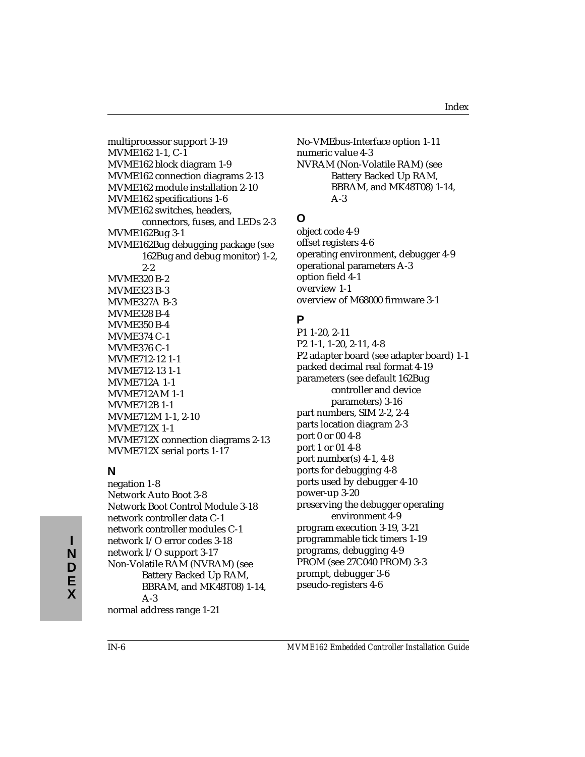multiprocessor support 3-19 MVME162 1-1, C-1 MVME162 block diagram 1-9 MVME162 connection diagrams 2-13 MVME162 module installation 2-10 MVME162 specifications 1-6 MVME162 switches, headers, connectors, fuses, and LEDs 2-3 MVME162Bug 3-1 MVME162Bug debugging package (see 162Bug and debug monitor) 1-2, 2-2 MVME320 B-2 MVME323 B-3 MVME327A B-3 MVME328 B-4 MVME350 B-4 MVME374 C-1 MVME376 C-1 MVME712-12 1-1 MVME712-13 1-1 MVME712A 1-1 MVME712AM 1-1 MVME712B 1-1 MVME712M 1-1, 2-10 MVME712X 1-1 MVME712X connection diagrams 2-13 MVME712X serial ports 1-17

# **N**

negation 1-8 Network Auto Boot 3-8 Network Boot Control Module 3-18 network controller data C-1 network controller modules C-1 network I/O error codes 3-18 network I/O support 3-17 Non-Volatile RAM (NVRAM) (see Battery Backed Up RAM, BBRAM, and MK48T08) 1-14, A-3 normal address range 1-21

No-VMEbus-Interface option 1-11 numeric value 4-3 NVRAM (Non-Volatile RAM) (see Battery Backed Up RAM, BBRAM, and MK48T08) 1-14, A-3

# **O**

object code 4-9 offset registers 4-6 operating environment, debugger 4-9 operational parameters A-3 option field 4-1 overview 1-1 overview of M68000 firmware 3-1

# **P**

P1 1-20, 2-11 P2 1-1, 1-20, 2-11, 4-8 P2 adapter board (see adapter board) 1-1 packed decimal real format 4-19 parameters (see default 162Bug controller and device parameters) 3-16 part numbers, SIM 2-2, 2-4 parts location diagram 2-3 port 0 or 00 4-8 port 1 or 01 4-8 port number(s) 4-1, 4-8 ports for debugging 4-8 ports used by debugger 4-10 power-up 3-20 preserving the debugger operating environment 4-9 program execution 3-19, 3-21 programmable tick timers 1-19 programs, debugging 4-9 PROM (see 27C040 PROM) 3-3 prompt, debugger 3-6 pseudo-registers 4-6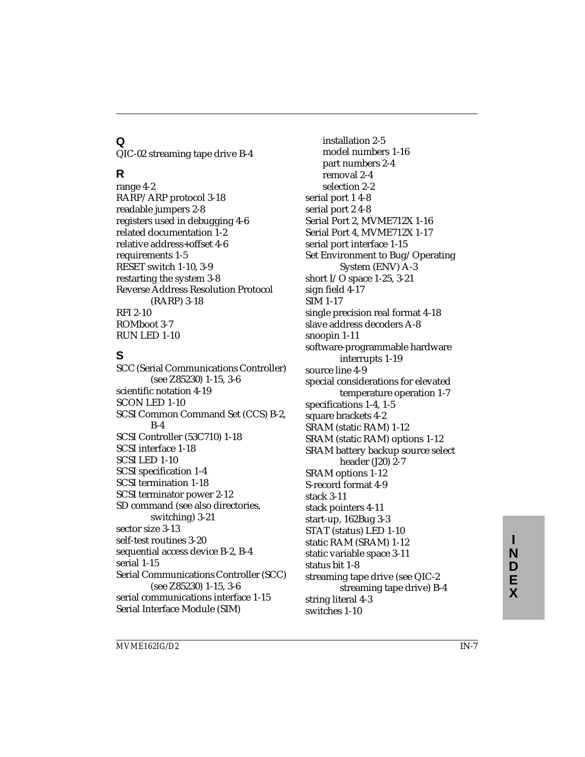# **Q**

QIC-02 streaming tape drive B-4

# **R**

range 4-2 RARP/ARP protocol 3-18 readable jumpers 2-8 registers used in debugging 4-6 related documentation 1-2 relative address+offset 4-6 requirements 1-5 RESET switch 1-10, 3-9 restarting the system 3-8 Reverse Address Resolution Protocol (RARP) 3-18 RFI 2-10 ROMboot 3-7 RUN LED 1-10

# **S**

SCC (Serial Communications Controller) (see Z85230) 1-15, 3-6 scientific notation 4-19 SCON LED 1-10 SCSI Common Command Set (CCS) B-2, B-4 SCSI Controller (53C710) 1-18 SCSI interface 1-18 SCSI LED 1-10 SCSI specification 1-4 SCSI termination 1-18 SCSI terminator power 2-12 SD command (see also directories, switching) 3-21 sector size 3-13 self-test routines 3-20 sequential access device B-2, B-4 serial 1-15 Serial Communications Controller (SCC) (see Z85230) 1-15, 3-6 serial communications interface 1-15 Serial Interface Module (SIM)

installation 2-5 model numbers 1-16 part numbers 2-4 removal 2-4 selection 2-2 serial port 1 4-8 serial port 2 4-8 Serial Port 2, MVME712X 1-16 Serial Port 4, MVME712X 1-17 serial port interface 1-15 Set Environment to Bug/Operating System (ENV) A-3 short I/O space 1-25, 3-21 sign field 4-17 SIM 1-17 single precision real format 4-18 slave address decoders A-8 snoopin 1-11 software-programmable hardware interrupts 1-19 source line 4-9 special considerations for elevated temperature operation 1-7 specifications 1-4, 1-5 square brackets 4-2 SRAM (static RAM) 1-12 SRAM (static RAM) options 1-12 SRAM battery backup source select header (J20) 2-7 SRAM options 1-12 S-record format 4-9 stack 3-11 stack pointers 4-11 start-up, 162Bug 3-3 STAT (status) LED 1-10 static RAM (SRAM) 1-12 static variable space 3-11 status bit 1-8 streaming tape drive (see QIC-2 streaming tape drive) B-4 string literal 4-3 switches 1-10